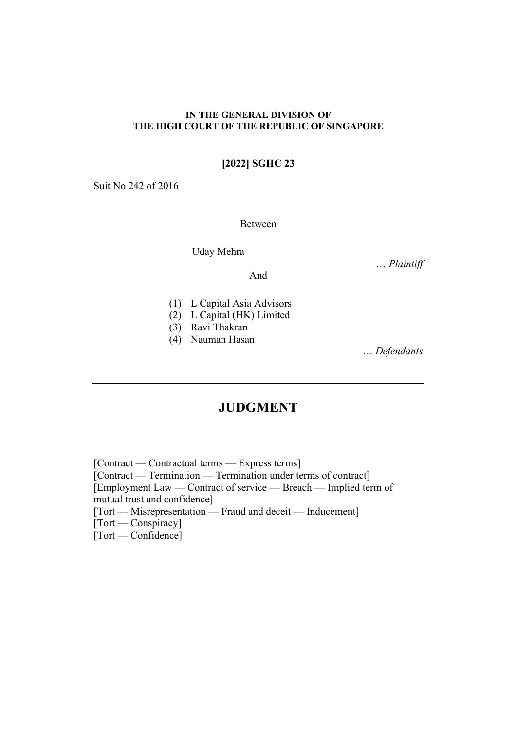### **IN THE GENERAL DIVISION OF THE HIGH COURT OF THE REPUBLIC OF SINGAPORE**

# **[2022] SGHC 23**

Suit No 242 of 2016

Between

Uday Mehra

… *Plaintiff* 

And

- (1) L Capital Asia Advisors
- (2) L Capital (HK) Limited
- (3) Ravi Thakran
- (4) Nauman Hasan

… *Defendants*

# **JUDGMENT**

[Contract — Contractual terms — Express terms] [Contract — Termination — Termination under terms of contract] [Employment Law — Contract of service — Breach — Implied term of mutual trust and confidence] [Tort — Misrepresentation — Fraud and deceit — Inducement] [Tort — Conspiracy] [Tort — Confidence]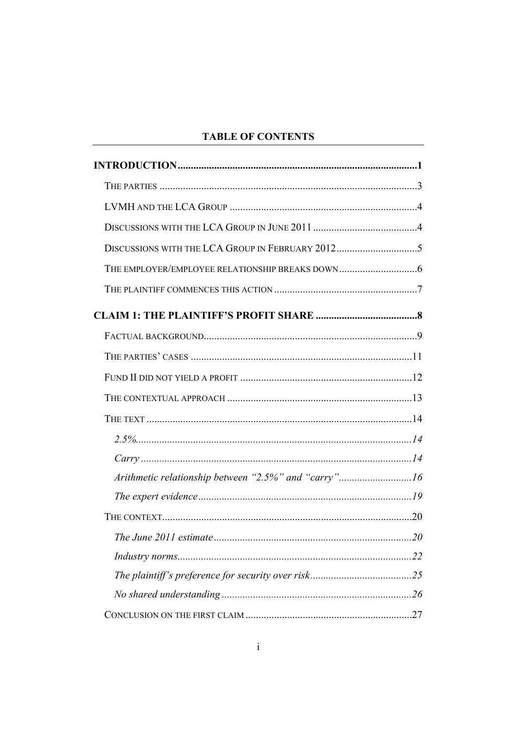# **TABLE OF CONTENTS**

| Arithmetic relationship between "2.5%" and "carry"16 |  |
|------------------------------------------------------|--|
|                                                      |  |
|                                                      |  |
|                                                      |  |
|                                                      |  |
|                                                      |  |
|                                                      |  |
|                                                      |  |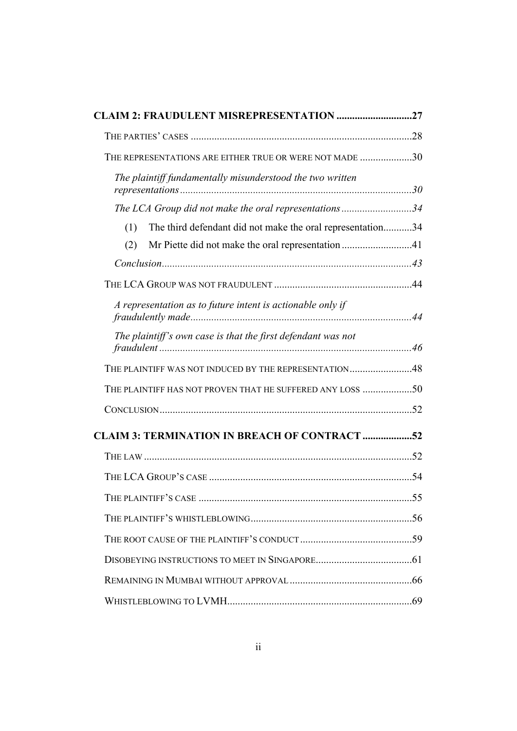| CLAIM 2: FRAUDULENT MISREPRESENTATION 27                          |  |
|-------------------------------------------------------------------|--|
|                                                                   |  |
| THE REPRESENTATIONS ARE EITHER TRUE OR WERE NOT MADE 30           |  |
| The plaintiff fundamentally misunderstood the two written         |  |
| The LCA Group did not make the oral representations34             |  |
| The third defendant did not make the oral representation34<br>(1) |  |
| Mr Piette did not make the oral representation 41<br>(2)          |  |
|                                                                   |  |
|                                                                   |  |
| A representation as to future intent is actionable only if        |  |
| The plaintiff's own case is that the first defendant was not      |  |
| THE PLAINTIFF WAS NOT INDUCED BY THE REPRESENTATION48             |  |
| THE PLAINTIFF HAS NOT PROVEN THAT HE SUFFERED ANY LOSS 50         |  |
|                                                                   |  |
| <b>CLAIM 3: TERMINATION IN BREACH OF CONTRACT 52</b>              |  |
|                                                                   |  |
|                                                                   |  |
|                                                                   |  |
|                                                                   |  |
|                                                                   |  |
|                                                                   |  |
|                                                                   |  |
|                                                                   |  |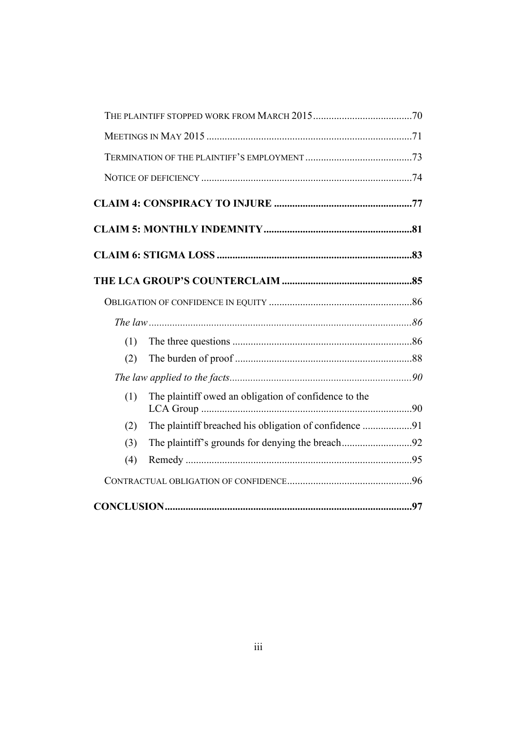| (1) |                                                        |  |
|-----|--------------------------------------------------------|--|
| (2) |                                                        |  |
|     |                                                        |  |
| (1) | The plaintiff owed an obligation of confidence to the  |  |
| (2) | The plaintiff breached his obligation of confidence 91 |  |
| (3) |                                                        |  |
| (4) |                                                        |  |
|     |                                                        |  |
|     |                                                        |  |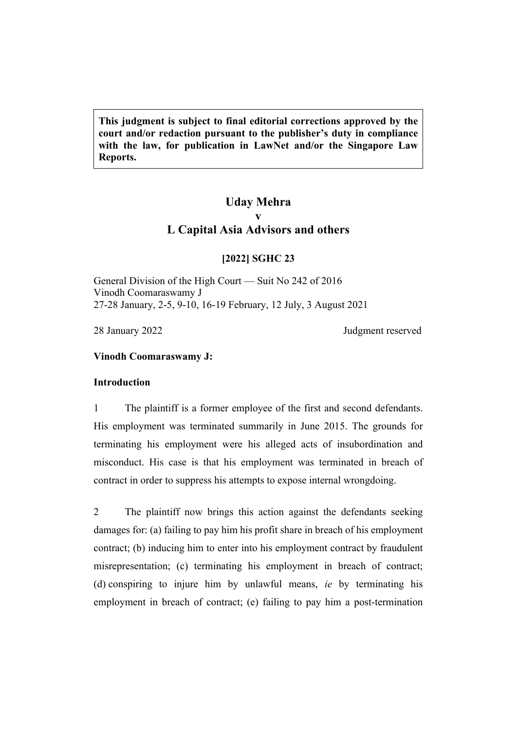**This judgment is subject to final editorial corrections approved by the court and/or redaction pursuant to the publisher's duty in compliance with the law, for publication in LawNet and/or the Singapore Law Reports.**

# **Uday Mehra v L Capital Asia Advisors and others**

# **[2022] SGHC 23**

General Division of the High Court — Suit No 242 of 2016 Vinodh Coomaraswamy J 27-28 January, 2-5, 9-10, 16-19 February, 12 July, 3 August 2021

28 January 2022 Judgment reserved

# <span id="page-4-0"></span>**Vinodh Coomaraswamy J:**

# **Introduction**

1 The plaintiff is a former employee of the first and second defendants. His employment was terminated summarily in June 2015. The grounds for terminating his employment were his alleged acts of insubordination and misconduct. His case is that his employment was terminated in breach of contract in order to suppress his attempts to expose internal wrongdoing.

2 The plaintiff now brings this action against the defendants seeking damages for: (a) failing to pay him his profit share in breach of his employment contract; (b) inducing him to enter into his employment contract by fraudulent misrepresentation; (c) terminating his employment in breach of contract; (d) conspiring to injure him by unlawful means, *ie* by terminating his employment in breach of contract; (e) failing to pay him a post-termination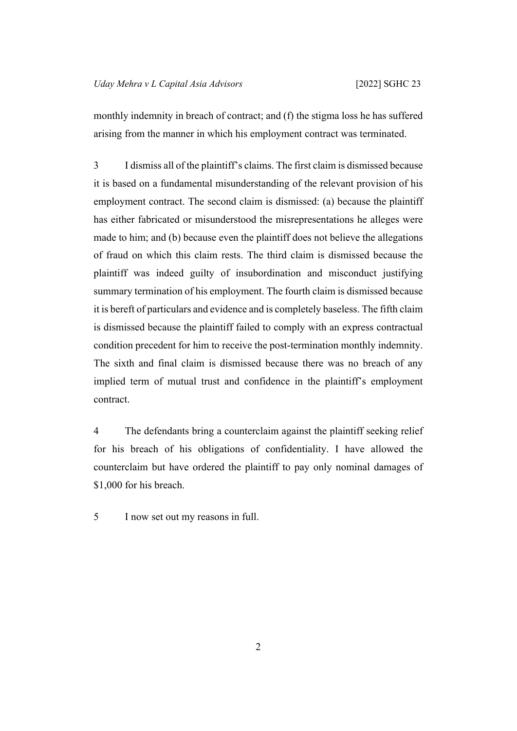monthly indemnity in breach of contract; and (f) the stigma loss he has suffered arising from the manner in which his employment contract was terminated.

3 I dismiss all of the plaintiff's claims. The first claim is dismissed because it is based on a fundamental misunderstanding of the relevant provision of his employment contract. The second claim is dismissed: (a) because the plaintiff has either fabricated or misunderstood the misrepresentations he alleges were made to him; and (b) because even the plaintiff does not believe the allegations of fraud on which this claim rests. The third claim is dismissed because the plaintiff was indeed guilty of insubordination and misconduct justifying summary termination of his employment. The fourth claim is dismissed because it is bereft of particulars and evidence and is completely baseless. The fifth claim is dismissed because the plaintiff failed to comply with an express contractual condition precedent for him to receive the post-termination monthly indemnity. The sixth and final claim is dismissed because there was no breach of any implied term of mutual trust and confidence in the plaintiff's employment contract.

4 The defendants bring a counterclaim against the plaintiff seeking relief for his breach of his obligations of confidentiality. I have allowed the counterclaim but have ordered the plaintiff to pay only nominal damages of \$1,000 for his breach.

5 I now set out my reasons in full.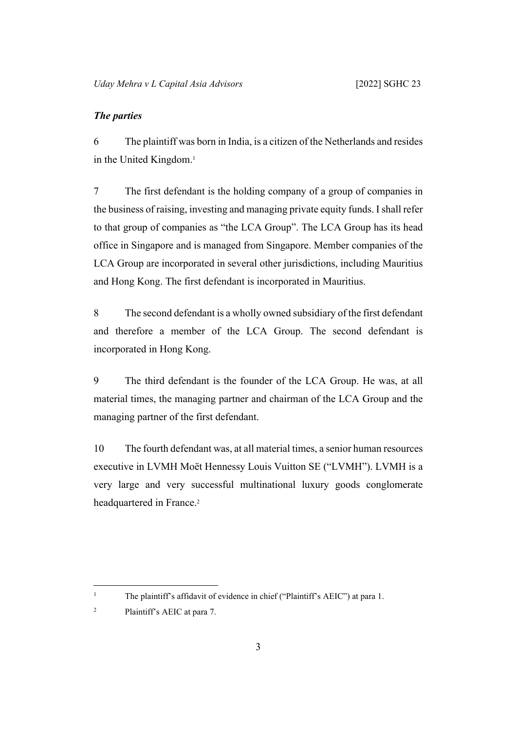# <span id="page-6-0"></span>*The parties*

6 The plaintiff was born in India, is a citizen of the Netherlands and resides in the United Kingdom.<sup>1</sup>

7 The first defendant is the holding company of a group of companies in the business of raising, investing and managing private equity funds. I shall refer to that group of companies as "the LCA Group". The LCA Group has its head office in Singapore and is managed from Singapore. Member companies of the LCA Group are incorporated in several other jurisdictions, including Mauritius and Hong Kong. The first defendant is incorporated in Mauritius.

8 The second defendant is a wholly owned subsidiary of the first defendant and therefore a member of the LCA Group. The second defendant is incorporated in Hong Kong.

9 The third defendant is the founder of the LCA Group. He was, at all material times, the managing partner and chairman of the LCA Group and the managing partner of the first defendant.

10 The fourth defendant was, at all material times, a senior human resources executive in LVMH Moët Hennessy Louis Vuitton SE ("LVMH"). LVMH is a very large and very successful multinational luxury goods conglomerate headquartered in France.<sup>2</sup>

1

The plaintiff's affidavit of evidence in chief ("Plaintiff's AEIC") at para 1.

<sup>2</sup> Plaintiff's AEIC at para 7.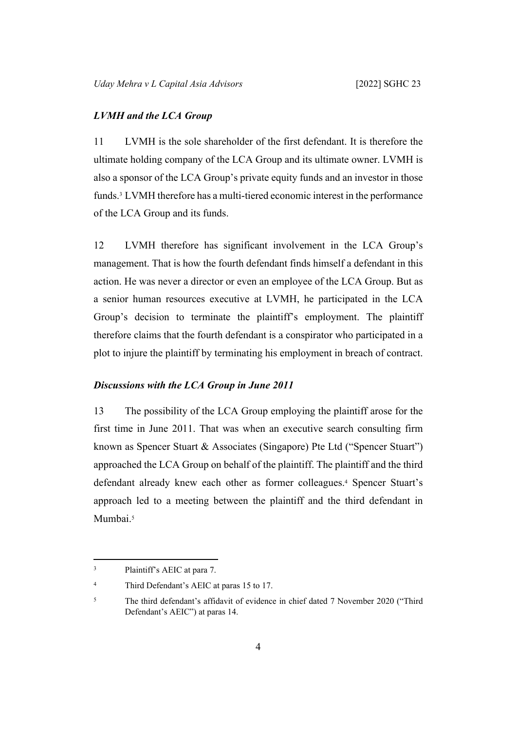### <span id="page-7-0"></span>*LVMH and the LCA Group*

11 LVMH is the sole shareholder of the first defendant. It is therefore the ultimate holding company of the LCA Group and its ultimate owner. LVMH is also a sponsor of the LCA Group's private equity funds and an investor in those funds.<sup>3</sup> LVMH therefore has a multi-tiered economic interest in the performance of the LCA Group and its funds.

12 LVMH therefore has significant involvement in the LCA Group's management. That is how the fourth defendant finds himself a defendant in this action. He was never a director or even an employee of the LCA Group. But as a senior human resources executive at LVMH, he participated in the LCA Group's decision to terminate the plaintiff's employment. The plaintiff therefore claims that the fourth defendant is a conspirator who participated in a plot to injure the plaintiff by terminating his employment in breach of contract.

# <span id="page-7-1"></span>*Discussions with the LCA Group in June 2011*

13 The possibility of the LCA Group employing the plaintiff arose for the first time in June 2011. That was when an executive search consulting firm known as Spencer Stuart & Associates (Singapore) Pte Ltd ("Spencer Stuart") approached the LCA Group on behalf of the plaintiff. The plaintiff and the third defendant already knew each other as former colleagues.<sup>4</sup> Spencer Stuart's approach led to a meeting between the plaintiff and the third defendant in Mumbai.<sup>5</sup>

<sup>3</sup> Plaintiff's AEIC at para 7.

<sup>4</sup> Third Defendant's AEIC at paras 15 to 17.

<sup>5</sup> The third defendant's affidavit of evidence in chief dated 7 November 2020 ("Third Defendant's AEIC") at paras 14.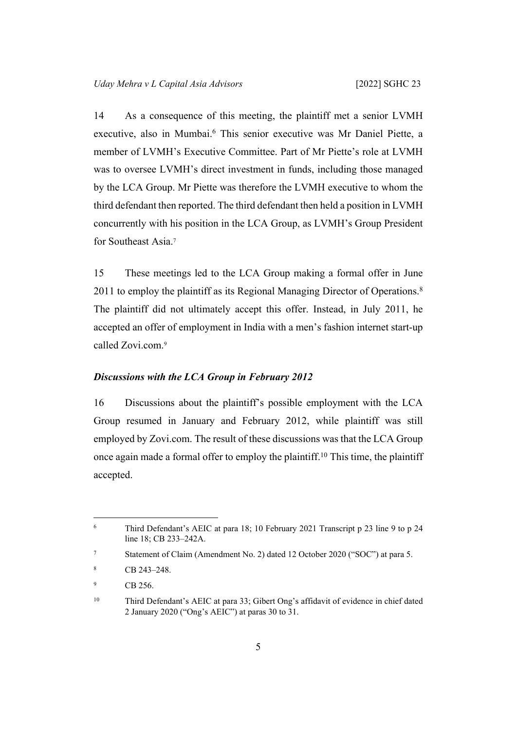14 As a consequence of this meeting, the plaintiff met a senior LVMH executive, also in Mumbai.<sup>6</sup> This senior executive was Mr Daniel Piette, a member of LVMH's Executive Committee. Part of Mr Piette's role at LVMH was to oversee LVMH's direct investment in funds, including those managed by the LCA Group. Mr Piette was therefore the LVMH executive to whom the third defendant then reported. The third defendant then held a position in LVMH concurrently with his position in the LCA Group, as LVMH's Group President for Southeast Asia.<sup>7</sup>

15 These meetings led to the LCA Group making a formal offer in June 2011 to employ the plaintiff as its Regional Managing Director of Operations.<sup>8</sup> The plaintiff did not ultimately accept this offer. Instead, in July 2011, he accepted an offer of employment in India with a men's fashion internet start-up called Zovi.com.<sup>9</sup>

# <span id="page-8-0"></span>*Discussions with the LCA Group in February 2012*

16 Discussions about the plaintiff's possible employment with the LCA Group resumed in January and February 2012, while plaintiff was still employed by Zovi.com. The result of these discussions was that the LCA Group once again made a formal offer to employ the plaintiff.<sup>10</sup> This time, the plaintiff accepted.

<sup>6</sup> Third Defendant's AEIC at para 18; 10 February 2021 Transcript p 23 line 9 to p 24 line 18; CB 233–242A.

<sup>7</sup> Statement of Claim (Amendment No. 2) dated 12 October 2020 ("SOC") at para 5.

<sup>8</sup> CB 243–248.

<sup>9</sup> CB 256.

<sup>10</sup> Third Defendant's AEIC at para 33; Gibert Ong's affidavit of evidence in chief dated 2 January 2020 ("Ong's AEIC") at paras 30 to 31.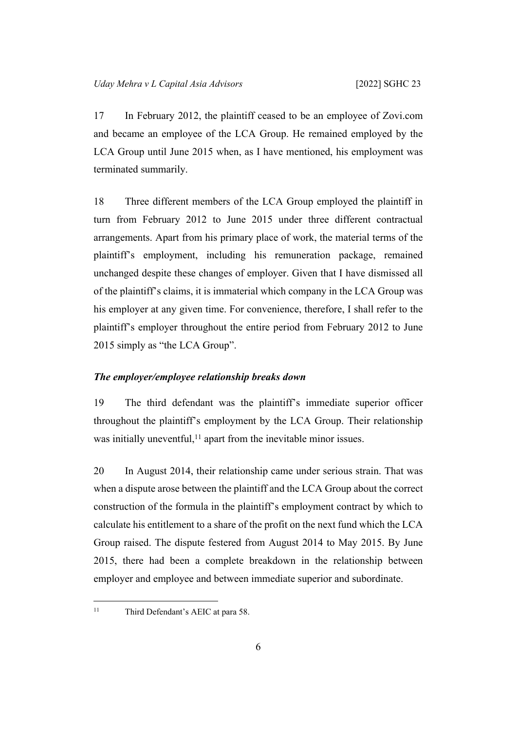17 In February 2012, the plaintiff ceased to be an employee of Zovi.com and became an employee of the LCA Group. He remained employed by the LCA Group until June 2015 when, as I have mentioned, his employment was terminated summarily.

18 Three different members of the LCA Group employed the plaintiff in turn from February 2012 to June 2015 under three different contractual arrangements. Apart from his primary place of work, the material terms of the plaintiff's employment, including his remuneration package, remained unchanged despite these changes of employer. Given that I have dismissed all of the plaintiff's claims, it is immaterial which company in the LCA Group was his employer at any given time. For convenience, therefore, I shall refer to the plaintiff's employer throughout the entire period from February 2012 to June 2015 simply as "the LCA Group".

# <span id="page-9-0"></span>*The employer/employee relationship breaks down*

19 The third defendant was the plaintiff's immediate superior officer throughout the plaintiff's employment by the LCA Group. Their relationship was initially uneventful,<sup>11</sup> apart from the inevitable minor issues.

20 In August 2014, their relationship came under serious strain. That was when a dispute arose between the plaintiff and the LCA Group about the correct construction of the formula in the plaintiff's employment contract by which to calculate his entitlement to a share of the profit on the next fund which the LCA Group raised. The dispute festered from August 2014 to May 2015. By June 2015, there had been a complete breakdown in the relationship between employer and employee and between immediate superior and subordinate.

<sup>&</sup>lt;sup>11</sup> Third Defendant's AEIC at para 58.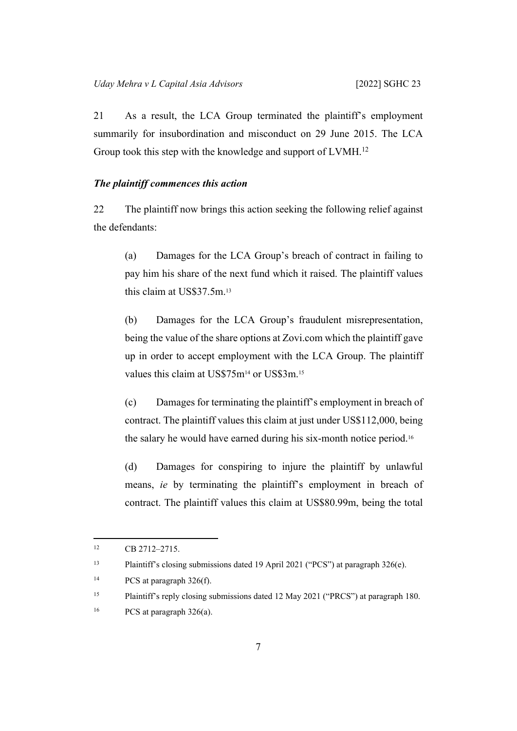21 As a result, the LCA Group terminated the plaintiff's employment summarily for insubordination and misconduct on 29 June 2015. The LCA Group took this step with the knowledge and support of LVMH.<sup>12</sup>

# <span id="page-10-1"></span><span id="page-10-0"></span>*The plaintiff commences this action*

22 The plaintiff now brings this action seeking the following relief against the defendants:

<span id="page-10-2"></span>(a) Damages for the LCA Group's breach of contract in failing to pay him his share of the next fund which it raised. The plaintiff values this claim at US\$37.5m.<sup>13</sup>

(b) Damages for the LCA Group's fraudulent misrepresentation, being the value of the share options at Zovi.com which the plaintiff gave up in order to accept employment with the LCA Group. The plaintiff values this claim at US\$75m<sup>14</sup> or US\$3m.<sup>15</sup>

<span id="page-10-3"></span>(c) Damages for terminating the plaintiff's employment in breach of contract. The plaintiff values this claim at just under US\$112,000, being the salary he would have earned during his six-month notice period.<sup>16</sup>

(d) Damages for conspiring to injure the plaintiff by unlawful means, *ie* by terminating the plaintiff's employment in breach of contract. The plaintiff values this claim at US\$80.99m, being the total

 $\text{CB } 2712 - 2715.$ 

<sup>13</sup> Plaintiff's closing submissions dated 19 April 2021 ("PCS") at paragraph 326(e).

<sup>&</sup>lt;sup>14</sup> PCS at paragraph 326(f).

<sup>&</sup>lt;sup>15</sup> Plaintiff's reply closing submissions dated 12 May 2021 ("PRCS") at paragraph 180.

<sup>&</sup>lt;sup>16</sup> PCS at paragraph 326(a).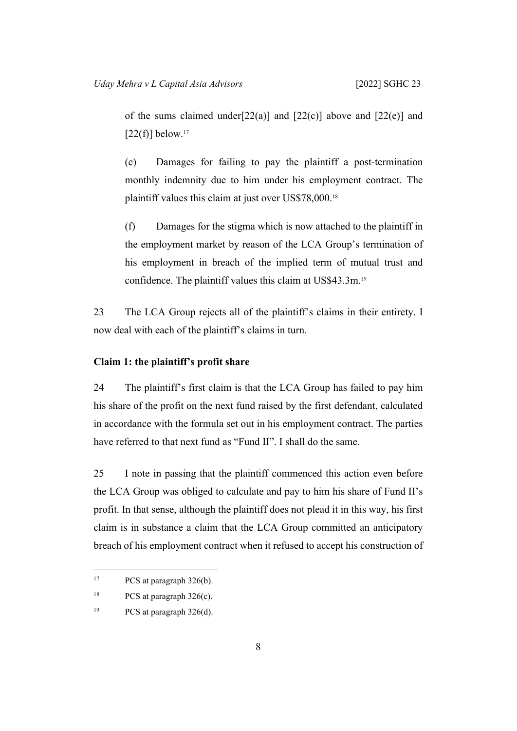of the sums claimed under  $[22(a)]$  $[22(a)]$  $[22(a)]$  $[22(a)]$  and  $[22(c)]$  $[22(c)]$  above and  $[22(e)]$  $[22(e)]$  $[22(e)]$  and  $[22(f)]$  $[22(f)]$  $[22(f)]$  below.<sup>17</sup>

<span id="page-11-1"></span>(e) Damages for failing to pay the plaintiff a post-termination monthly indemnity due to him under his employment contract. The plaintiff values this claim at just over US\$78,000.<sup>18</sup>

<span id="page-11-2"></span>(f) Damages for the stigma which is now attached to the plaintiff in the employment market by reason of the LCA Group's termination of his employment in breach of the implied term of mutual trust and confidence. The plaintiff values this claim at US\$43.3m.<sup>19</sup>

23 The LCA Group rejects all of the plaintiff's claims in their entirety. I now deal with each of the plaintiff's claims in turn.

# <span id="page-11-0"></span>**Claim 1: the plaintiff's profit share**

24 The plaintiff's first claim is that the LCA Group has failed to pay him his share of the profit on the next fund raised by the first defendant, calculated in accordance with the formula set out in his employment contract. The parties have referred to that next fund as "Fund II". I shall do the same.

25 I note in passing that the plaintiff commenced this action even before the LCA Group was obliged to calculate and pay to him his share of Fund II's profit. In that sense, although the plaintiff does not plead it in this way, his first claim is in substance a claim that the LCA Group committed an anticipatory breach of his employment contract when it refused to accept his construction of

<sup>&</sup>lt;sup>17</sup> PCS at paragraph 326(b).

<sup>&</sup>lt;sup>18</sup> PCS at paragraph 326(c).

<sup>&</sup>lt;sup>19</sup> PCS at paragraph 326(d).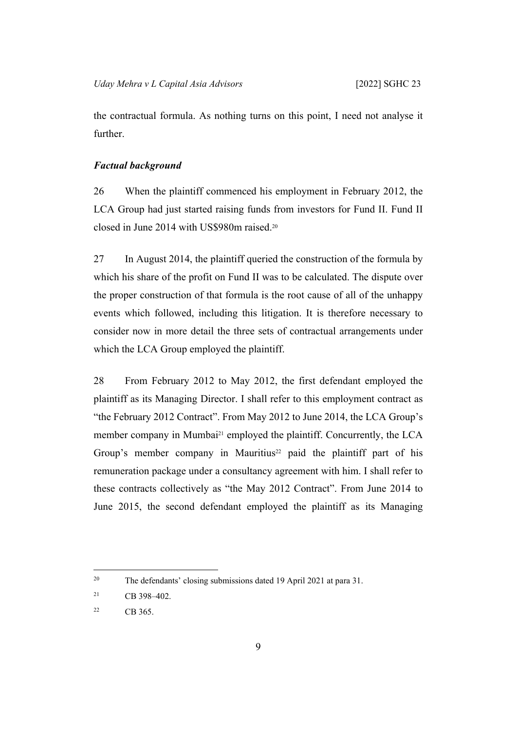the contractual formula. As nothing turns on this point, I need not analyse it further.

## <span id="page-12-0"></span>*Factual background*

26 When the plaintiff commenced his employment in February 2012, the LCA Group had just started raising funds from investors for Fund II. Fund II closed in June 2014 with US\$980m raised.<sup>20</sup>

27 In August 2014, the plaintiff queried the construction of the formula by which his share of the profit on Fund II was to be calculated. The dispute over the proper construction of that formula is the root cause of all of the unhappy events which followed, including this litigation. It is therefore necessary to consider now in more detail the three sets of contractual arrangements under which the LCA Group employed the plaintiff.

28 From February 2012 to May 2012, the first defendant employed the plaintiff as its Managing Director. I shall refer to this employment contract as "the February 2012 Contract". From May 2012 to June 2014, the LCA Group's member company in Mumbai<sup>21</sup> employed the plaintiff. Concurrently, the LCA Group's member company in Mauritius<sup>22</sup> paid the plaintiff part of his remuneration package under a consultancy agreement with him. I shall refer to these contracts collectively as "the May 2012 Contract". From June 2014 to June 2015, the second defendant employed the plaintiff as its Managing

<sup>20</sup> The defendants' closing submissions dated 19 April 2021 at para 31.

<sup>21</sup> CB 398–402.

 $22$  CB 365.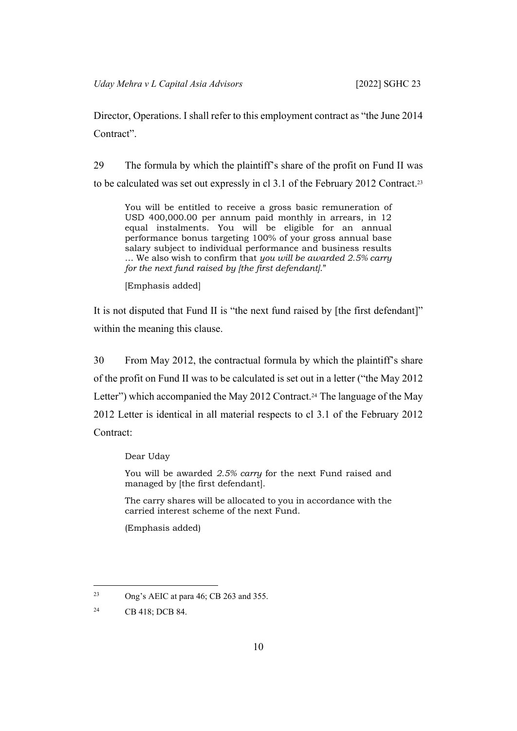Director, Operations. I shall refer to this employment contract as "the June 2014 Contract".

<span id="page-13-0"></span>29 The formula by which the plaintiff's share of the profit on Fund II was to be calculated was set out expressly in cl 3.1 of the February 2012 Contract.<sup>23</sup>

You will be entitled to receive a gross basic remuneration of USD 400,000.00 per annum paid monthly in arrears, in 12 equal instalments. You will be eligible for an annual performance bonus targeting 100% of your gross annual base salary subject to individual performance and business results … We also wish to confirm that *you will be awarded 2.5% carry for the next fund raised by [the first defendant]*."

[Emphasis added]

It is not disputed that Fund II is "the next fund raised by [the first defendant]" within the meaning this clause.

30 From May 2012, the contractual formula by which the plaintiff's share of the profit on Fund II was to be calculated is set out in a letter ("the May 2012 Letter") which accompanied the May 2012 Contract.<sup>24</sup> The language of the May 2012 Letter is identical in all material respects to cl 3.1 of the February 2012 Contract:

Dear Uday

You will be awarded *2.5% carry* for the next Fund raised and managed by [the first defendant].

The carry shares will be allocated to you in accordance with the carried interest scheme of the next Fund.

(Emphasis added)

<sup>23</sup> Ong's AEIC at para 46; CB 263 and 355.

<sup>24</sup> CB 418; DCB 84.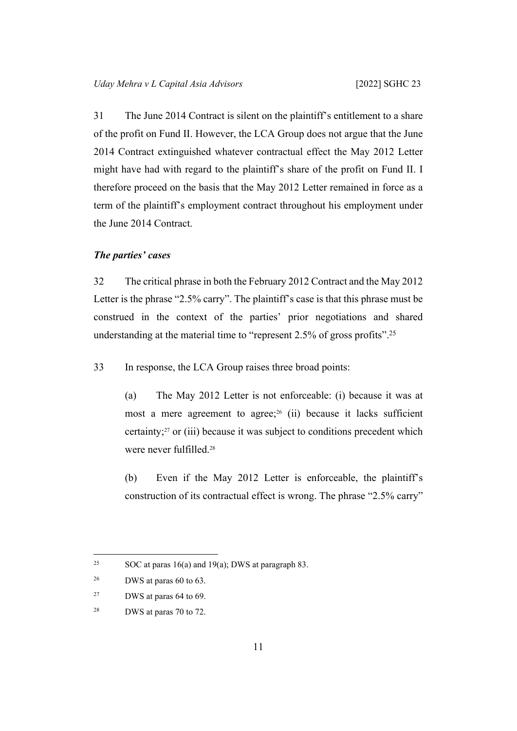31 The June 2014 Contract is silent on the plaintiff's entitlement to a share of the profit on Fund II. However, the LCA Group does not argue that the June 2014 Contract extinguished whatever contractual effect the May 2012 Letter might have had with regard to the plaintiff's share of the profit on Fund II. I therefore proceed on the basis that the May 2012 Letter remained in force as a term of the plaintiff's employment contract throughout his employment under the June 2014 Contract.

# <span id="page-14-0"></span>*The parties' cases*

32 The critical phrase in both the February 2012 Contract and the May 2012 Letter is the phrase "2.5% carry". The plaintiff's case is that this phrase must be construed in the context of the parties' prior negotiations and shared understanding at the material time to "represent 2.5% of gross profits".<sup>25</sup>

<span id="page-14-1"></span>33 In response, the LCA Group raises three broad points:

(a) The May 2012 Letter is not enforceable: (i) because it was at most a mere agreement to agree;<sup>26</sup> (ii) because it lacks sufficient certainty;27 or (iii) because it was subject to conditions precedent which were never fulfilled.<sup>28</sup>

(b) Even if the May 2012 Letter is enforceable, the plaintiff's construction of its contractual effect is wrong. The phrase "2.5% carry"

<sup>&</sup>lt;sup>25</sup> SOC at paras 16(a) and 19(a); DWS at paragraph 83.

 $26$  DWS at paras 60 to 63.

<sup>27</sup> DWS at paras 64 to 69.

<sup>28</sup> DWS at paras 70 to 72.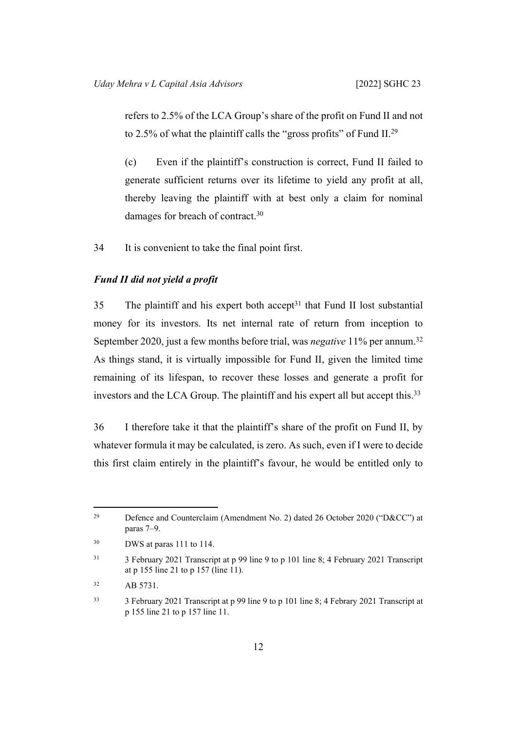refers to 2.5% of the LCA Group's share of the profit on Fund II and not to 2.5% of what the plaintiff calls the "gross profits" of Fund II.<sup>29</sup>

(c) Even if the plaintiff's construction is correct, Fund II failed to generate sufficient returns over its lifetime to yield any profit at all, thereby leaving the plaintiff with at best only a claim for nominal damages for breach of contract.<sup>30</sup>

34 It is convenient to take the final point first.

# <span id="page-15-0"></span>*Fund II did not yield a profit*

 $35$  The plaintiff and his expert both accept<sup>31</sup> that Fund II lost substantial money for its investors. Its net internal rate of return from inception to September 2020, just a few months before trial, was *negative* 11% per annum.<sup>32</sup> As things stand, it is virtually impossible for Fund II, given the limited time remaining of its lifespan, to recover these losses and generate a profit for investors and the LCA Group. The plaintiff and his expert all but accept this.<sup>33</sup>

36 I therefore take it that the plaintiff's share of the profit on Fund II, by whatever formula it may be calculated, is zero. As such, even if I were to decide this first claim entirely in the plaintiff's favour, he would be entitled only to

<sup>29</sup> Defence and Counterclaim (Amendment No. 2) dated 26 October 2020 ("D&CC") at paras 7–9.

<sup>30</sup> DWS at paras 111 to 114.

<sup>&</sup>lt;sup>31</sup> 3 February 2021 Transcript at p 99 line 9 to p 101 line 8; 4 February 2021 Transcript at p 155 line 21 to p 157 (line 11).

<sup>32</sup> AB 5731.

<sup>33</sup> 3 February 2021 Transcript at p 99 line 9 to p 101 line 8; 4 Febrary 2021 Transcript at p 155 line 21 to p 157 line 11.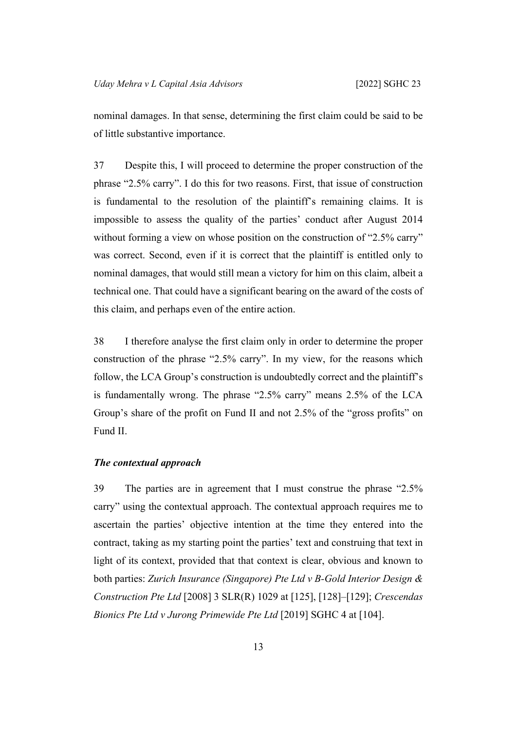nominal damages. In that sense, determining the first claim could be said to be of little substantive importance.

37 Despite this, I will proceed to determine the proper construction of the phrase "2.5% carry". I do this for two reasons. First, that issue of construction is fundamental to the resolution of the plaintiff's remaining claims. It is impossible to assess the quality of the parties' conduct after August 2014 without forming a view on whose position on the construction of "2.5% carry" was correct. Second, even if it is correct that the plaintiff is entitled only to nominal damages, that would still mean a victory for him on this claim, albeit a technical one. That could have a significant bearing on the award of the costs of this claim, and perhaps even of the entire action.

38 I therefore analyse the first claim only in order to determine the proper construction of the phrase "2.5% carry". In my view, for the reasons which follow, the LCA Group's construction is undoubtedly correct and the plaintiff's is fundamentally wrong. The phrase "2.5% carry" means 2.5% of the LCA Group's share of the profit on Fund II and not 2.5% of the "gross profits" on Fund II.

# <span id="page-16-0"></span>*The contextual approach*

39 The parties are in agreement that I must construe the phrase "2.5% carry" using the contextual approach. The contextual approach requires me to ascertain the parties' objective intention at the time they entered into the contract, taking as my starting point the parties' text and construing that text in light of its context, provided that that context is clear, obvious and known to both parties: *Zurich Insurance (Singapore) Pte Ltd v B-Gold Interior Design & Construction Pte Ltd* [2008] 3 SLR(R) 1029 at [125], [128]–[129]; *Crescendas Bionics Pte Ltd v Jurong Primewide Pte Ltd* [2019] SGHC 4 at [104].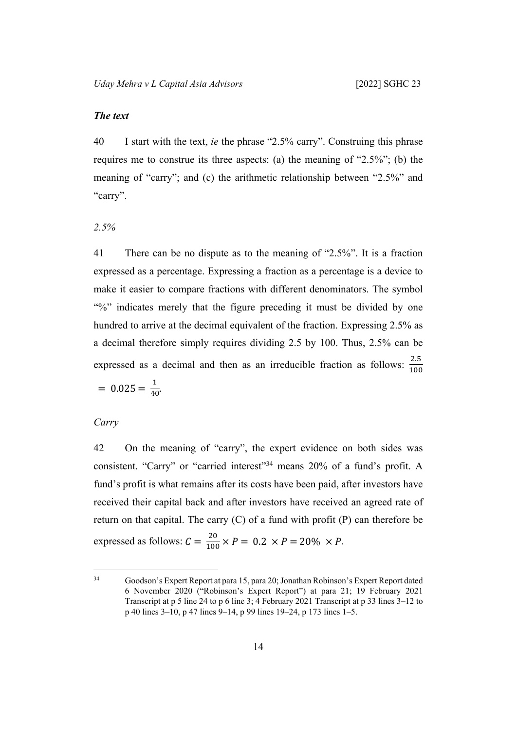# <span id="page-17-0"></span>*The text*

40 I start with the text, *ie* the phrase "2.5% carry". Construing this phrase requires me to construe its three aspects: (a) the meaning of "2.5%"; (b) the meaning of "carry"; and (c) the arithmetic relationship between "2.5%" and "carry".

<span id="page-17-1"></span>*2.5%*

41 There can be no dispute as to the meaning of "2.5%". It is a fraction expressed as a percentage. Expressing a fraction as a percentage is a device to make it easier to compare fractions with different denominators. The symbol "%" indicates merely that the figure preceding it must be divided by one hundred to arrive at the decimal equivalent of the fraction. Expressing 2.5% as a decimal therefore simply requires dividing 2.5 by 100. Thus, 2.5% can be expressed as a decimal and then as an irreducible fraction as follows:  $\frac{2.5}{100}$  $= 0.025 = \frac{1}{40}$ 

# <span id="page-17-2"></span>*Carry*

42 On the meaning of "carry", the expert evidence on both sides was consistent. "Carry" or "carried interest"<sup>34</sup> means 20% of a fund's profit. A fund's profit is what remains after its costs have been paid, after investors have received their capital back and after investors have received an agreed rate of return on that capital. The carry  $(C)$  of a fund with profit  $(P)$  can therefore be expressed as follows:  $C = \frac{20}{100} \times P = 0.2 \times P = 20\% \times P$ .

<sup>34</sup> Goodson's Expert Report at para 15, para 20; Jonathan Robinson's Expert Report dated 6 November 2020 ("Robinson's Expert Report") at para 21; 19 February 2021 Transcript at p 5 line 24 to p 6 line 3; 4 February 2021 Transcript at p 33 lines 3–12 to p 40 lines 3–10, p 47 lines 9–14, p 99 lines 19–24, p 173 lines 1–5.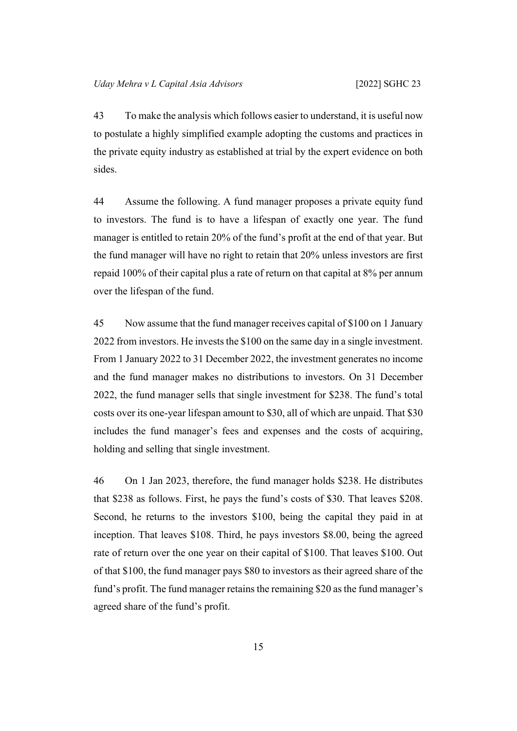43 To make the analysis which follows easier to understand, it is useful now to postulate a highly simplified example adopting the customs and practices in the private equity industry as established at trial by the expert evidence on both sides.

<span id="page-18-0"></span>44 Assume the following. A fund manager proposes a private equity fund to investors. The fund is to have a lifespan of exactly one year. The fund manager is entitled to retain 20% of the fund's profit at the end of that year. But the fund manager will have no right to retain that 20% unless investors are first repaid 100% of their capital plus a rate of return on that capital at 8% per annum over the lifespan of the fund.

45 Now assume that the fund manager receives capital of \$100 on 1 January 2022 from investors. He invests the \$100 on the same day in a single investment. From 1 January 2022 to 31 December 2022, the investment generates no income and the fund manager makes no distributions to investors. On 31 December 2022, the fund manager sells that single investment for \$238. The fund's total costs over its one-year lifespan amount to \$30, all of which are unpaid. That \$30 includes the fund manager's fees and expenses and the costs of acquiring, holding and selling that single investment.

<span id="page-18-1"></span>46 On 1 Jan 2023, therefore, the fund manager holds \$238. He distributes that \$238 as follows. First, he pays the fund's costs of \$30. That leaves \$208. Second, he returns to the investors \$100, being the capital they paid in at inception. That leaves \$108. Third, he pays investors \$8.00, being the agreed rate of return over the one year on their capital of \$100. That leaves \$100. Out of that \$100, the fund manager pays \$80 to investors as their agreed share of the fund's profit. The fund manager retains the remaining \$20 as the fund manager's agreed share of the fund's profit.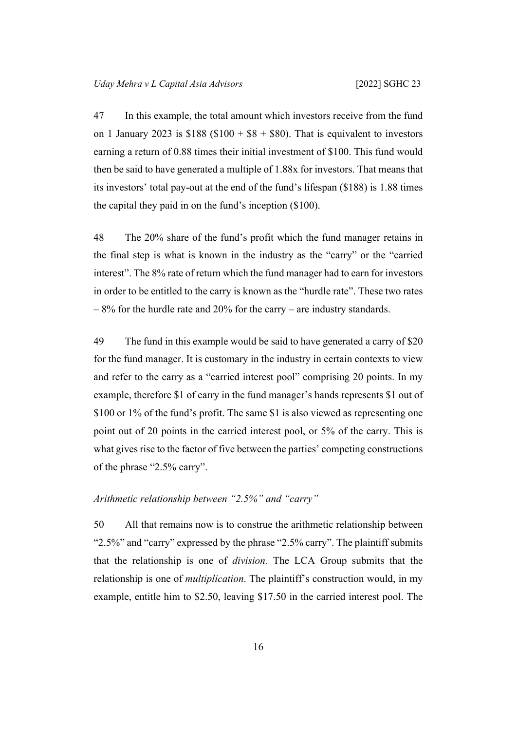47 In this example, the total amount which investors receive from the fund on 1 January 2023 is  $$188 ($100 + $8 + $80)$ . That is equivalent to investors earning a return of 0.88 times their initial investment of \$100. This fund would then be said to have generated a multiple of 1.88x for investors. That means that its investors' total pay-out at the end of the fund's lifespan (\$188) is 1.88 times the capital they paid in on the fund's inception (\$100).

48 The 20% share of the fund's profit which the fund manager retains in the final step is what is known in the industry as the "carry" or the "carried interest". The 8% rate of return which the fund manager had to earn for investors in order to be entitled to the carry is known as the "hurdle rate". These two rates  $-8\%$  for the hurdle rate and 20% for the carry – are industry standards.

49 The fund in this example would be said to have generated a carry of \$20 for the fund manager. It is customary in the industry in certain contexts to view and refer to the carry as a "carried interest pool" comprising 20 points. In my example, therefore \$1 of carry in the fund manager's hands represents \$1 out of \$100 or 1% of the fund's profit. The same \$1 is also viewed as representing one point out of 20 points in the carried interest pool, or 5% of the carry. This is what gives rise to the factor of five between the parties' competing constructions of the phrase "2.5% carry".

# <span id="page-19-0"></span>*Arithmetic relationship between "2.5%" and "carry"*

50 All that remains now is to construe the arithmetic relationship between "2.5%" and "carry" expressed by the phrase "2.5% carry". The plaintiff submits that the relationship is one of *division.* The LCA Group submits that the relationship is one of *multiplication*. The plaintiff's construction would, in my example, entitle him to \$2.50, leaving \$17.50 in the carried interest pool. The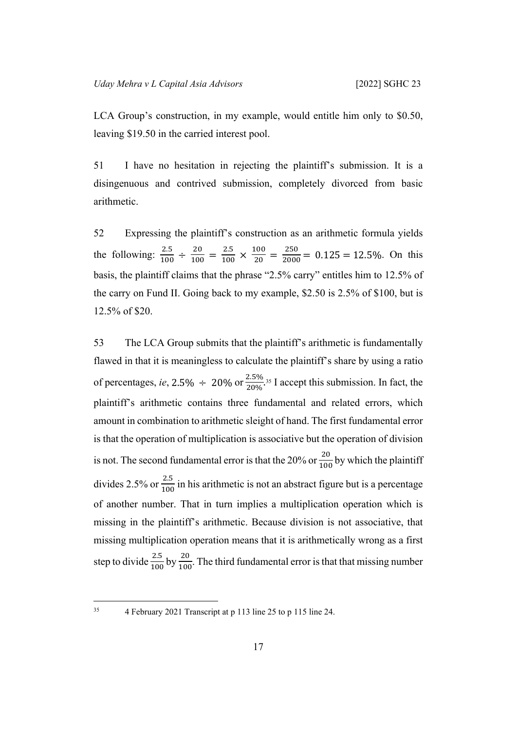LCA Group's construction, in my example, would entitle him only to \$0.50, leaving \$19.50 in the carried interest pool.

51 I have no hesitation in rejecting the plaintiff's submission. It is a disingenuous and contrived submission, completely divorced from basic arithmetic.

52 Expressing the plaintiff's construction as an arithmetic formula yields the following:  $\frac{2.5}{100} \div \frac{20}{100} = \frac{2.5}{100} \times \frac{100}{20} = \frac{250}{2000} = 0.125 = 12.5\%$ . On this basis, the plaintiff claims that the phrase "2.5% carry" entitles him to 12.5% of the carry on Fund II. Going back to my example, \$2.50 is 2.5% of \$100, but is 12.5% of \$20.

53 The LCA Group submits that the plaintiff's arithmetic is fundamentally flawed in that it is meaningless to calculate the plaintiff's share by using a ratio of percentages, *ie*, 2.5%  $\div$  20% or  $\frac{2.5\%}{20\%}$ <sup>35</sup> I accept this submission. In fact, the plaintiff's arithmetic contains three fundamental and related errors, which amount in combination to arithmetic sleight of hand. The first fundamental error is that the operation of multiplication is associative but the operation of division is not. The second fundamental error is that the 20% or  $\frac{20}{100}$  by which the plaintiff divides 2.5% or  $\frac{2.5}{100}$  in his arithmetic is not an abstract figure but is a percentage of another number. That in turn implies a multiplication operation which is missing in the plaintiff's arithmetic. Because division is not associative, that missing multiplication operation means that it is arithmetically wrong as a first step to divide  $\frac{2.5}{100}$  by  $\frac{20}{100}$ . The third fundamental error is that that missing number

<sup>35</sup> 4 February 2021 Transcript at p 113 line 25 to p 115 line 24.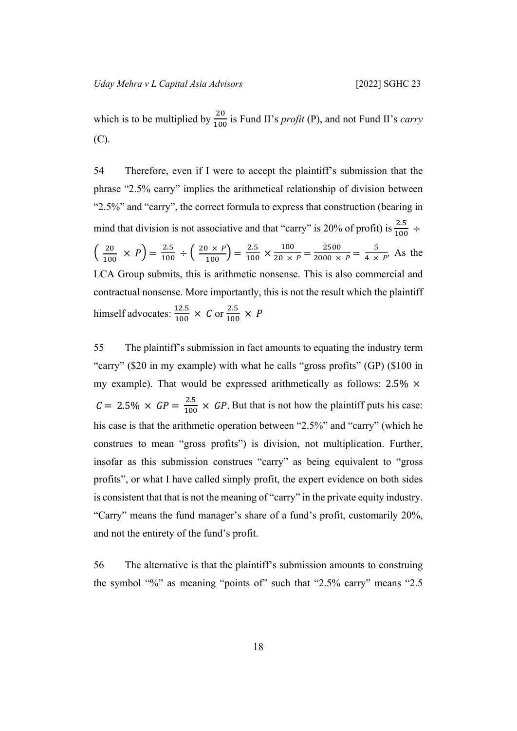which is to be multiplied by  $\frac{20}{100}$  is Fund II's *profit* (P), and not Fund II's *carry* (C).

54 Therefore, even if I were to accept the plaintiff's submission that the phrase "2.5% carry" implies the arithmetical relationship of division between "2.5%" and "carry", the correct formula to express that construction (bearing in mind that division is not associative and that "carry" is 20% of profit) is  $\frac{2.5}{100} \div$ 20  $\frac{20}{100} \times P$  =  $\frac{2.5}{100} \div \left( \frac{20 \times P}{100} \right)$  $\left(\frac{1 \times P}{100}\right) = \frac{2.5}{100} \times \frac{100}{20 \times}$  $\frac{100}{20 \times P} = \frac{2500}{2000 \times}$  $\frac{2500}{2000 \times P} = \frac{5}{4 \times}$  $\frac{3}{4 \times P}$ . As the LCA Group submits, this is arithmetic nonsense. This is also commercial and contractual nonsense. More importantly, this is not the result which the plaintiff himself advocates:  $\frac{12.5}{100} \times C$  or  $\frac{2.5}{100} \times P$ 

55 The plaintiff's submission in fact amounts to equating the industry term "carry" (\$20 in my example) with what he calls "gross profits" (GP) (\$100 in my example). That would be expressed arithmetically as follows:  $2.5\% \times$  $C = 2.5\% \times GP = \frac{2.5}{100} \times GP$ . But that is not how the plaintiff puts his case: his case is that the arithmetic operation between "2.5%" and "carry" (which he construes to mean "gross profits") is division, not multiplication. Further, insofar as this submission construes "carry" as being equivalent to "gross profits", or what I have called simply profit, the expert evidence on both sides is consistent that that is not the meaning of "carry" in the private equity industry. "Carry" means the fund manager's share of a fund's profit, customarily 20%, and not the entirety of the fund's profit.

56 The alternative is that the plaintiff's submission amounts to construing the symbol "%" as meaning "points of" such that "2.5% carry" means "2.5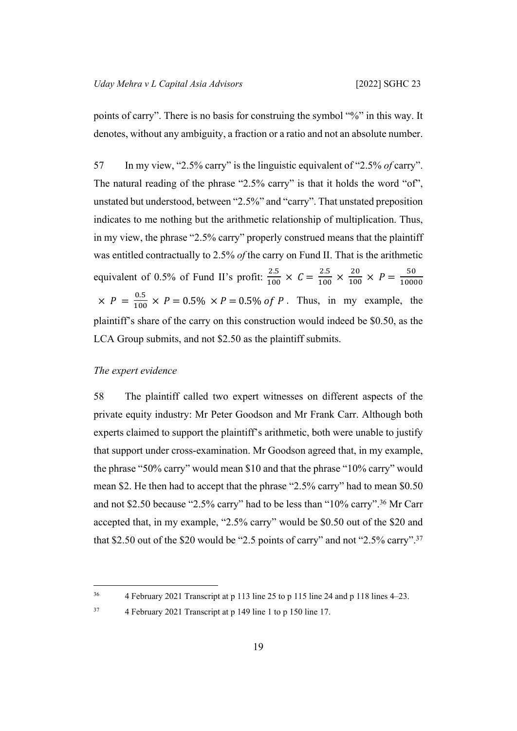points of carry". There is no basis for construing the symbol "%" in this way. It denotes, without any ambiguity, a fraction or a ratio and not an absolute number.

57 In my view, "2.5% carry" is the linguistic equivalent of "2.5% *of* carry". The natural reading of the phrase "2.5% carry" is that it holds the word "of", unstated but understood, between "2.5%" and "carry". That unstated preposition indicates to me nothing but the arithmetic relationship of multiplication. Thus, in my view, the phrase "2.5% carry" properly construed means that the plaintiff was entitled contractually to 2.5% *of* the carry on Fund II. That is the arithmetic equivalent of 0.5% of Fund II's profit:  $\frac{2.5}{100} \times C = \frac{2.5}{100} \times \frac{20}{100} \times P = \frac{50}{1000}$ 10000  $\times$   $P = \frac{0.5}{100} \times P = 0.5\% \times P = 0.5\%$  of P. Thus, in my example, the plaintiff's share of the carry on this construction would indeed be \$0.50, as the LCA Group submits, and not \$2.50 as the plaintiff submits.

# <span id="page-22-0"></span>*The expert evidence*

58 The plaintiff called two expert witnesses on different aspects of the private equity industry: Mr Peter Goodson and Mr Frank Carr. Although both experts claimed to support the plaintiff's arithmetic, both were unable to justify that support under cross-examination. Mr Goodson agreed that, in my example, the phrase "50% carry" would mean \$10 and that the phrase "10% carry" would mean \$2. He then had to accept that the phrase "2.5% carry" had to mean \$0.50 and not \$2.50 because "2.5% carry" had to be less than "10% carry".<sup>36</sup> Mr Carr accepted that, in my example, "2.5% carry" would be \$0.50 out of the \$20 and that \$2.50 out of the \$20 would be "2.5 points of carry" and not "2.5% carry".<sup>37</sup>

<sup>36</sup> 4 February 2021 Transcript at p 113 line 25 to p 115 line 24 and p 118 lines 4–23.

<sup>37</sup> 4 February 2021 Transcript at p 149 line 1 to p 150 line 17.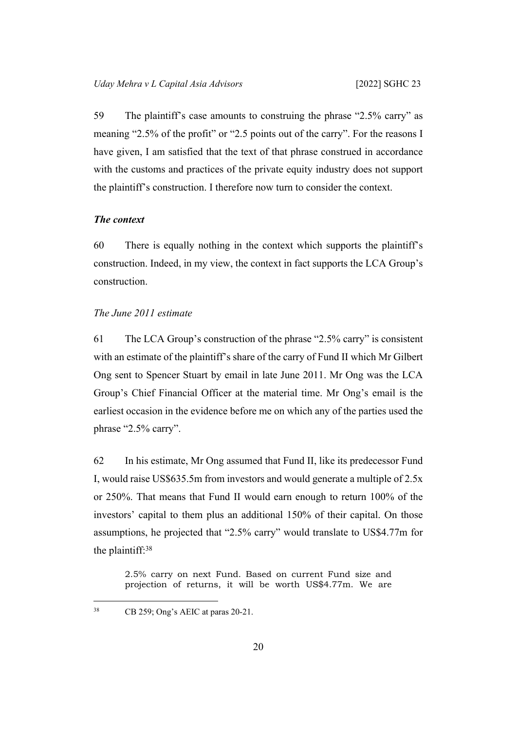59 The plaintiff's case amounts to construing the phrase "2.5% carry" as meaning "2.5% of the profit" or "2.5 points out of the carry". For the reasons I have given, I am satisfied that the text of that phrase construed in accordance with the customs and practices of the private equity industry does not support the plaintiff's construction. I therefore now turn to consider the context.

# <span id="page-23-0"></span>*The context*

60 There is equally nothing in the context which supports the plaintiff's construction. Indeed, in my view, the context in fact supports the LCA Group's construction.

# <span id="page-23-1"></span>*The June 2011 estimate*

61 The LCA Group's construction of the phrase "2.5% carry" is consistent with an estimate of the plaintiff's share of the carry of Fund II which Mr Gilbert Ong sent to Spencer Stuart by email in late June 2011. Mr Ong was the LCA Group's Chief Financial Officer at the material time. Mr Ong's email is the earliest occasion in the evidence before me on which any of the parties used the phrase "2.5% carry".

<span id="page-23-2"></span>62 In his estimate, Mr Ong assumed that Fund II, like its predecessor Fund I, would raise US\$635.5m from investors and would generate a multiple of 2.5x or 250%. That means that Fund II would earn enough to return 100% of the investors' capital to them plus an additional 150% of their capital. On those assumptions, he projected that "2.5% carry" would translate to US\$4.77m for the plaintiff:<sup>38</sup>

2.5% carry on next Fund. Based on current Fund size and projection of returns, it will be worth US\$4.77m. We are

<sup>38</sup> CB 259; Ong's AEIC at paras 20-21.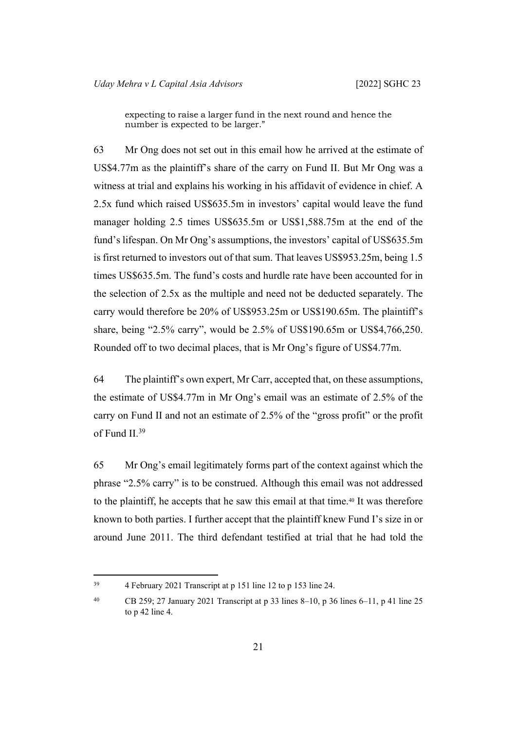expecting to raise a larger fund in the next round and hence the number is expected to be larger."

63 Mr Ong does not set out in this email how he arrived at the estimate of US\$4.77m as the plaintiff's share of the carry on Fund II. But Mr Ong was a witness at trial and explains his working in his affidavit of evidence in chief. A 2.5x fund which raised US\$635.5m in investors' capital would leave the fund manager holding 2.5 times US\$635.5m or US\$1,588.75m at the end of the fund's lifespan. On Mr Ong's assumptions, the investors' capital of US\$635.5m is first returned to investors out of that sum. That leaves US\$953.25m, being 1.5 times US\$635.5m. The fund's costs and hurdle rate have been accounted for in the selection of 2.5x as the multiple and need not be deducted separately. The carry would therefore be 20% of US\$953.25m or US\$190.65m. The plaintiff's share, being "2.5% carry", would be 2.5% of US\$190.65m or US\$4,766,250. Rounded off to two decimal places, that is Mr Ong's figure of US\$4.77m.

64 The plaintiff's own expert, Mr Carr, accepted that, on these assumptions, the estimate of US\$4.77m in Mr Ong's email was an estimate of 2.5% of the carry on Fund II and not an estimate of 2.5% of the "gross profit" or the profit of Fund II.<sup>39</sup>

65 Mr Ong's email legitimately forms part of the context against which the phrase "2.5% carry" is to be construed. Although this email was not addressed to the plaintiff, he accepts that he saw this email at that time.40 It was therefore known to both parties. I further accept that the plaintiff knew Fund I's size in or around June 2011. The third defendant testified at trial that he had told the

<sup>39</sup> 4 February 2021 Transcript at p 151 line 12 to p 153 line 24.

<sup>&</sup>lt;sup>40</sup> CB 259; 27 January 2021 Transcript at p 33 lines 8–10, p 36 lines 6–11, p 41 line 25 to p 42 line 4.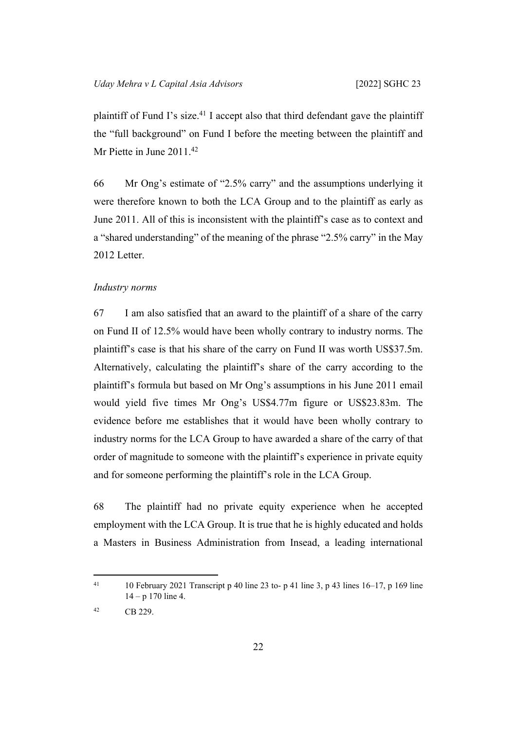plaintiff of Fund I's size.<sup>41</sup> I accept also that third defendant gave the plaintiff the "full background" on Fund I before the meeting between the plaintiff and Mr Piette in June 2011.<sup>42</sup>

66 Mr Ong's estimate of "2.5% carry" and the assumptions underlying it were therefore known to both the LCA Group and to the plaintiff as early as June 2011. All of this is inconsistent with the plaintiff's case as to context and a "shared understanding" of the meaning of the phrase "2.5% carry" in the May 2012 Letter.

#### <span id="page-25-0"></span>*Industry norms*

67 I am also satisfied that an award to the plaintiff of a share of the carry on Fund II of 12.5% would have been wholly contrary to industry norms. The plaintiff's case is that his share of the carry on Fund II was worth US\$37.5m. Alternatively, calculating the plaintiff's share of the carry according to the plaintiff's formula but based on Mr Ong's assumptions in his June 2011 email would yield five times Mr Ong's US\$4.77m figure or US\$23.83m. The evidence before me establishes that it would have been wholly contrary to industry norms for the LCA Group to have awarded a share of the carry of that order of magnitude to someone with the plaintiff's experience in private equity and for someone performing the plaintiff's role in the LCA Group.

68 The plaintiff had no private equity experience when he accepted employment with the LCA Group. It is true that he is highly educated and holds a Masters in Business Administration from Insead, a leading international

<sup>&</sup>lt;sup>41</sup> 10 February 2021 Transcript p 40 line 23 to- p 41 line 3, p 43 lines 16–17, p 169 line  $14 - p 170$  line 4.

<sup>42</sup> CB 229.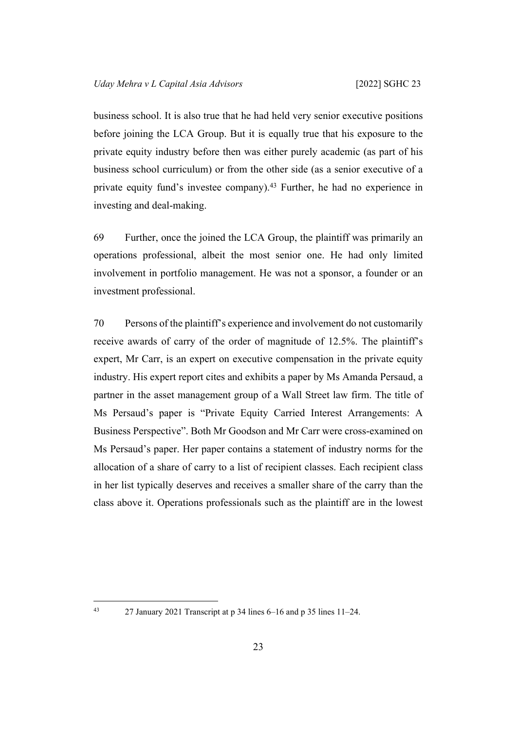business school. It is also true that he had held very senior executive positions before joining the LCA Group. But it is equally true that his exposure to the private equity industry before then was either purely academic (as part of his business school curriculum) or from the other side (as a senior executive of a private equity fund's investee company).<sup>43</sup> Further, he had no experience in investing and deal-making.

69 Further, once the joined the LCA Group, the plaintiff was primarily an operations professional, albeit the most senior one. He had only limited involvement in portfolio management. He was not a sponsor, a founder or an investment professional.

70 Persons of the plaintiff's experience and involvement do not customarily receive awards of carry of the order of magnitude of 12.5%. The plaintiff's expert, Mr Carr, is an expert on executive compensation in the private equity industry. His expert report cites and exhibits a paper by Ms Amanda Persaud, a partner in the asset management group of a Wall Street law firm. The title of Ms Persaud's paper is "Private Equity Carried Interest Arrangements: A Business Perspective". Both Mr Goodson and Mr Carr were cross-examined on Ms Persaud's paper. Her paper contains a statement of industry norms for the allocation of a share of carry to a list of recipient classes. Each recipient class in her list typically deserves and receives a smaller share of the carry than the class above it. Operations professionals such as the plaintiff are in the lowest

<sup>43</sup> 27 January 2021 Transcript at p 34 lines 6–16 and p 35 lines 11–24.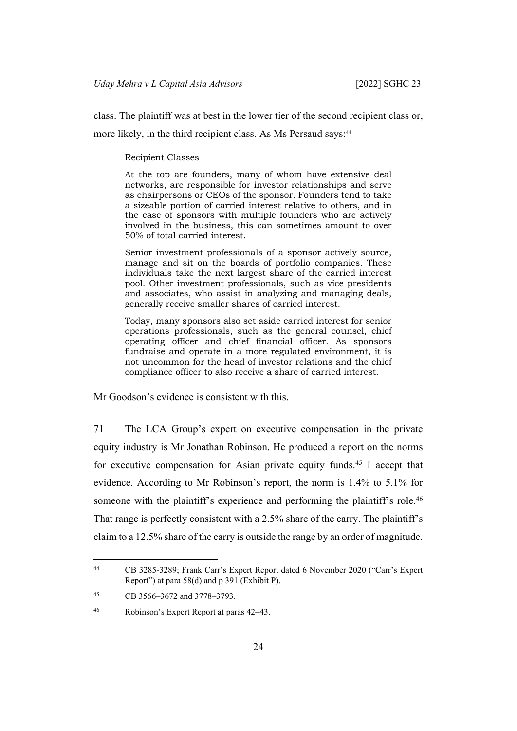class. The plaintiff was at best in the lower tier of the second recipient class or,

more likely, in the third recipient class. As Ms Persaud says:<sup>44</sup>

#### Recipient Classes

At the top are founders, many of whom have extensive deal networks, are responsible for investor relationships and serve as chairpersons or CEOs of the sponsor. Founders tend to take a sizeable portion of carried interest relative to others, and in the case of sponsors with multiple founders who are actively involved in the business, this can sometimes amount to over 50% of total carried interest.

Senior investment professionals of a sponsor actively source, manage and sit on the boards of portfolio companies. These individuals take the next largest share of the carried interest pool. Other investment professionals, such as vice presidents and associates, who assist in analyzing and managing deals, generally receive smaller shares of carried interest.

Today, many sponsors also set aside carried interest for senior operations professionals, such as the general counsel, chief operating officer and chief financial officer. As sponsors fundraise and operate in a more regulated environment, it is not uncommon for the head of investor relations and the chief compliance officer to also receive a share of carried interest.

Mr Goodson's evidence is consistent with this.

71 The LCA Group's expert on executive compensation in the private equity industry is Mr Jonathan Robinson. He produced a report on the norms for executive compensation for Asian private equity funds.<sup>45</sup> I accept that evidence. According to Mr Robinson's report, the norm is 1.4% to 5.1% for someone with the plaintiff's experience and performing the plaintiff's role.<sup>46</sup> That range is perfectly consistent with a 2.5% share of the carry. The plaintiff's claim to a 12.5% share of the carry is outside the range by an order of magnitude.

<sup>44</sup> CB 3285-3289; Frank Carr's Expert Report dated 6 November 2020 ("Carr's Expert Report") at para 58(d) and p 391 (Exhibit P).

<sup>45</sup> CB 3566–3672 and 3778–3793.

<sup>46</sup> Robinson's Expert Report at paras 42–43.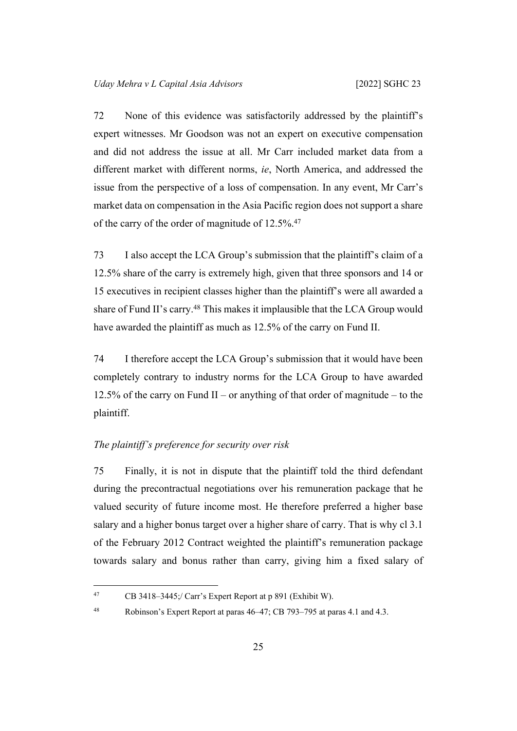72 None of this evidence was satisfactorily addressed by the plaintiff's expert witnesses. Mr Goodson was not an expert on executive compensation and did not address the issue at all. Mr Carr included market data from a different market with different norms, *ie*, North America, and addressed the issue from the perspective of a loss of compensation. In any event, Mr Carr's market data on compensation in the Asia Pacific region does not support a share of the carry of the order of magnitude of 12.5%.<sup>47</sup>

73 I also accept the LCA Group's submission that the plaintiff's claim of a 12.5% share of the carry is extremely high, given that three sponsors and 14 or 15 executives in recipient classes higher than the plaintiff's were all awarded a share of Fund II's carry.<sup>48</sup> This makes it implausible that the LCA Group would have awarded the plaintiff as much as 12.5% of the carry on Fund II.

74 I therefore accept the LCA Group's submission that it would have been completely contrary to industry norms for the LCA Group to have awarded 12.5% of the carry on Fund II – or anything of that order of magnitude – to the plaintiff.

# <span id="page-28-0"></span>*The plaintiff's preference for security over risk*

75 Finally, it is not in dispute that the plaintiff told the third defendant during the precontractual negotiations over his remuneration package that he valued security of future income most. He therefore preferred a higher base salary and a higher bonus target over a higher share of carry. That is why cl 3.1 of the February 2012 Contract weighted the plaintiff's remuneration package towards salary and bonus rather than carry, giving him a fixed salary of

<sup>47</sup> CB 3418–3445;/ Carr's Expert Report at p 891 (Exhibit W).

<sup>48</sup> Robinson's Expert Report at paras 46–47; CB 793–795 at paras 4.1 and 4.3.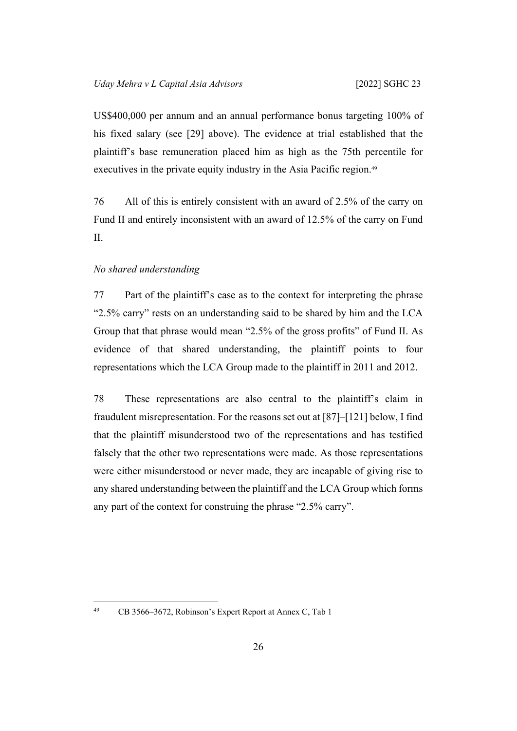US\$400,000 per annum and an annual performance bonus targeting 100% of his fixed salary (see [\[29](#page-13-0)] above). The evidence at trial established that the plaintiff's base remuneration placed him as high as the 75th percentile for executives in the private equity industry in the Asia Pacific region.<sup>49</sup>

76 All of this is entirely consistent with an award of 2.5% of the carry on Fund II and entirely inconsistent with an award of 12.5% of the carry on Fund II.

#### <span id="page-29-0"></span>*No shared understanding*

77 Part of the plaintiff's case as to the context for interpreting the phrase "2.5% carry" rests on an understanding said to be shared by him and the LCA Group that that phrase would mean "2.5% of the gross profits" of Fund II. As evidence of that shared understanding, the plaintiff points to four representations which the LCA Group made to the plaintiff in 2011 and 2012.

78 These representations are also central to the plaintiff's claim in fraudulent misrepresentation. For the reasons set out at [[87\]](#page-33-2)–[[121\]](#page-45-0) below, I find that the plaintiff misunderstood two of the representations and has testified falsely that the other two representations were made. As those representations were either misunderstood or never made, they are incapable of giving rise to any shared understanding between the plaintiff and the LCA Group which forms any part of the context for construing the phrase "2.5% carry".

<sup>49</sup> CB 3566–3672, Robinson's Expert Report at Annex C, Tab 1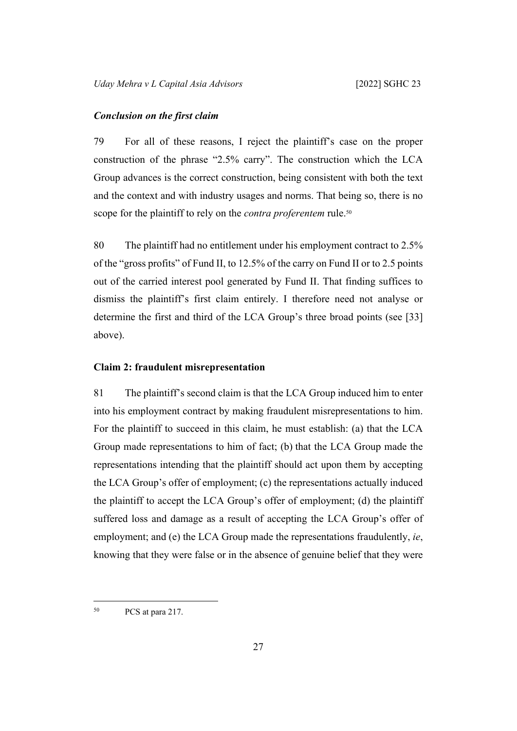#### <span id="page-30-0"></span>*Conclusion on the first claim*

79 For all of these reasons, I reject the plaintiff's case on the proper construction of the phrase "2.5% carry". The construction which the LCA Group advances is the correct construction, being consistent with both the text and the context and with industry usages and norms. That being so, there is no scope for the plaintiff to rely on the *contra proferentem* rule.<sup>50</sup>

80 The plaintiff had no entitlement under his employment contract to 2.5% of the "gross profits" of Fund II, to 12.5% of the carry on Fund II or to 2.5 points out of the carried interest pool generated by Fund II. That finding suffices to dismiss the plaintiff's first claim entirely. I therefore need not analyse or determine the first and third of the LCA Group's three broad points (see [\[33](#page-14-1)] above).

#### <span id="page-30-1"></span>**Claim 2: fraudulent misrepresentation**

81 The plaintiff's second claim is that the LCA Group induced him to enter into his employment contract by making fraudulent misrepresentations to him. For the plaintiff to succeed in this claim, he must establish: (a) that the LCA Group made representations to him of fact; (b) that the LCA Group made the representations intending that the plaintiff should act upon them by accepting the LCA Group's offer of employment; (c) the representations actually induced the plaintiff to accept the LCA Group's offer of employment; (d) the plaintiff suffered loss and damage as a result of accepting the LCA Group's offer of employment; and (e) the LCA Group made the representations fraudulently, *ie*, knowing that they were false or in the absence of genuine belief that they were

<sup>50</sup> PCS at para 217.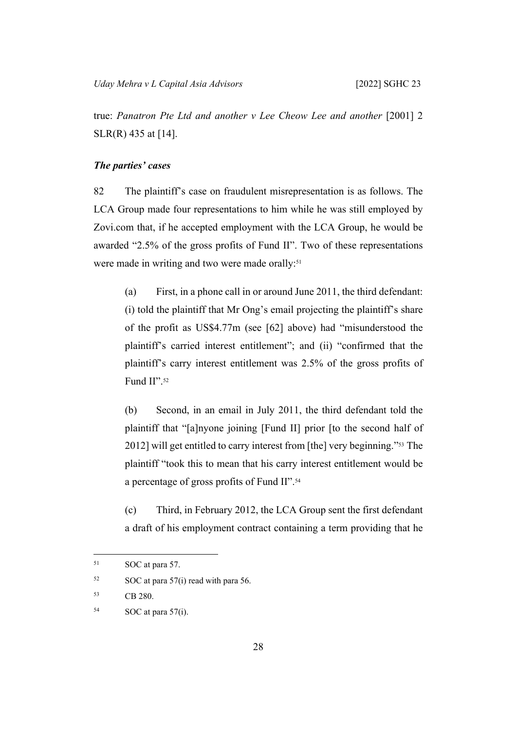true: *Panatron Pte Ltd and another v Lee Cheow Lee and another* [2001] 2 SLR(R) 435 at [14].

# <span id="page-31-1"></span><span id="page-31-0"></span>*The parties' cases*

82 The plaintiff's case on fraudulent misrepresentation is as follows. The LCA Group made four representations to him while he was still employed by Zovi.com that, if he accepted employment with the LCA Group, he would be awarded "2.5% of the gross profits of Fund II". Two of these representations were made in writing and two were made orally:<sup>51</sup>

(a) First, in a phone call in or around June 2011, the third defendant: (i) told the plaintiff that Mr Ong's email projecting the plaintiff's share of the profit as US\$4.77m (see [[62\]](#page-23-2) above) had "misunderstood the plaintiff's carried interest entitlement"; and (ii) "confirmed that the plaintiff's carry interest entitlement was 2.5% of the gross profits of Fund II".52

(b) Second, in an email in July 2011, the third defendant told the plaintiff that "[a]nyone joining [Fund II] prior [to the second half of 2012] will get entitled to carry interest from [the] very beginning."53 The plaintiff "took this to mean that his carry interest entitlement would be a percentage of gross profits of Fund II".<sup>54</sup>

(c) Third, in February 2012, the LCA Group sent the first defendant a draft of his employment contract containing a term providing that he

<sup>51</sup> SOC at para 57.

 $52$  SOC at para 57(i) read with para 56.

<sup>53</sup> CB 280.

 $54$  SOC at para 57(i).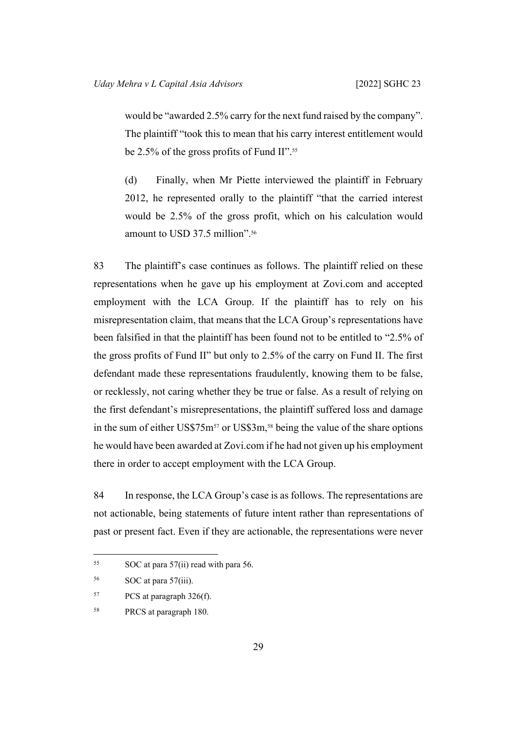would be "awarded 2.5% carry for the next fund raised by the company". The plaintiff "took this to mean that his carry interest entitlement would be 2.5% of the gross profits of Fund II".<sup>55</sup>

(d) Finally, when Mr Piette interviewed the plaintiff in February 2012, he represented orally to the plaintiff "that the carried interest would be 2.5% of the gross profit, which on his calculation would amount to USD 37.5 million".<sup>56</sup>

83 The plaintiff's case continues as follows. The plaintiff relied on these representations when he gave up his employment at Zovi.com and accepted employment with the LCA Group. If the plaintiff has to rely on his misrepresentation claim, that means that the LCA Group's representations have been falsified in that the plaintiff has been found not to be entitled to "2.5% of the gross profits of Fund II" but only to 2.5% of the carry on Fund II. The first defendant made these representations fraudulently, knowing them to be false, or recklessly, not caring whether they be true or false. As a result of relying on the first defendant's misrepresentations, the plaintiff suffered loss and damage in the sum of either US\$75m<sup>57</sup> or US\$3m,<sup>58</sup> being the value of the share options he would have been awarded at Zovi.com if he had not given up his employment there in order to accept employment with the LCA Group.

84 In response, the LCA Group's case is as follows. The representations are not actionable, being statements of future intent rather than representations of past or present fact. Even if they are actionable, the representations were never

<sup>55</sup> SOC at para 57(ii) read with para 56.

<sup>56</sup> SOC at para 57(iii).

<sup>57</sup> PCS at paragraph 326(f).

<sup>58</sup> PRCS at paragraph 180.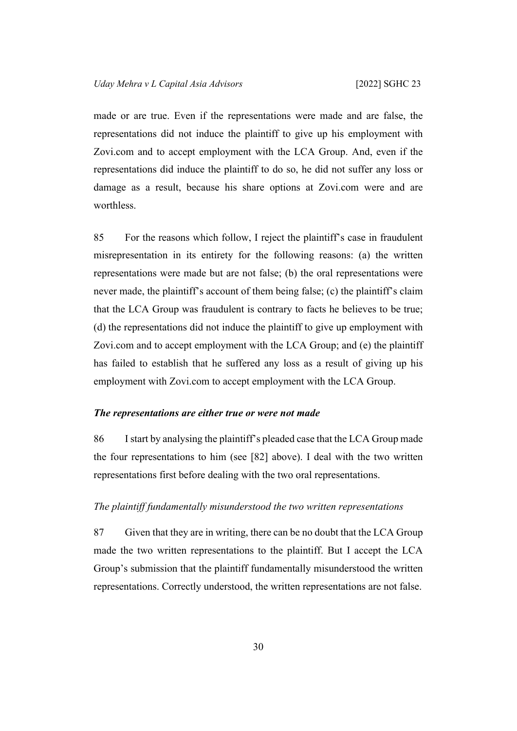made or are true. Even if the representations were made and are false, the representations did not induce the plaintiff to give up his employment with Zovi.com and to accept employment with the LCA Group. And, even if the representations did induce the plaintiff to do so, he did not suffer any loss or damage as a result, because his share options at Zovi.com were and are worthless.

85 For the reasons which follow, I reject the plaintiff's case in fraudulent misrepresentation in its entirety for the following reasons: (a) the written representations were made but are not false; (b) the oral representations were never made, the plaintiff's account of them being false; (c) the plaintiff's claim that the LCA Group was fraudulent is contrary to facts he believes to be true; (d) the representations did not induce the plaintiff to give up employment with Zovi.com and to accept employment with the LCA Group; and (e) the plaintiff has failed to establish that he suffered any loss as a result of giving up his employment with Zovi.com to accept employment with the LCA Group.

### <span id="page-33-0"></span>*The representations are either true or were not made*

86 I start by analysing the plaintiff's pleaded case that the LCA Group made the four representations to him (see [\[82](#page-31-1)] above). I deal with the two written representations first before dealing with the two oral representations.

# <span id="page-33-2"></span><span id="page-33-1"></span>*The plaintiff fundamentally misunderstood the two written representations*

87 Given that they are in writing, there can be no doubt that the LCA Group made the two written representations to the plaintiff. But I accept the LCA Group's submission that the plaintiff fundamentally misunderstood the written representations. Correctly understood, the written representations are not false.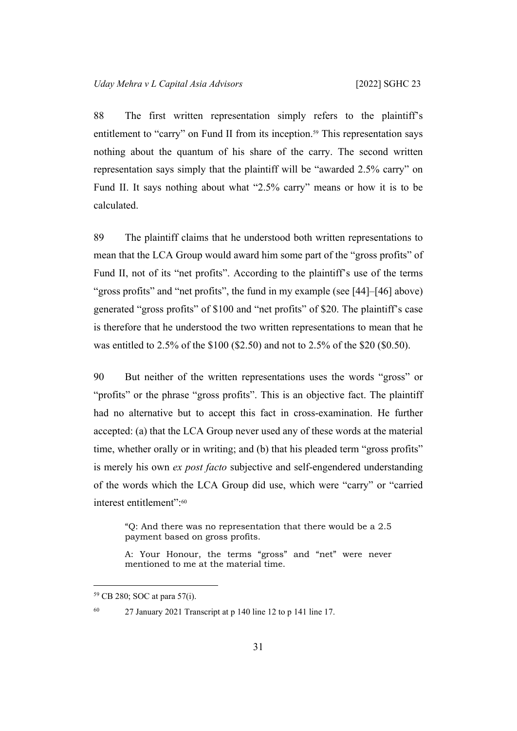88 The first written representation simply refers to the plaintiff's entitlement to "carry" on Fund II from its inception.<sup>59</sup> This representation says nothing about the quantum of his share of the carry. The second written representation says simply that the plaintiff will be "awarded 2.5% carry" on Fund II. It says nothing about what "2.5% carry" means or how it is to be calculated.

89 The plaintiff claims that he understood both written representations to mean that the LCA Group would award him some part of the "gross profits" of Fund II, not of its "net profits". According to the plaintiff's use of the terms "gross profits" and "net profits", the fund in my example (see [[44\]](#page-18-0)–[[46\]](#page-18-1) above) generated "gross profits" of \$100 and "net profits" of \$20. The plaintiff's case is therefore that he understood the two written representations to mean that he was entitled to 2.5% of the \$100 (\$2.50) and not to 2.5% of the \$20 (\$0.50).

90 But neither of the written representations uses the words "gross" or "profits" or the phrase "gross profits". This is an objective fact. The plaintiff had no alternative but to accept this fact in cross-examination. He further accepted: (a) that the LCA Group never used any of these words at the material time, whether orally or in writing; and (b) that his pleaded term "gross profits" is merely his own *ex post facto* subjective and self-engendered understanding of the words which the LCA Group did use, which were "carry" or "carried interest entitlement":<sup>60</sup>

"Q: And there was no representation that there would be a 2.5 payment based on gross profits.

A: Your Honour, the terms "gross" and "net" were never mentioned to me at the material time.

60 27 January 2021 Transcript at p 140 line 12 to p 141 line 17.

<sup>59</sup> CB 280; SOC at para 57(i).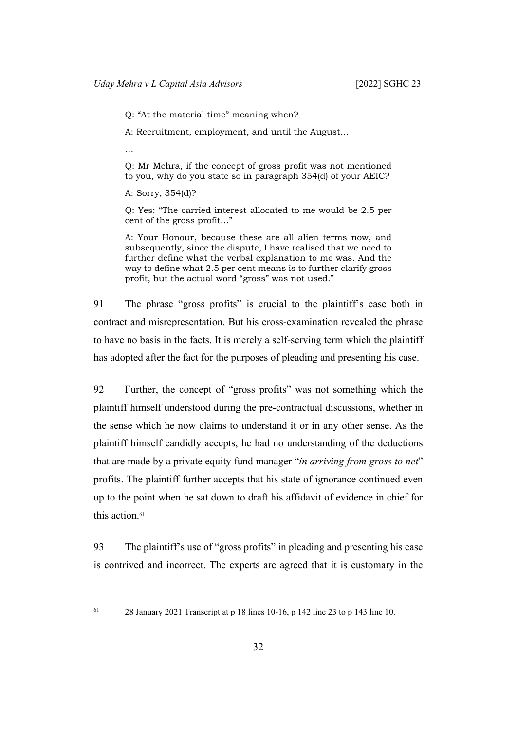Q: "At the material time" meaning when?

A: Recruitment, employment, and until the August…

…

Q: Mr Mehra, if the concept of gross profit was not mentioned to you, why do you state so in paragraph 354(d) of your AEIC?

A: Sorry, 354(d)?

Q: Yes: "The carried interest allocated to me would be 2.5 per cent of the gross profit…"

A: Your Honour, because these are all alien terms now, and subsequently, since the dispute, I have realised that we need to further define what the verbal explanation to me was. And the way to define what 2.5 per cent means is to further clarify gross profit, but the actual word "gross" was not used."

91 The phrase "gross profits" is crucial to the plaintiff's case both in contract and misrepresentation. But his cross-examination revealed the phrase to have no basis in the facts. It is merely a self-serving term which the plaintiff has adopted after the fact for the purposes of pleading and presenting his case.

92 Further, the concept of "gross profits" was not something which the plaintiff himself understood during the pre-contractual discussions, whether in the sense which he now claims to understand it or in any other sense. As the plaintiff himself candidly accepts, he had no understanding of the deductions that are made by a private equity fund manager "*in arriving from gross to net*" profits. The plaintiff further accepts that his state of ignorance continued even up to the point when he sat down to draft his affidavit of evidence in chief for this action.<sup>61</sup>

93 The plaintiff's use of "gross profits" in pleading and presenting his case is contrived and incorrect. The experts are agreed that it is customary in the

 $61$  28 January 2021 Transcript at p 18 lines 10-16, p 142 line 23 to p 143 line 10.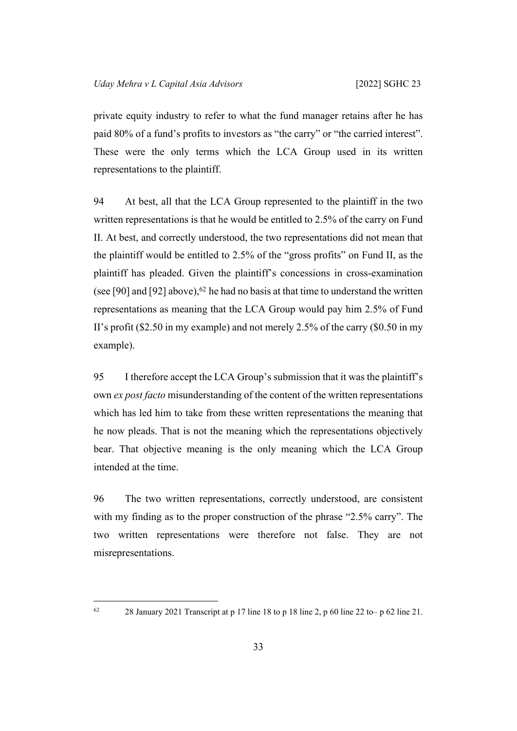private equity industry to refer to what the fund manager retains after he has paid 80% of a fund's profits to investors as "the carry" or "the carried interest". These were the only terms which the LCA Group used in its written representations to the plaintiff.

94 At best, all that the LCA Group represented to the plaintiff in the two written representations is that he would be entitled to 2.5% of the carry on Fund II. At best, and correctly understood, the two representations did not mean that the plaintiff would be entitled to 2.5% of the "gross profits" on Fund II, as the plaintiff has pleaded. Given the plaintiff's concessions in cross-examination (see [[90\]](#page-34-0) and [[92\]](#page-35-0) above),  $62$  he had no basis at that time to understand the written representations as meaning that the LCA Group would pay him 2.5% of Fund II's profit (\$2.50 in my example) and not merely 2.5% of the carry (\$0.50 in my example).

95 I therefore accept the LCA Group's submission that it was the plaintiff's own *ex post facto* misunderstanding of the content of the written representations which has led him to take from these written representations the meaning that he now pleads. That is not the meaning which the representations objectively bear. That objective meaning is the only meaning which the LCA Group intended at the time.

96 The two written representations, correctly understood, are consistent with my finding as to the proper construction of the phrase "2.5% carry". The two written representations were therefore not false. They are not misrepresentations.

<sup>&</sup>lt;sup>62</sup> 28 January 2021 Transcript at p 17 line 18 to p 18 line 2, p 60 line 22 to– p 62 line 21.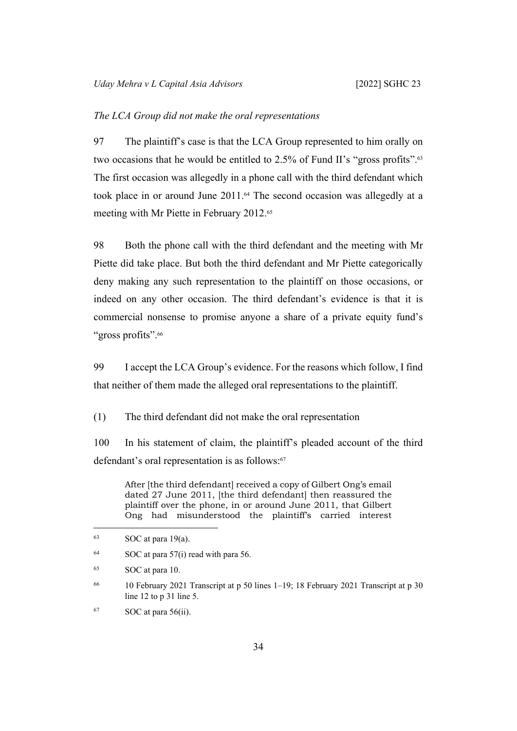#### *The LCA Group did not make the oral representations*

97 The plaintiff's case is that the LCA Group represented to him orally on two occasions that he would be entitled to 2.5% of Fund II's "gross profits".<sup>63</sup> The first occasion was allegedly in a phone call with the third defendant which took place in or around June 2011.64 The second occasion was allegedly at a meeting with Mr Piette in February 2012.<sup>65</sup>

98 Both the phone call with the third defendant and the meeting with Mr Piette did take place. But both the third defendant and Mr Piette categorically deny making any such representation to the plaintiff on those occasions, or indeed on any other occasion. The third defendant's evidence is that it is commercial nonsense to promise anyone a share of a private equity fund's "gross profits".<sup>66</sup>

99 I accept the LCA Group's evidence. For the reasons which follow, I find that neither of them made the alleged oral representations to the plaintiff.

(1) The third defendant did not make the oral representation

100 In his statement of claim, the plaintiff's pleaded account of the third defendant's oral representation is as follows:<sup>67</sup>

After [the third defendant] received a copy of Gilbert Ong's email dated 27 June 2011, [the third defendant] then reassured the plaintiff over the phone, in or around June 2011, that Gilbert Ong had misunderstood the plaintiff's carried interest

 $63$  SOC at para 19(a).

 $64$  SOC at para 57(i) read with para 56.

<sup>65</sup> SOC at para 10.

<sup>66</sup> 10 February 2021 Transcript at p 50 lines 1–19; 18 February 2021 Transcript at p 30 line 12 to p 31 line 5.

 $67 \qquad \text{SOC} \text{ at } \text{para } 56(ii).$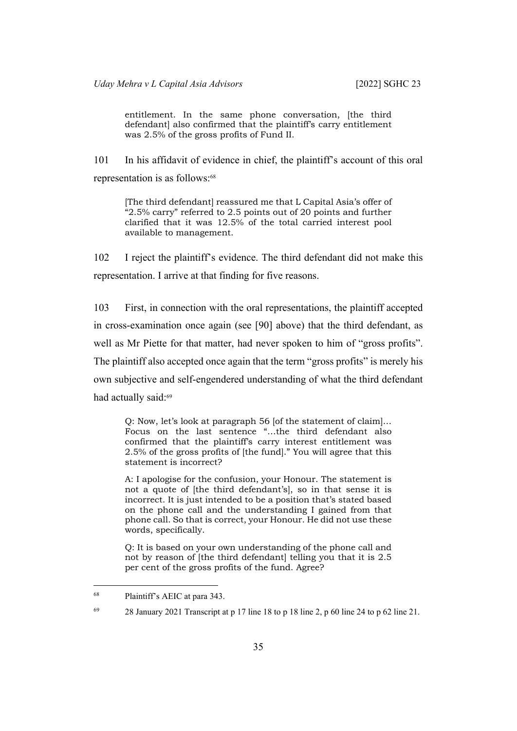entitlement. In the same phone conversation, *lthe third* defendant] also confirmed that the plaintiff's carry entitlement was 2.5% of the gross profits of Fund II.

101 In his affidavit of evidence in chief, the plaintiff's account of this oral representation is as follows:<sup>68</sup>

[The third defendant] reassured me that L Capital Asia's offer of "2.5% carry" referred to 2.5 points out of 20 points and further clarified that it was 12.5% of the total carried interest pool available to management.

102 I reject the plaintiff's evidence. The third defendant did not make this representation. I arrive at that finding for five reasons.

103 First, in connection with the oral representations, the plaintiff accepted in cross-examination once again (see [\[90](#page-34-0)] above) that the third defendant, as well as Mr Piette for that matter, had never spoken to him of "gross profits". The plaintiff also accepted once again that the term "gross profits" is merely his own subjective and self-engendered understanding of what the third defendant had actually said:<sup>69</sup>

Q: Now, let's look at paragraph 56 [of the statement of claim]… Focus on the last sentence "…the third defendant also confirmed that the plaintiff's carry interest entitlement was 2.5% of the gross profits of [the fund]." You will agree that this statement is incorrect?

A: I apologise for the confusion, your Honour. The statement is not a quote of [the third defendant's], so in that sense it is incorrect. It is just intended to be a position that's stated based on the phone call and the understanding I gained from that phone call. So that is correct, your Honour. He did not use these words, specifically.

Q: It is based on your own understanding of the phone call and not by reason of [the third defendant] telling you that it is 2.5 per cent of the gross profits of the fund. Agree?

<sup>68</sup> Plaintiff's AEIC at para 343.

<sup>&</sup>lt;sup>69</sup> 28 January 2021 Transcript at p 17 line 18 to p 18 line 2, p 60 line 24 to p 62 line 21.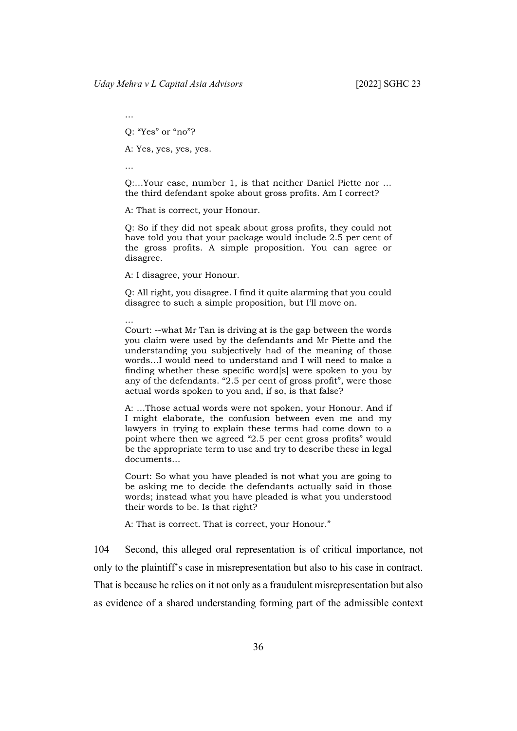Q: "Yes" or "no"?

A: Yes, yes, yes, yes.

…

…

Q:…Your case, number 1, is that neither Daniel Piette nor … the third defendant spoke about gross profits. Am I correct?

A: That is correct, your Honour.

Q: So if they did not speak about gross profits, they could not have told you that your package would include 2.5 per cent of the gross profits. A simple proposition. You can agree or disagree.

A: I disagree, your Honour.

Q: All right, you disagree. I find it quite alarming that you could disagree to such a simple proposition, but I'll move on.

… Court: --what Mr Tan is driving at is the gap between the words you claim were used by the defendants and Mr Piette and the understanding you subjectively had of the meaning of those words…I would need to understand and I will need to make a finding whether these specific word[s] were spoken to you by any of the defendants. "2.5 per cent of gross profit", were those actual words spoken to you and, if so, is that false?

A: …Those actual words were not spoken, your Honour. And if I might elaborate, the confusion between even me and my lawyers in trying to explain these terms had come down to a point where then we agreed "2.5 per cent gross profits" would be the appropriate term to use and try to describe these in legal documents…

Court: So what you have pleaded is not what you are going to be asking me to decide the defendants actually said in those words; instead what you have pleaded is what you understood their words to be. Is that right?

A: That is correct. That is correct, your Honour."

104 Second, this alleged oral representation is of critical importance, not only to the plaintiff's case in misrepresentation but also to his case in contract. That is because he relies on it not only as a fraudulent misrepresentation but also as evidence of a shared understanding forming part of the admissible context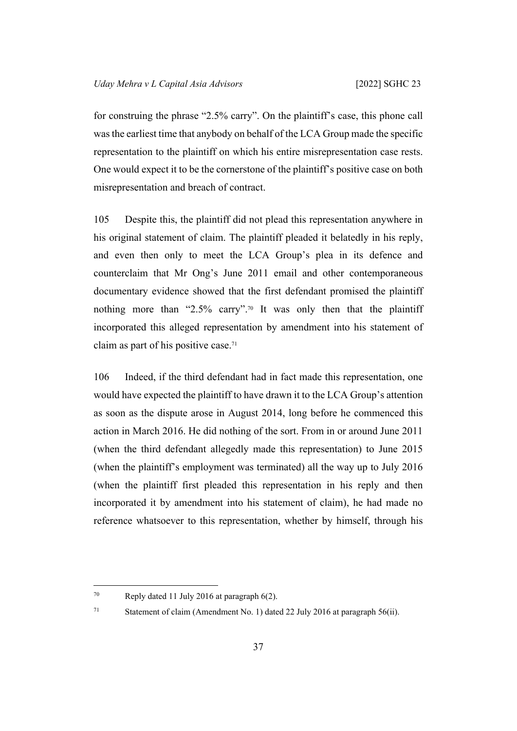for construing the phrase "2.5% carry". On the plaintiff's case, this phone call was the earliest time that anybody on behalf of the LCA Group made the specific representation to the plaintiff on which his entire misrepresentation case rests. One would expect it to be the cornerstone of the plaintiff's positive case on both misrepresentation and breach of contract.

105 Despite this, the plaintiff did not plead this representation anywhere in his original statement of claim. The plaintiff pleaded it belatedly in his reply, and even then only to meet the LCA Group's plea in its defence and counterclaim that Mr Ong's June 2011 email and other contemporaneous documentary evidence showed that the first defendant promised the plaintiff nothing more than "2.5% carry".70 It was only then that the plaintiff incorporated this alleged representation by amendment into his statement of claim as part of his positive case.<sup>71</sup>

106 Indeed, if the third defendant had in fact made this representation, one would have expected the plaintiff to have drawn it to the LCA Group's attention as soon as the dispute arose in August 2014, long before he commenced this action in March 2016. He did nothing of the sort. From in or around June 2011 (when the third defendant allegedly made this representation) to June 2015 (when the plaintiff's employment was terminated) all the way up to July 2016 (when the plaintiff first pleaded this representation in his reply and then incorporated it by amendment into his statement of claim), he had made no reference whatsoever to this representation, whether by himself, through his

<sup>70</sup> Reply dated 11 July 2016 at paragraph 6(2).

<sup>71</sup> Statement of claim (Amendment No. 1) dated 22 July 2016 at paragraph 56(ii).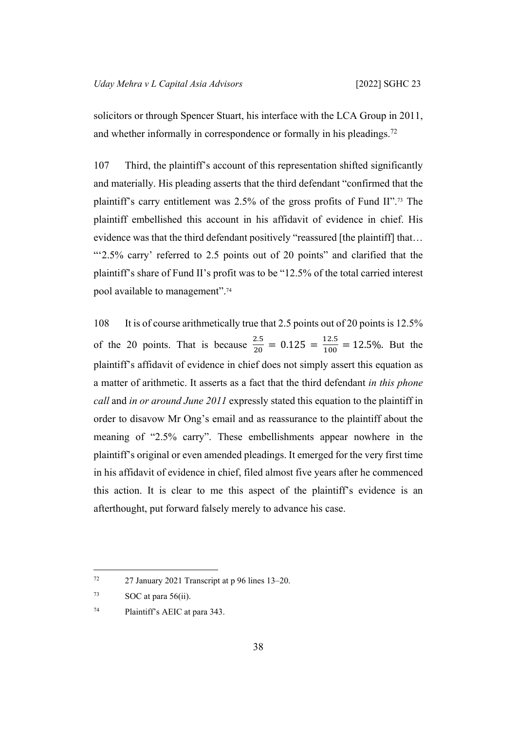solicitors or through Spencer Stuart, his interface with the LCA Group in 2011, and whether informally in correspondence or formally in his pleadings.<sup>72</sup>

107 Third, the plaintiff's account of this representation shifted significantly and materially. His pleading asserts that the third defendant "confirmed that the plaintiff's carry entitlement was 2.5% of the gross profits of Fund II".73 The plaintiff embellished this account in his affidavit of evidence in chief. His evidence was that the third defendant positively "reassured [the plaintiff] that… "'2.5% carry' referred to 2.5 points out of 20 points" and clarified that the plaintiff's share of Fund II's profit was to be "12.5% of the total carried interest pool available to management".<sup>74</sup>

108 It is of course arithmetically true that 2.5 points out of 20 points is 12.5% of the 20 points. That is because  $\frac{2.5}{20} = 0.125 = \frac{12.5}{100} = 12.5\%$ . But the plaintiff's affidavit of evidence in chief does not simply assert this equation as a matter of arithmetic. It asserts as a fact that the third defendant *in this phone call* and *in or around June 2011* expressly stated this equation to the plaintiff in order to disavow Mr Ong's email and as reassurance to the plaintiff about the meaning of "2.5% carry". These embellishments appear nowhere in the plaintiff's original or even amended pleadings. It emerged for the very first time in his affidavit of evidence in chief, filed almost five years after he commenced this action. It is clear to me this aspect of the plaintiff's evidence is an afterthought, put forward falsely merely to advance his case.

<sup>72</sup> 27 January 2021 Transcript at p 96 lines 13–20.

 $73$  SOC at para 56(ii).

<sup>74</sup> Plaintiff's AEIC at para 343.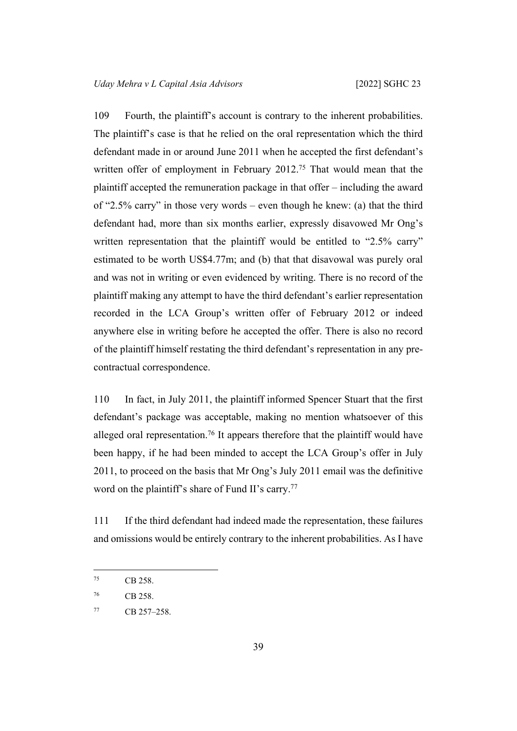109 Fourth, the plaintiff's account is contrary to the inherent probabilities. The plaintiff's case is that he relied on the oral representation which the third defendant made in or around June 2011 when he accepted the first defendant's written offer of employment in February 2012.<sup>75</sup> That would mean that the plaintiff accepted the remuneration package in that offer – including the award of "2.5% carry" in those very words – even though he knew: (a) that the third defendant had, more than six months earlier, expressly disavowed Mr Ong's written representation that the plaintiff would be entitled to "2.5% carry" estimated to be worth US\$4.77m; and (b) that that disavowal was purely oral and was not in writing or even evidenced by writing. There is no record of the plaintiff making any attempt to have the third defendant's earlier representation recorded in the LCA Group's written offer of February 2012 or indeed anywhere else in writing before he accepted the offer. There is also no record of the plaintiff himself restating the third defendant's representation in any precontractual correspondence.

110 In fact, in July 2011, the plaintiff informed Spencer Stuart that the first defendant's package was acceptable, making no mention whatsoever of this alleged oral representation.<sup>76</sup> It appears therefore that the plaintiff would have been happy, if he had been minded to accept the LCA Group's offer in July 2011, to proceed on the basis that Mr Ong's July 2011 email was the definitive word on the plaintiff's share of Fund II's carry.<sup>77</sup>

111 If the third defendant had indeed made the representation, these failures and omissions would be entirely contrary to the inherent probabilities. As I have

<sup>75</sup> CB 258.

<sup>76</sup> CB 258.

<sup>77</sup> CB 257–258.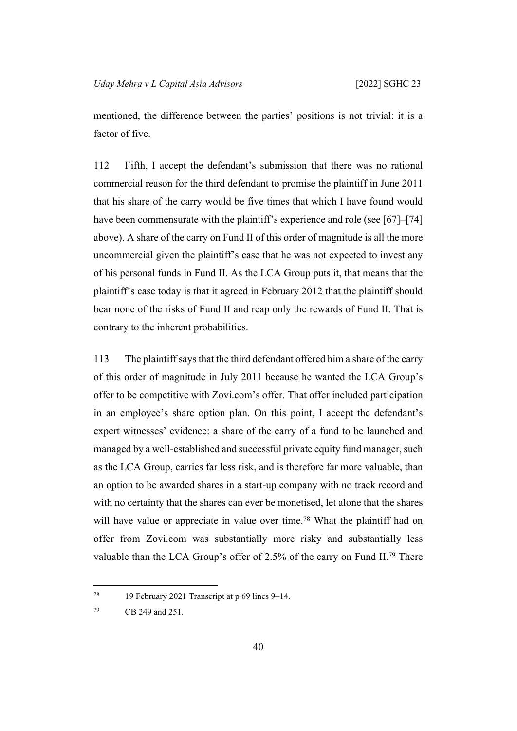mentioned, the difference between the parties' positions is not trivial: it is a factor of five.

112 Fifth, I accept the defendant's submission that there was no rational commercial reason for the third defendant to promise the plaintiff in June 2011 that his share of the carry would be five times that which I have found would have been commensurate with the plaintiff's experience and role (see [\[67](#page-25-0)]–[\[74](#page-28-0)] above). A share of the carry on Fund II of this order of magnitude is all the more uncommercial given the plaintiff's case that he was not expected to invest any of his personal funds in Fund II. As the LCA Group puts it, that means that the plaintiff's case today is that it agreed in February 2012 that the plaintiff should bear none of the risks of Fund II and reap only the rewards of Fund II. That is contrary to the inherent probabilities.

113 The plaintiff says that the third defendant offered him a share of the carry of this order of magnitude in July 2011 because he wanted the LCA Group's offer to be competitive with Zovi.com's offer. That offer included participation in an employee's share option plan. On this point, I accept the defendant's expert witnesses' evidence: a share of the carry of a fund to be launched and managed by a well-established and successful private equity fund manager, such as the LCA Group, carries far less risk, and is therefore far more valuable, than an option to be awarded shares in a start-up company with no track record and with no certainty that the shares can ever be monetised, let alone that the shares will have value or appreciate in value over time.<sup>78</sup> What the plaintiff had on offer from Zovi.com was substantially more risky and substantially less valuable than the LCA Group's offer of 2.5% of the carry on Fund II.<sup>79</sup> There

<sup>78</sup> 19 February 2021 Transcript at p 69 lines 9–14.

<sup>79</sup> CB 249 and 251.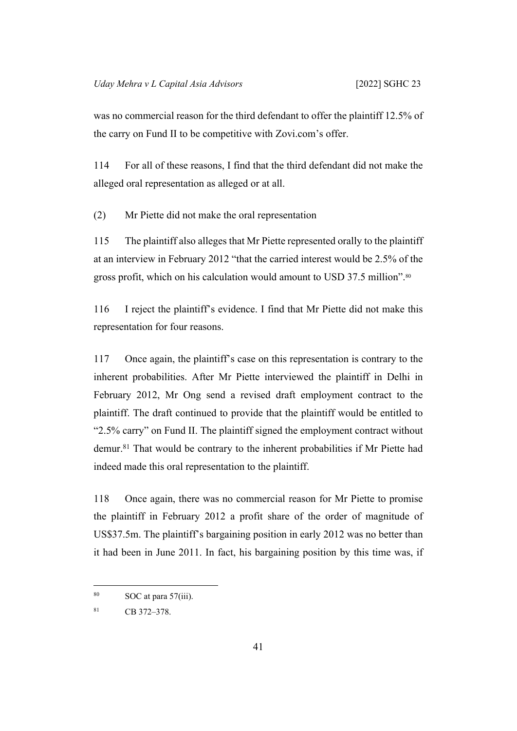was no commercial reason for the third defendant to offer the plaintiff 12.5% of the carry on Fund II to be competitive with Zovi.com's offer.

114 For all of these reasons, I find that the third defendant did not make the alleged oral representation as alleged or at all.

(2) Mr Piette did not make the oral representation

115 The plaintiff also alleges that Mr Piette represented orally to the plaintiff at an interview in February 2012 "that the carried interest would be 2.5% of the gross profit, which on his calculation would amount to USD 37.5 million".<sup>80</sup>

116 I reject the plaintiff's evidence. I find that Mr Piette did not make this representation for four reasons.

117 Once again, the plaintiff's case on this representation is contrary to the inherent probabilities. After Mr Piette interviewed the plaintiff in Delhi in February 2012, Mr Ong send a revised draft employment contract to the plaintiff. The draft continued to provide that the plaintiff would be entitled to "2.5% carry" on Fund II. The plaintiff signed the employment contract without demur.<sup>81</sup> That would be contrary to the inherent probabilities if Mr Piette had indeed made this oral representation to the plaintiff.

118 Once again, there was no commercial reason for Mr Piette to promise the plaintiff in February 2012 a profit share of the order of magnitude of US\$37.5m. The plaintiff's bargaining position in early 2012 was no better than it had been in June 2011. In fact, his bargaining position by this time was, if

 $80$  SOC at para 57(iii).

<sup>81</sup> CB 372–378.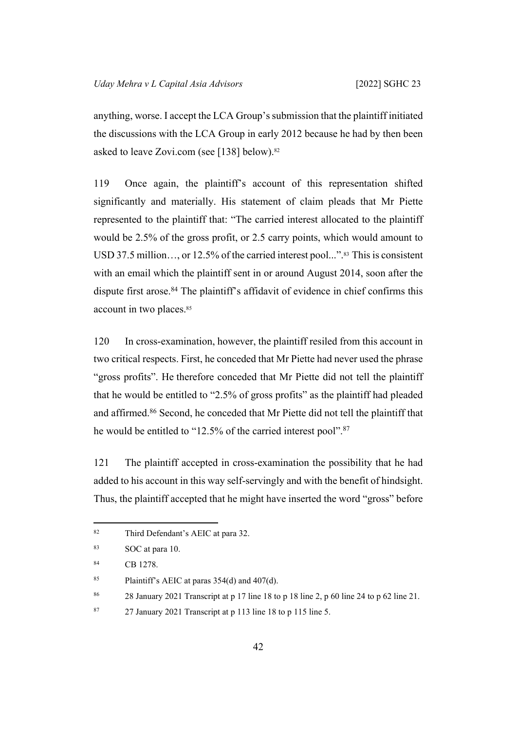anything, worse. I accept the LCA Group's submission that the plaintiff initiated the discussions with the LCA Group in early 2012 because he had by then been asked to leave Zovi.com (see [[138\]](#page-52-0) below).<sup>82</sup>

119 Once again, the plaintiff's account of this representation shifted significantly and materially. His statement of claim pleads that Mr Piette represented to the plaintiff that: "The carried interest allocated to the plaintiff would be 2.5% of the gross profit, or 2.5 carry points, which would amount to USD 37.5 million..., or 12.5% of the carried interest pool...".<sup>83</sup> This is consistent with an email which the plaintiff sent in or around August 2014, soon after the dispute first arose.<sup>84</sup> The plaintiff's affidavit of evidence in chief confirms this account in two places.<sup>85</sup>

120 In cross-examination, however, the plaintiff resiled from this account in two critical respects. First, he conceded that Mr Piette had never used the phrase "gross profits". He therefore conceded that Mr Piette did not tell the plaintiff that he would be entitled to "2.5% of gross profits" as the plaintiff had pleaded and affirmed.<sup>86</sup> Second, he conceded that Mr Piette did not tell the plaintiff that he would be entitled to "12.5% of the carried interest pool".<sup>87</sup>

121 The plaintiff accepted in cross-examination the possibility that he had added to his account in this way self-servingly and with the benefit of hindsight. Thus, the plaintiff accepted that he might have inserted the word "gross" before

<sup>82</sup> Third Defendant's AEIC at para 32.

<sup>83</sup> SOC at para 10.

<sup>84</sup> CB 1278.

<sup>&</sup>lt;sup>85</sup> Plaintiff's AEIC at paras  $354(d)$  and  $407(d)$ .

<sup>86</sup> 28 January 2021 Transcript at p 17 line 18 to p 18 line 2, p 60 line 24 to p 62 line 21.

<sup>87</sup> 27 January 2021 Transcript at p 113 line 18 to p 115 line 5.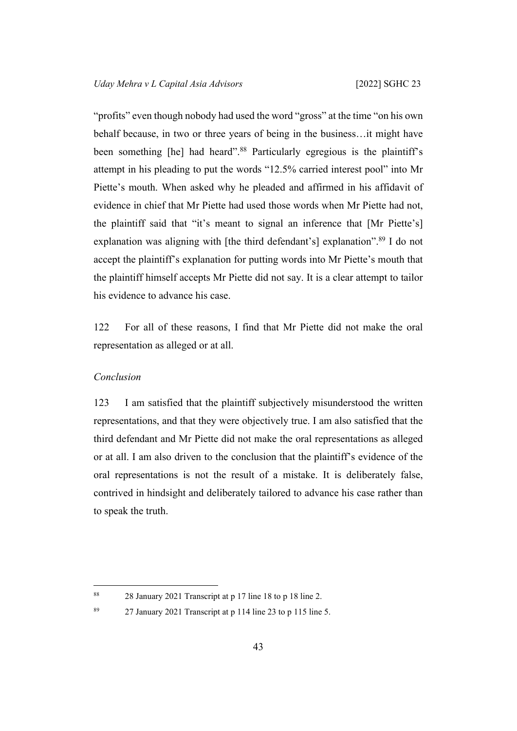"profits" even though nobody had used the word "gross" at the time "on his own behalf because, in two or three years of being in the business…it might have been something [he] had heard".<sup>88</sup> Particularly egregious is the plaintiff's attempt in his pleading to put the words "12.5% carried interest pool" into Mr Piette's mouth. When asked why he pleaded and affirmed in his affidavit of evidence in chief that Mr Piette had used those words when Mr Piette had not, the plaintiff said that "it's meant to signal an inference that [Mr Piette's] explanation was aligning with [the third defendant's] explanation".<sup>89</sup> I do not accept the plaintiff's explanation for putting words into Mr Piette's mouth that the plaintiff himself accepts Mr Piette did not say. It is a clear attempt to tailor his evidence to advance his case.

122 For all of these reasons, I find that Mr Piette did not make the oral representation as alleged or at all.

### *Conclusion*

123 I am satisfied that the plaintiff subjectively misunderstood the written representations, and that they were objectively true. I am also satisfied that the third defendant and Mr Piette did not make the oral representations as alleged or at all. I am also driven to the conclusion that the plaintiff's evidence of the oral representations is not the result of a mistake. It is deliberately false, contrived in hindsight and deliberately tailored to advance his case rather than to speak the truth.

<sup>88</sup> 28 January 2021 Transcript at p 17 line 18 to p 18 line 2.

<sup>89</sup> 27 January 2021 Transcript at p 114 line 23 to p 115 line 5.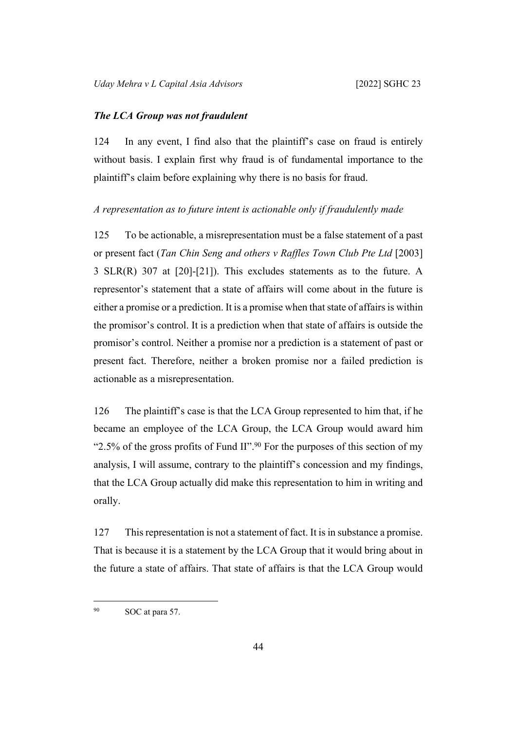#### *The LCA Group was not fraudulent*

124 In any event, I find also that the plaintiff's case on fraud is entirely without basis. I explain first why fraud is of fundamental importance to the plaintiff's claim before explaining why there is no basis for fraud.

# *A representation as to future intent is actionable only if fraudulently made*

125 To be actionable, a misrepresentation must be a false statement of a past or present fact (*Tan Chin Seng and others v Raffles Town Club Pte Ltd* [2003] 3 SLR(R) 307 at [20]-[21]). This excludes statements as to the future. A representor's statement that a state of affairs will come about in the future is either a promise or a prediction. It is a promise when that state of affairs is within the promisor's control. It is a prediction when that state of affairs is outside the promisor's control. Neither a promise nor a prediction is a statement of past or present fact. Therefore, neither a broken promise nor a failed prediction is actionable as a misrepresentation.

126 The plaintiff's case is that the LCA Group represented to him that, if he became an employee of the LCA Group, the LCA Group would award him "2.5% of the gross profits of Fund II".<sup>90</sup> For the purposes of this section of my analysis, I will assume, contrary to the plaintiff's concession and my findings, that the LCA Group actually did make this representation to him in writing and orally.

127 This representation is not a statement of fact. It is in substance a promise. That is because it is a statement by the LCA Group that it would bring about in the future a state of affairs. That state of affairs is that the LCA Group would

<sup>90</sup> SOC at para 57.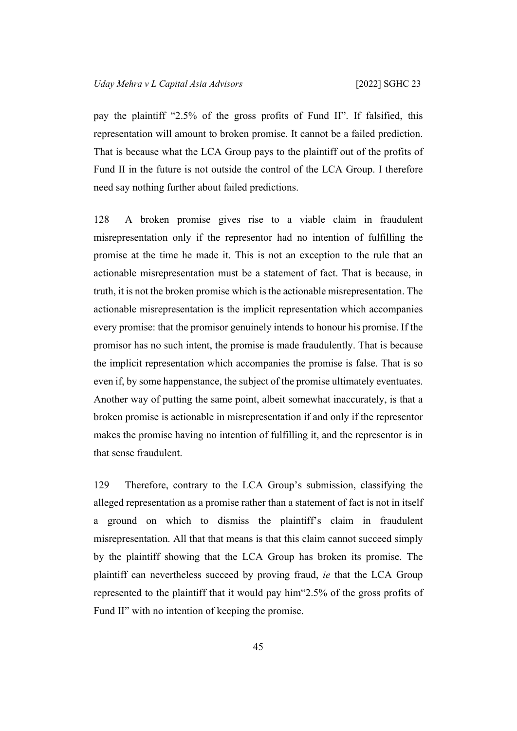pay the plaintiff "2.5% of the gross profits of Fund II". If falsified, this representation will amount to broken promise. It cannot be a failed prediction. That is because what the LCA Group pays to the plaintiff out of the profits of Fund II in the future is not outside the control of the LCA Group. I therefore need say nothing further about failed predictions.

<span id="page-48-0"></span>128 A broken promise gives rise to a viable claim in fraudulent misrepresentation only if the representor had no intention of fulfilling the promise at the time he made it. This is not an exception to the rule that an actionable misrepresentation must be a statement of fact. That is because, in truth, it is not the broken promise which is the actionable misrepresentation. The actionable misrepresentation is the implicit representation which accompanies every promise: that the promisor genuinely intends to honour his promise. If the promisor has no such intent, the promise is made fraudulently. That is because the implicit representation which accompanies the promise is false. That is so even if, by some happenstance, the subject of the promise ultimately eventuates. Another way of putting the same point, albeit somewhat inaccurately, is that a broken promise is actionable in misrepresentation if and only if the representor makes the promise having no intention of fulfilling it, and the representor is in that sense fraudulent.

129 Therefore, contrary to the LCA Group's submission, classifying the alleged representation as a promise rather than a statement of fact is not in itself a ground on which to dismiss the plaintiff's claim in fraudulent misrepresentation. All that that means is that this claim cannot succeed simply by the plaintiff showing that the LCA Group has broken its promise. The plaintiff can nevertheless succeed by proving fraud, *ie* that the LCA Group represented to the plaintiff that it would pay him"2.5% of the gross profits of Fund II" with no intention of keeping the promise.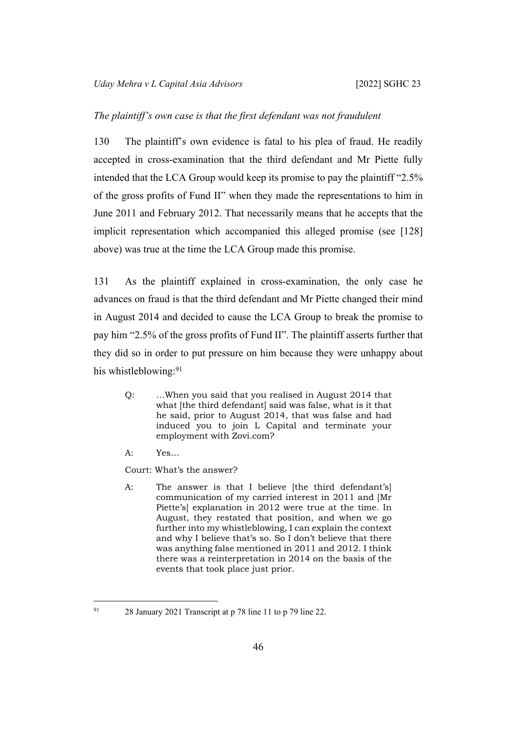### *The plaintiff's own case is that the first defendant was not fraudulent*

130 The plaintiff's own evidence is fatal to his plea of fraud. He readily accepted in cross-examination that the third defendant and Mr Piette fully intended that the LCA Group would keep its promise to pay the plaintiff "2.5% of the gross profits of Fund II" when they made the representations to him in June 2011 and February 2012. That necessarily means that he accepts that the implicit representation which accompanied this alleged promise (see [\[128](#page-48-0)] above) was true at the time the LCA Group made this promise.

<span id="page-49-0"></span>131 As the plaintiff explained in cross-examination, the only case he advances on fraud is that the third defendant and Mr Piette changed their mind in August 2014 and decided to cause the LCA Group to break the promise to pay him "2.5% of the gross profits of Fund II". The plaintiff asserts further that they did so in order to put pressure on him because they were unhappy about his whistleblowing:<sup>91</sup>

- Q: …When you said that you realised in August 2014 that what [the third defendant] said was false, what is it that he said, prior to August 2014, that was false and had induced you to join L Capital and terminate your employment with Zovi.com?
- A: Yes…
- Court: What's the answer?
- A: The answer is that I believe [the third defendant's] communication of my carried interest in 2011 and [Mr Piette's] explanation in 2012 were true at the time. In August, they restated that position, and when we go further into my whistleblowing, I can explain the context and why I believe that's so. So I don't believe that there was anything false mentioned in 2011 and 2012. I think there was a reinterpretation in 2014 on the basis of the events that took place just prior.

<sup>91</sup> 28 January 2021 Transcript at p 78 line 11 to p 79 line 22.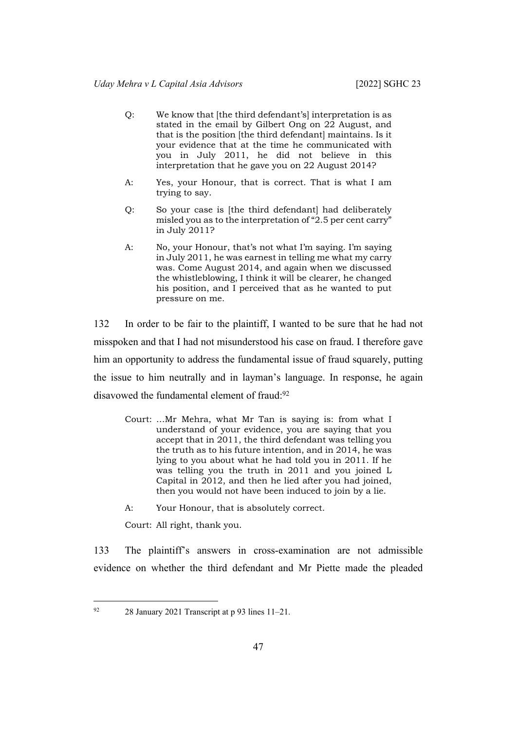- Q: We know that [the third defendant's] interpretation is as stated in the email by Gilbert Ong on 22 August, and that is the position [the third defendant] maintains. Is it your evidence that at the time he communicated with you in July 2011, he did not believe in this interpretation that he gave you on 22 August 2014?
- A: Yes, your Honour, that is correct. That is what I am trying to say.
- Q: So your case is [the third defendant] had deliberately misled you as to the interpretation of "2.5 per cent carry" in July 2011?
- A: No, your Honour, that's not what I'm saying. I'm saying in July 2011, he was earnest in telling me what my carry was. Come August 2014, and again when we discussed the whistleblowing, I think it will be clearer, he changed his position, and I perceived that as he wanted to put pressure on me.

<span id="page-50-0"></span>132 In order to be fair to the plaintiff, I wanted to be sure that he had not misspoken and that I had not misunderstood his case on fraud. I therefore gave him an opportunity to address the fundamental issue of fraud squarely, putting the issue to him neutrally and in layman's language. In response, he again disavowed the fundamental element of fraud:<sup>92</sup>

- Court: …Mr Mehra, what Mr Tan is saying is: from what I understand of your evidence, you are saying that you accept that in 2011, the third defendant was telling you the truth as to his future intention, and in 2014, he was lying to you about what he had told you in 2011. If he was telling you the truth in 2011 and you joined L Capital in 2012, and then he lied after you had joined, then you would not have been induced to join by a lie.
- A: Your Honour, that is absolutely correct.

Court: All right, thank you.

133 The plaintiff's answers in cross-examination are not admissible evidence on whether the third defendant and Mr Piette made the pleaded

 $92$  28 January 2021 Transcript at p 93 lines 11–21.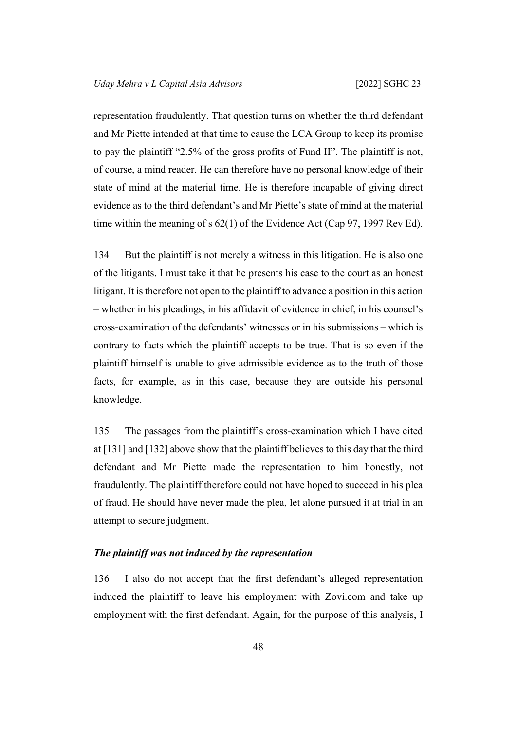representation fraudulently. That question turns on whether the third defendant and Mr Piette intended at that time to cause the LCA Group to keep its promise to pay the plaintiff "2.5% of the gross profits of Fund II". The plaintiff is not, of course, a mind reader. He can therefore have no personal knowledge of their state of mind at the material time. He is therefore incapable of giving direct evidence as to the third defendant's and Mr Piette's state of mind at the material time within the meaning of s 62(1) of the Evidence Act (Cap 97, 1997 Rev Ed).

134 But the plaintiff is not merely a witness in this litigation. He is also one of the litigants. I must take it that he presents his case to the court as an honest litigant. It is therefore not open to the plaintiff to advance a position in this action – whether in his pleadings, in his affidavit of evidence in chief, in his counsel's cross-examination of the defendants' witnesses or in his submissions – which is contrary to facts which the plaintiff accepts to be true. That is so even if the plaintiff himself is unable to give admissible evidence as to the truth of those facts, for example, as in this case, because they are outside his personal knowledge.

135 The passages from the plaintiff's cross-examination which I have cited at [\[131](#page-49-0)] and [\[132](#page-50-0)] above show that the plaintiff believes to this day that the third defendant and Mr Piette made the representation to him honestly, not fraudulently. The plaintiff therefore could not have hoped to succeed in his plea of fraud. He should have never made the plea, let alone pursued it at trial in an attempt to secure judgment.

#### *The plaintiff was not induced by the representation*

136 I also do not accept that the first defendant's alleged representation induced the plaintiff to leave his employment with Zovi.com and take up employment with the first defendant. Again, for the purpose of this analysis, I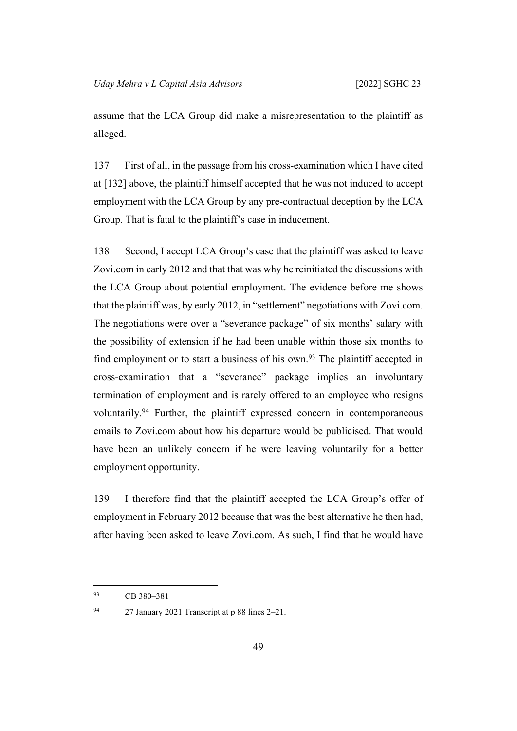assume that the LCA Group did make a misrepresentation to the plaintiff as alleged.

137 First of all, in the passage from his cross-examination which I have cited at [[132\]](#page-50-0) above, the plaintiff himself accepted that he was not induced to accept employment with the LCA Group by any pre-contractual deception by the LCA Group. That is fatal to the plaintiff's case in inducement.

<span id="page-52-0"></span>138 Second, I accept LCA Group's case that the plaintiff was asked to leave Zovi.com in early 2012 and that that was why he reinitiated the discussions with the LCA Group about potential employment. The evidence before me shows that the plaintiff was, by early 2012, in "settlement" negotiations with Zovi.com. The negotiations were over a "severance package" of six months' salary with the possibility of extension if he had been unable within those six months to find employment or to start a business of his own.<sup>93</sup> The plaintiff accepted in cross-examination that a "severance" package implies an involuntary termination of employment and is rarely offered to an employee who resigns voluntarily.<sup>94</sup> Further, the plaintiff expressed concern in contemporaneous emails to Zovi.com about how his departure would be publicised. That would have been an unlikely concern if he were leaving voluntarily for a better employment opportunity.

139 I therefore find that the plaintiff accepted the LCA Group's offer of employment in February 2012 because that was the best alternative he then had, after having been asked to leave Zovi.com. As such, I find that he would have

<sup>93</sup> CB 380–381

<sup>94</sup> 27 January 2021 Transcript at p 88 lines 2–21.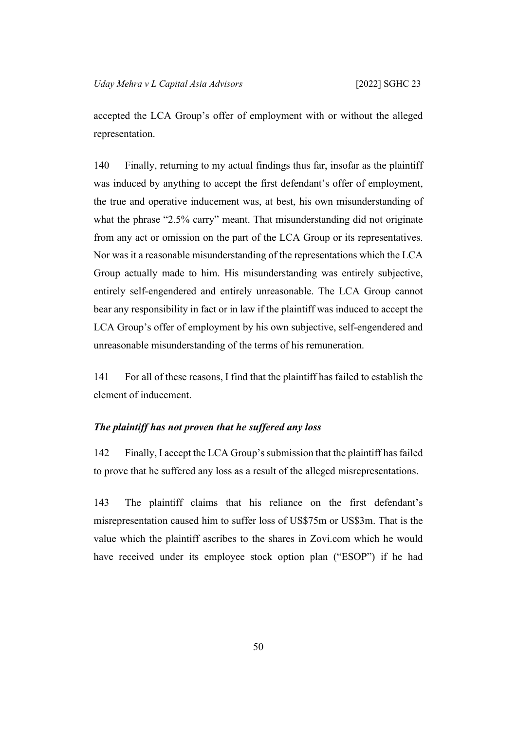accepted the LCA Group's offer of employment with or without the alleged representation.

140 Finally, returning to my actual findings thus far, insofar as the plaintiff was induced by anything to accept the first defendant's offer of employment, the true and operative inducement was, at best, his own misunderstanding of what the phrase "2.5% carry" meant. That misunderstanding did not originate from any act or omission on the part of the LCA Group or its representatives. Nor was it a reasonable misunderstanding of the representations which the LCA Group actually made to him. His misunderstanding was entirely subjective, entirely self-engendered and entirely unreasonable. The LCA Group cannot bear any responsibility in fact or in law if the plaintiff was induced to accept the LCA Group's offer of employment by his own subjective, self-engendered and unreasonable misunderstanding of the terms of his remuneration.

141 For all of these reasons, I find that the plaintiff has failed to establish the element of inducement.

### *The plaintiff has not proven that he suffered any loss*

142 Finally, I accept the LCA Group's submission that the plaintiff has failed to prove that he suffered any loss as a result of the alleged misrepresentations.

143 The plaintiff claims that his reliance on the first defendant's misrepresentation caused him to suffer loss of US\$75m or US\$3m. That is the value which the plaintiff ascribes to the shares in Zovi.com which he would have received under its employee stock option plan ("ESOP") if he had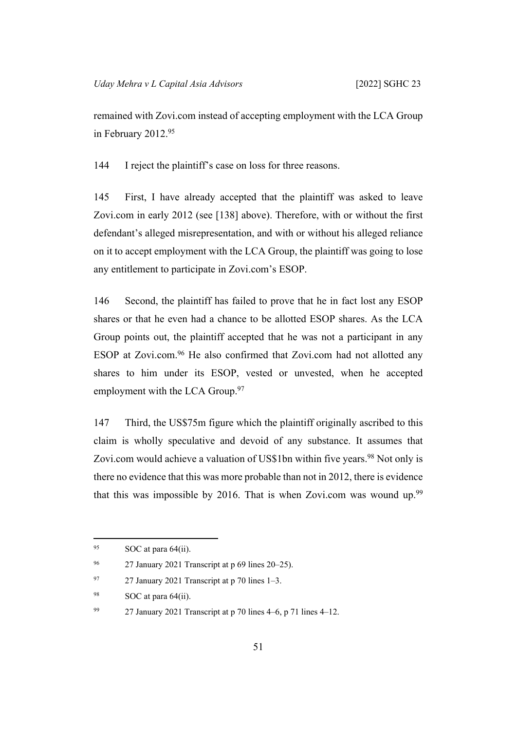remained with Zovi.com instead of accepting employment with the LCA Group in February 2012.<sup>95</sup>

144 I reject the plaintiff's case on loss for three reasons.

145 First, I have already accepted that the plaintiff was asked to leave Zovi.com in early 2012 (see [[138\]](#page-52-0) above). Therefore, with or without the first defendant's alleged misrepresentation, and with or without his alleged reliance on it to accept employment with the LCA Group, the plaintiff was going to lose any entitlement to participate in Zovi.com's ESOP.

146 Second, the plaintiff has failed to prove that he in fact lost any ESOP shares or that he even had a chance to be allotted ESOP shares. As the LCA Group points out, the plaintiff accepted that he was not a participant in any ESOP at Zovi.com.<sup>96</sup> He also confirmed that Zovi.com had not allotted any shares to him under its ESOP, vested or unvested, when he accepted employment with the LCA Group.<sup>97</sup>

147 Third, the US\$75m figure which the plaintiff originally ascribed to this claim is wholly speculative and devoid of any substance. It assumes that Zovi.com would achieve a valuation of US\$1bn within five years.<sup>98</sup> Not only is there no evidence that this was more probable than not in 2012, there is evidence that this was impossible by 2016. That is when Zovi.com was wound up.<sup>99</sup>

 $95$  SOC at para 64(ii).

<sup>96</sup> 27 January 2021 Transcript at p 69 lines 20–25).

<sup>&</sup>lt;sup>97</sup> 27 January 2021 Transcript at p 70 lines  $1-3$ .

 $98$  SOC at para 64(ii).

<sup>&</sup>lt;sup>99</sup> 27 January 2021 Transcript at p 70 lines  $4-6$ , p 71 lines  $4-12$ .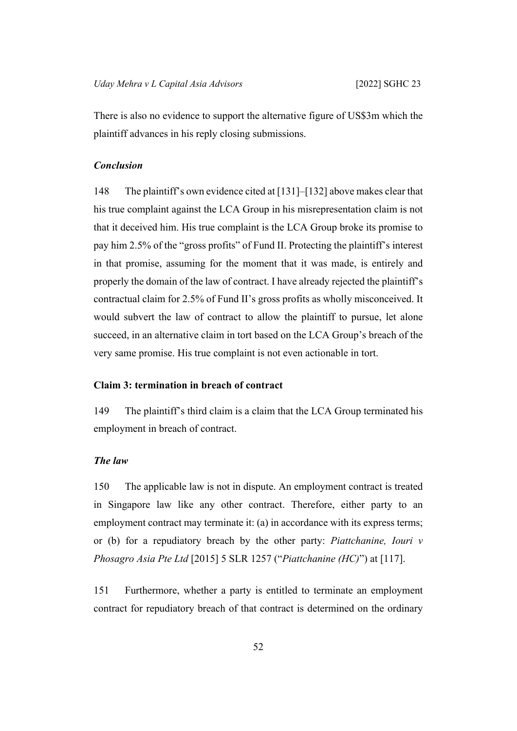There is also no evidence to support the alternative figure of US\$3m which the plaintiff advances in his reply closing submissions.

## *Conclusion*

148 The plaintiff's own evidence cited at [\[131](#page-49-0)]–[\[132](#page-50-0)] above makes clear that his true complaint against the LCA Group in his misrepresentation claim is not that it deceived him. His true complaint is the LCA Group broke its promise to pay him 2.5% of the "gross profits" of Fund II. Protecting the plaintiff's interest in that promise, assuming for the moment that it was made, is entirely and properly the domain of the law of contract. I have already rejected the plaintiff's contractual claim for 2.5% of Fund II's gross profits as wholly misconceived. It would subvert the law of contract to allow the plaintiff to pursue, let alone succeed, in an alternative claim in tort based on the LCA Group's breach of the very same promise. His true complaint is not even actionable in tort.

### **Claim 3: termination in breach of contract**

149 The plaintiff's third claim is a claim that the LCA Group terminated his employment in breach of contract.

# *The law*

150 The applicable law is not in dispute. An employment contract is treated in Singapore law like any other contract. Therefore, either party to an employment contract may terminate it: (a) in accordance with its express terms; or (b) for a repudiatory breach by the other party: *Piattchanine, Iouri v Phosagro Asia Pte Ltd* [2015] 5 SLR 1257 ("*Piattchanine (HC)*") at [117].

151 Furthermore, whether a party is entitled to terminate an employment contract for repudiatory breach of that contract is determined on the ordinary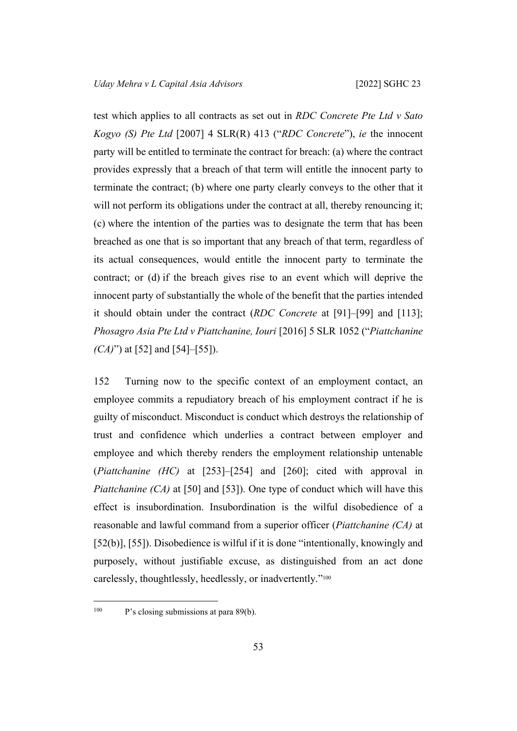test which applies to all contracts as set out in *RDC Concrete Pte Ltd v Sato Kogyo (S) Pte Ltd* [2007] 4 SLR(R) 413 ("*RDC Concrete*"), *ie* the innocent party will be entitled to terminate the contract for breach: (a) where the contract provides expressly that a breach of that term will entitle the innocent party to terminate the contract; (b) where one party clearly conveys to the other that it will not perform its obligations under the contract at all, thereby renouncing it; (c) where the intention of the parties was to designate the term that has been breached as one that is so important that any breach of that term, regardless of its actual consequences, would entitle the innocent party to terminate the contract; or (d) if the breach gives rise to an event which will deprive the innocent party of substantially the whole of the benefit that the parties intended it should obtain under the contract (*RDC Concrete* at [91]–[99] and [113]; *Phosagro Asia Pte Ltd v Piattchanine, Iouri* [2016] 5 SLR 1052 ("*Piattchanine (CA)*") at [52] and [54]–[55]).

152 Turning now to the specific context of an employment contact, an employee commits a repudiatory breach of his employment contract if he is guilty of misconduct. Misconduct is conduct which destroys the relationship of trust and confidence which underlies a contract between employer and employee and which thereby renders the employment relationship untenable (*Piattchanine (HC)* at [253]–[254] and [260]; cited with approval in *Piattchanine (CA)* at [50] and [53]). One type of conduct which will have this effect is insubordination. Insubordination is the wilful disobedience of a reasonable and lawful command from a superior officer (*Piattchanine (CA)* at [52(b)], [55]). Disobedience is wilful if it is done "intentionally, knowingly and purposely, without justifiable excuse, as distinguished from an act done carelessly, thoughtlessly, heedlessly, or inadvertently."<sup>100</sup>

<sup>&</sup>lt;sup>100</sup> P's closing submissions at para 89(b).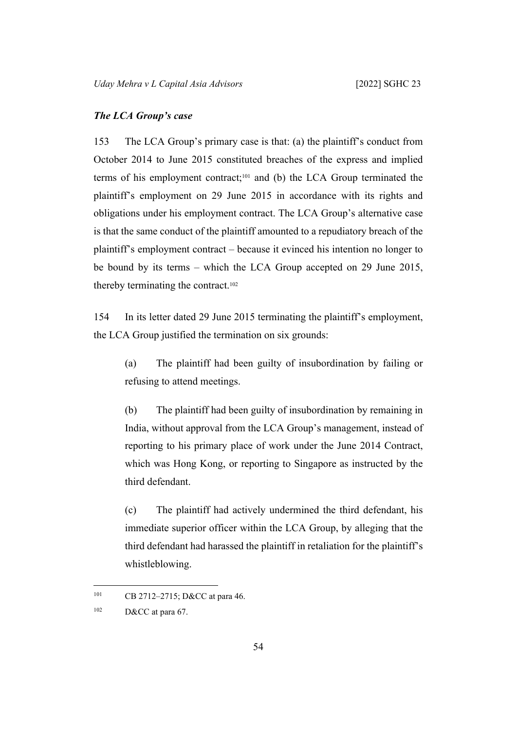#### *The LCA Group's case*

153 The LCA Group's primary case is that: (a) the plaintiff's conduct from October 2014 to June 2015 constituted breaches of the express and implied terms of his employment contract;101 and (b) the LCA Group terminated the plaintiff's employment on 29 June 2015 in accordance with its rights and obligations under his employment contract. The LCA Group's alternative case is that the same conduct of the plaintiff amounted to a repudiatory breach of the plaintiff's employment contract – because it evinced his intention no longer to be bound by its terms – which the LCA Group accepted on 29 June 2015, thereby terminating the contract.<sup>102</sup>

154 In its letter dated 29 June 2015 terminating the plaintiff's employment, the LCA Group justified the termination on six grounds:

(a) The plaintiff had been guilty of insubordination by failing or refusing to attend meetings.

(b) The plaintiff had been guilty of insubordination by remaining in India, without approval from the LCA Group's management, instead of reporting to his primary place of work under the June 2014 Contract, which was Hong Kong, or reporting to Singapore as instructed by the third defendant.

(c) The plaintiff had actively undermined the third defendant, his immediate superior officer within the LCA Group, by alleging that the third defendant had harassed the plaintiff in retaliation for the plaintiff's whistleblowing.

<sup>101</sup> CB 2712–2715; D&CC at para 46.

 $102$  D&CC at para 67.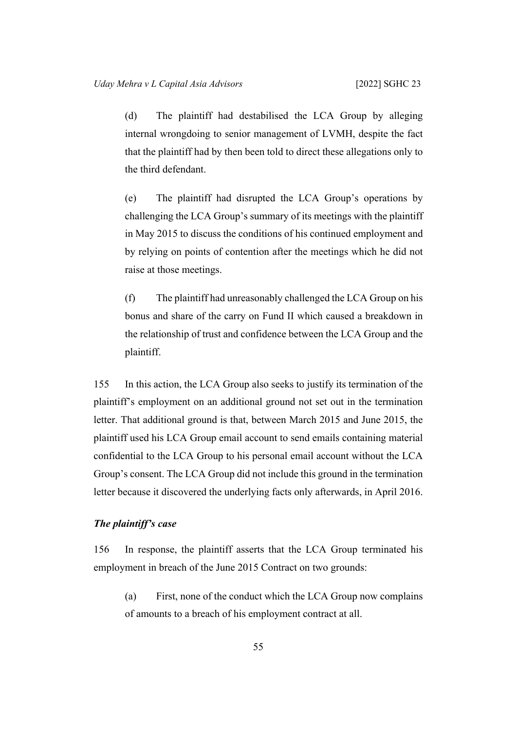(d) The plaintiff had destabilised the LCA Group by alleging internal wrongdoing to senior management of LVMH, despite the fact that the plaintiff had by then been told to direct these allegations only to the third defendant.

(e) The plaintiff had disrupted the LCA Group's operations by challenging the LCA Group's summary of its meetings with the plaintiff in May 2015 to discuss the conditions of his continued employment and by relying on points of contention after the meetings which he did not raise at those meetings.

(f) The plaintiff had unreasonably challenged the LCA Group on his bonus and share of the carry on Fund II which caused a breakdown in the relationship of trust and confidence between the LCA Group and the plaintiff.

155 In this action, the LCA Group also seeks to justify its termination of the plaintiff's employment on an additional ground not set out in the termination letter. That additional ground is that, between March 2015 and June 2015, the plaintiff used his LCA Group email account to send emails containing material confidential to the LCA Group to his personal email account without the LCA Group's consent. The LCA Group did not include this ground in the termination letter because it discovered the underlying facts only afterwards, in April 2016.

#### *The plaintiff's case*

156 In response, the plaintiff asserts that the LCA Group terminated his employment in breach of the June 2015 Contract on two grounds:

(a) First, none of the conduct which the LCA Group now complains of amounts to a breach of his employment contract at all.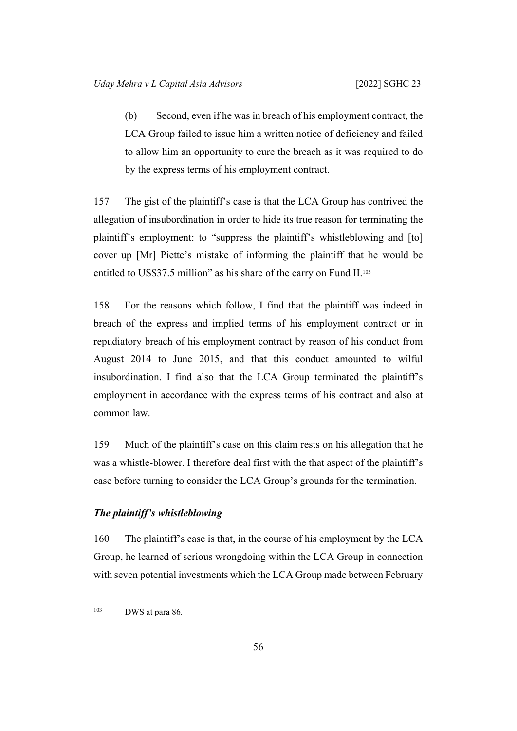(b) Second, even if he was in breach of his employment contract, the LCA Group failed to issue him a written notice of deficiency and failed to allow him an opportunity to cure the breach as it was required to do by the express terms of his employment contract.

157 The gist of the plaintiff's case is that the LCA Group has contrived the allegation of insubordination in order to hide its true reason for terminating the plaintiff's employment: to "suppress the plaintiff's whistleblowing and [to] cover up [Mr] Piette's mistake of informing the plaintiff that he would be entitled to US\$37.5 million" as his share of the carry on Fund II.<sup>103</sup>

158 For the reasons which follow, I find that the plaintiff was indeed in breach of the express and implied terms of his employment contract or in repudiatory breach of his employment contract by reason of his conduct from August 2014 to June 2015, and that this conduct amounted to wilful insubordination. I find also that the LCA Group terminated the plaintiff's employment in accordance with the express terms of his contract and also at common law.

159 Much of the plaintiff's case on this claim rests on his allegation that he was a whistle-blower. I therefore deal first with the that aspect of the plaintiff's case before turning to consider the LCA Group's grounds for the termination.

# *The plaintiff's whistleblowing*

160 The plaintiff's case is that, in the course of his employment by the LCA Group, he learned of serious wrongdoing within the LCA Group in connection with seven potential investments which the LCA Group made between February

<sup>&</sup>lt;sup>103</sup> DWS at para 86.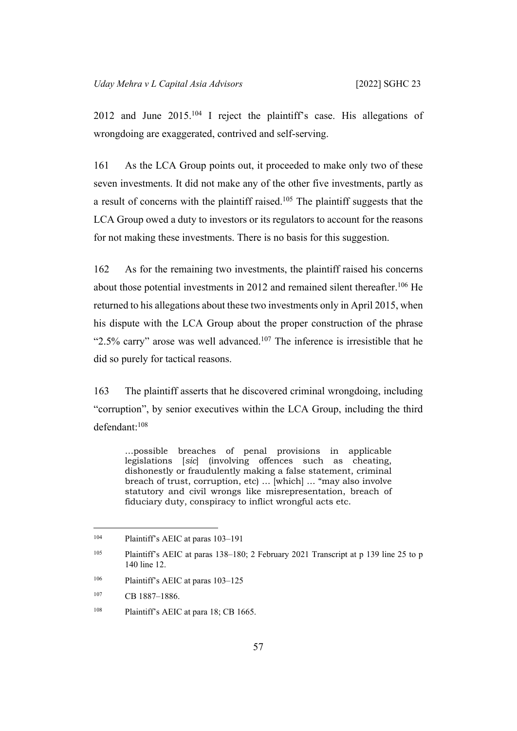2012 and June 2015.<sup>104</sup> I reject the plaintiff's case. His allegations of wrongdoing are exaggerated, contrived and self-serving.

161 As the LCA Group points out, it proceeded to make only two of these seven investments. It did not make any of the other five investments, partly as a result of concerns with the plaintiff raised.<sup>105</sup> The plaintiff suggests that the LCA Group owed a duty to investors or its regulators to account for the reasons for not making these investments. There is no basis for this suggestion.

162 As for the remaining two investments, the plaintiff raised his concerns about those potential investments in 2012 and remained silent thereafter.<sup>106</sup> He returned to his allegations about these two investments only in April 2015, when his dispute with the LCA Group about the proper construction of the phrase "2.5% carry" arose was well advanced.<sup>107</sup> The inference is irresistible that he did so purely for tactical reasons.

163 The plaintiff asserts that he discovered criminal wrongdoing, including "corruption", by senior executives within the LCA Group, including the third defendant:<sup>108</sup>

…possible breaches of penal provisions in applicable legislations [*sic*] (involving offences such as cheating, dishonestly or fraudulently making a false statement, criminal breach of trust, corruption, etc) … [which] … "may also involve statutory and civil wrongs like misrepresentation, breach of fiduciary duty, conspiracy to inflict wrongful acts etc.

<sup>104</sup> Plaintiff's AEIC at paras 103–191

<sup>105</sup> Plaintiff's AEIC at paras 138–180; 2 February 2021 Transcript at p 139 line 25 to p 140 line 12.

<sup>106</sup> Plaintiff's AEIC at paras 103–125

<sup>107</sup> CB 1887–1886.

<sup>&</sup>lt;sup>108</sup> Plaintiff's AEIC at para 18; CB 1665.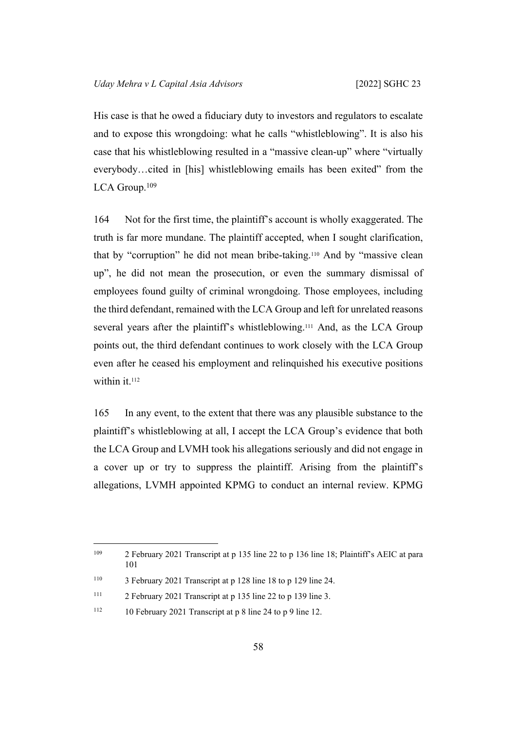His case is that he owed a fiduciary duty to investors and regulators to escalate and to expose this wrongdoing: what he calls "whistleblowing". It is also his case that his whistleblowing resulted in a "massive clean-up" where "virtually everybody…cited in [his] whistleblowing emails has been exited" from the LCA Group.<sup>109</sup>

164 Not for the first time, the plaintiff's account is wholly exaggerated. The truth is far more mundane. The plaintiff accepted, when I sought clarification, that by "corruption" he did not mean bribe-taking.110 And by "massive clean up", he did not mean the prosecution, or even the summary dismissal of employees found guilty of criminal wrongdoing. Those employees, including the third defendant, remained with the LCA Group and left for unrelated reasons several years after the plaintiff's whistleblowing.<sup>111</sup> And, as the LCA Group points out, the third defendant continues to work closely with the LCA Group even after he ceased his employment and relinquished his executive positions within it.<sup>112</sup>

165 In any event, to the extent that there was any plausible substance to the plaintiff's whistleblowing at all, I accept the LCA Group's evidence that both the LCA Group and LVMH took his allegations seriously and did not engage in a cover up or try to suppress the plaintiff. Arising from the plaintiff's allegations, LVMH appointed KPMG to conduct an internal review. KPMG

<sup>109</sup> 2 February 2021 Transcript at p 135 line 22 to p 136 line 18; Plaintiff's AEIC at para 101

<sup>110</sup> 3 February 2021 Transcript at p 128 line 18 to p 129 line 24.

<sup>111</sup> 2 February 2021 Transcript at p 135 line 22 to p 139 line 3.

<sup>&</sup>lt;sup>112</sup> 10 February 2021 Transcript at p 8 line 24 to p 9 line 12.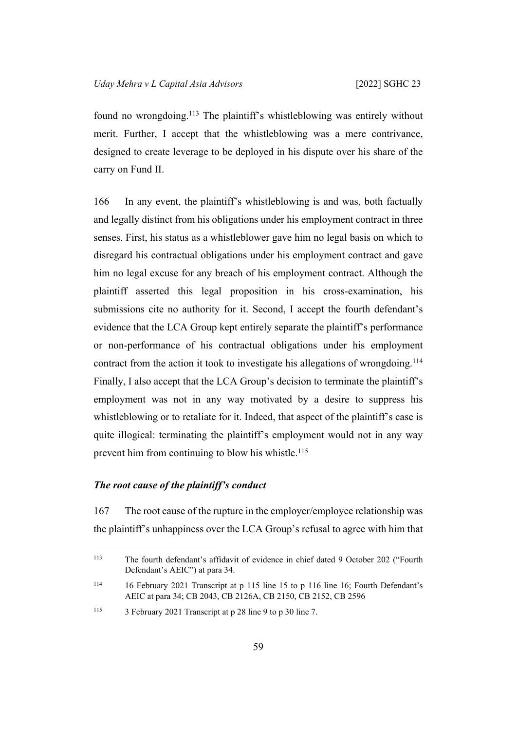found no wrongdoing.<sup>113</sup> The plaintiff's whistleblowing was entirely without merit. Further, I accept that the whistleblowing was a mere contrivance, designed to create leverage to be deployed in his dispute over his share of the carry on Fund II.

166 In any event, the plaintiff's whistleblowing is and was, both factually and legally distinct from his obligations under his employment contract in three senses. First, his status as a whistleblower gave him no legal basis on which to disregard his contractual obligations under his employment contract and gave him no legal excuse for any breach of his employment contract. Although the plaintiff asserted this legal proposition in his cross-examination, his submissions cite no authority for it. Second, I accept the fourth defendant's evidence that the LCA Group kept entirely separate the plaintiff's performance or non-performance of his contractual obligations under his employment contract from the action it took to investigate his allegations of wrongdoing.<sup>114</sup> Finally, I also accept that the LCA Group's decision to terminate the plaintiff's employment was not in any way motivated by a desire to suppress his whistleblowing or to retaliate for it. Indeed, that aspect of the plaintiff's case is quite illogical: terminating the plaintiff's employment would not in any way prevent him from continuing to blow his whistle.<sup>115</sup>

### *The root cause of the plaintiff's conduct*

167 The root cause of the rupture in the employer/employee relationship was the plaintiff's unhappiness over the LCA Group's refusal to agree with him that

<sup>113</sup> The fourth defendant's affidavit of evidence in chief dated 9 October 202 ("Fourth Defendant's AEIC") at para 34.

<sup>114</sup> 16 February 2021 Transcript at p 115 line 15 to p 116 line 16; Fourth Defendant's AEIC at para 34; CB 2043, CB 2126A, CB 2150, CB 2152, CB 2596

<sup>115</sup> 3 February 2021 Transcript at p 28 line 9 to p 30 line 7.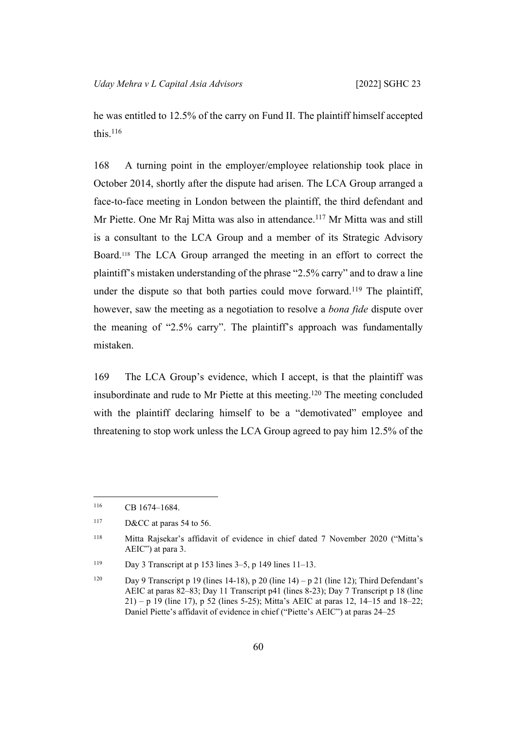he was entitled to 12.5% of the carry on Fund II. The plaintiff himself accepted this  $116$ 

168 A turning point in the employer/employee relationship took place in October 2014, shortly after the dispute had arisen. The LCA Group arranged a face-to-face meeting in London between the plaintiff, the third defendant and Mr Piette. One Mr Raj Mitta was also in attendance.<sup>117</sup> Mr Mitta was and still is a consultant to the LCA Group and a member of its Strategic Advisory Board.118 The LCA Group arranged the meeting in an effort to correct the plaintiff's mistaken understanding of the phrase "2.5% carry" and to draw a line under the dispute so that both parties could move forward.<sup>119</sup> The plaintiff, however, saw the meeting as a negotiation to resolve a *bona fide* dispute over the meaning of "2.5% carry". The plaintiff's approach was fundamentally mistaken.

169 The LCA Group's evidence, which I accept, is that the plaintiff was insubordinate and rude to Mr Piette at this meeting.<sup>120</sup> The meeting concluded with the plaintiff declaring himself to be a "demotivated" employee and threatening to stop work unless the LCA Group agreed to pay him 12.5% of the

<sup>116</sup> CB 1674-1684.

<sup>117</sup> D&CC at paras 54 to 56.

<sup>118</sup> Mitta Rajsekar's affidavit of evidence in chief dated 7 November 2020 ("Mitta's AEIC") at para 3.

<sup>&</sup>lt;sup>119</sup> Day 3 Transcript at p 153 lines  $3-5$ , p 149 lines  $11-13$ .

<sup>&</sup>lt;sup>120</sup> Day 9 Transcript p 19 (lines 14-18), p 20 (line 14) – p 21 (line 12); Third Defendant's AEIC at paras 82–83; Day 11 Transcript p41 (lines 8-23); Day 7 Transcript p 18 (line 21) – p 19 (line 17), p 52 (lines 5-25); Mitta's AEIC at paras 12, 14–15 and 18–22; Daniel Piette's affidavit of evidence in chief ("Piette's AEIC") at paras 24–25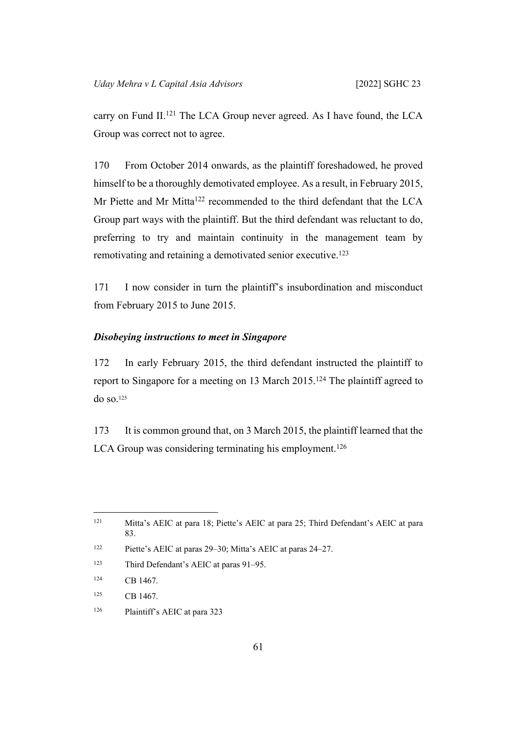carry on Fund II.<sup>121</sup> The LCA Group never agreed. As I have found, the LCA Group was correct not to agree.

170 From October 2014 onwards, as the plaintiff foreshadowed, he proved himself to be a thoroughly demotivated employee. As a result, in February 2015, Mr Piette and Mr Mitta<sup>122</sup> recommended to the third defendant that the LCA Group part ways with the plaintiff. But the third defendant was reluctant to do, preferring to try and maintain continuity in the management team by remotivating and retaining a demotivated senior executive.<sup>123</sup>

171 I now consider in turn the plaintiff's insubordination and misconduct from February 2015 to June 2015.

## *Disobeying instructions to meet in Singapore*

172 In early February 2015, the third defendant instructed the plaintiff to report to Singapore for a meeting on 13 March 2015.<sup>124</sup> The plaintiff agreed to do so.<sup>125</sup>

173 It is common ground that, on 3 March 2015, the plaintiff learned that the LCA Group was considering terminating his employment.<sup>126</sup>

<sup>122</sup> Piette's AEIC at paras 29–30; Mitta's AEIC at paras 24–27.

<sup>123</sup> Third Defendant's AEIC at paras 91–95.

<sup>124</sup> CB 1467.

125 CB 1467.

126 Plaintiff's AEIC at para 323

<sup>121</sup> Mitta's AEIC at para 18; Piette's AEIC at para 25; Third Defendant's AEIC at para 83.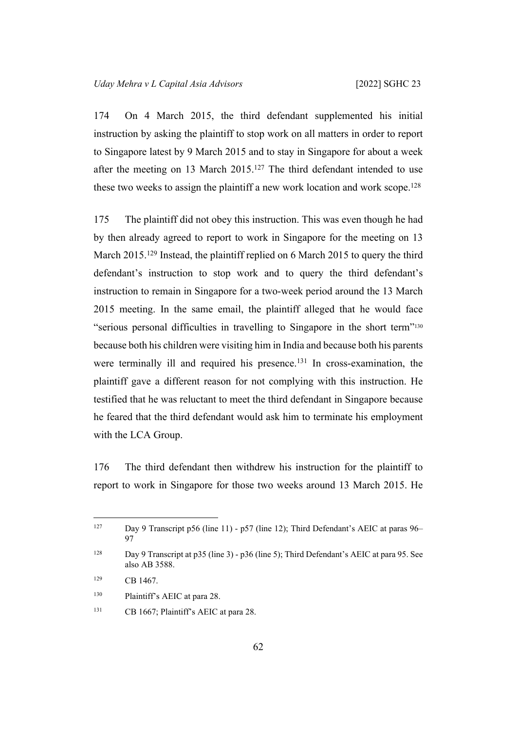174 On 4 March 2015, the third defendant supplemented his initial instruction by asking the plaintiff to stop work on all matters in order to report to Singapore latest by 9 March 2015 and to stay in Singapore for about a week after the meeting on 13 March 2015.<sup>127</sup> The third defendant intended to use these two weeks to assign the plaintiff a new work location and work scope.<sup>128</sup>

175 The plaintiff did not obey this instruction. This was even though he had by then already agreed to report to work in Singapore for the meeting on 13 March 2015.<sup>129</sup> Instead, the plaintiff replied on 6 March 2015 to query the third defendant's instruction to stop work and to query the third defendant's instruction to remain in Singapore for a two-week period around the 13 March 2015 meeting. In the same email, the plaintiff alleged that he would face "serious personal difficulties in travelling to Singapore in the short term"<sup>130</sup> because both his children were visiting him in India and because both his parents were terminally ill and required his presence.<sup>131</sup> In cross-examination, the plaintiff gave a different reason for not complying with this instruction. He testified that he was reluctant to meet the third defendant in Singapore because he feared that the third defendant would ask him to terminate his employment with the LCA Group.

176 The third defendant then withdrew his instruction for the plaintiff to report to work in Singapore for those two weeks around 13 March 2015. He

<sup>&</sup>lt;sup>127</sup> Day 9 Transcript p56 (line 11) - p57 (line 12); Third Defendant's AEIC at paras 96– 97

<sup>&</sup>lt;sup>128</sup> Day 9 Transcript at p35 (line 3) - p36 (line 5); Third Defendant's AEIC at para 95. See also AB 3588.

<sup>129</sup> CB 1467.

<sup>130</sup> Plaintiff's AEIC at para 28.

<sup>&</sup>lt;sup>131</sup> CB 1667; Plaintiff's AEIC at para 28.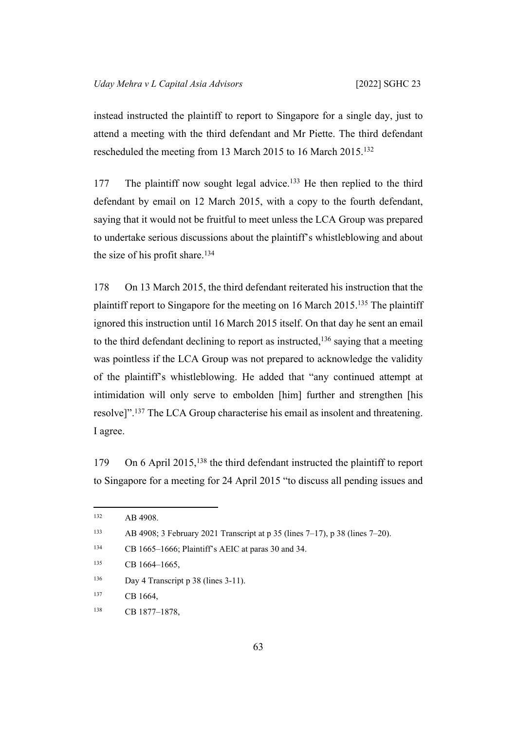instead instructed the plaintiff to report to Singapore for a single day, just to attend a meeting with the third defendant and Mr Piette. The third defendant rescheduled the meeting from 13 March 2015 to 16 March 2015.<sup>132</sup>

177 The plaintiff now sought legal advice.<sup>133</sup> He then replied to the third defendant by email on 12 March 2015, with a copy to the fourth defendant, saying that it would not be fruitful to meet unless the LCA Group was prepared to undertake serious discussions about the plaintiff's whistleblowing and about the size of his profit share.<sup>134</sup>

178 On 13 March 2015, the third defendant reiterated his instruction that the plaintiff report to Singapore for the meeting on 16 March 2015.<sup>135</sup> The plaintiff ignored this instruction until 16 March 2015 itself. On that day he sent an email to the third defendant declining to report as instructed,<sup>136</sup> saying that a meeting was pointless if the LCA Group was not prepared to acknowledge the validity of the plaintiff's whistleblowing. He added that "any continued attempt at intimidation will only serve to embolden [him] further and strengthen [his resolve]".<sup>137</sup> The LCA Group characterise his email as insolent and threatening. I agree.

179 On 6 April 2015,<sup>138</sup> the third defendant instructed the plaintiff to report to Singapore for a meeting for 24 April 2015 "to discuss all pending issues and

<sup>134</sup> CB 1665–1666; Plaintiff's AEIC at paras 30 and 34.

<sup>136</sup> Day 4 Transcript p 38 (lines 3-11).

<sup>132</sup> AB 4908.

<sup>133</sup> AB 4908; 3 February 2021 Transcript at p 35 (lines 7–17), p 38 (lines 7–20).

<sup>135</sup> CB 1664-1665,

<sup>137</sup> CB 1664.

<sup>138</sup> CB 1877–1878,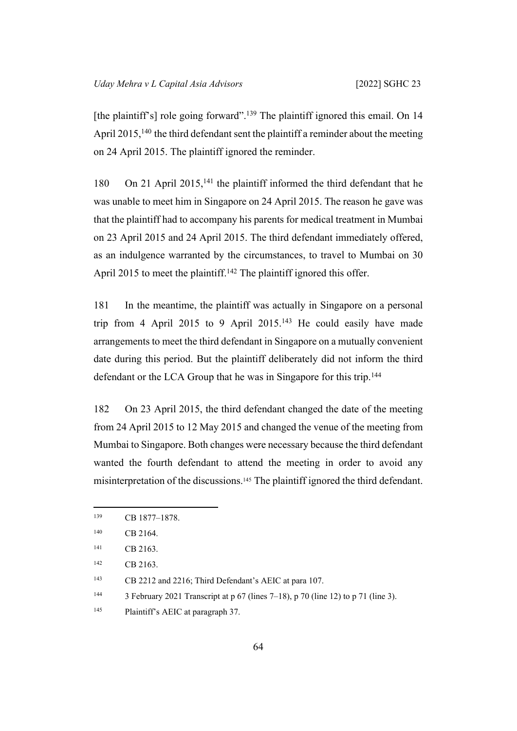[the plaintiff's] role going forward".<sup>139</sup> The plaintiff ignored this email. On 14 April 2015,<sup>140</sup> the third defendant sent the plaintiff a reminder about the meeting on 24 April 2015. The plaintiff ignored the reminder.

180 On 21 April 2015,<sup>141</sup> the plaintiff informed the third defendant that he was unable to meet him in Singapore on 24 April 2015. The reason he gave was that the plaintiff had to accompany his parents for medical treatment in Mumbai on 23 April 2015 and 24 April 2015. The third defendant immediately offered, as an indulgence warranted by the circumstances, to travel to Mumbai on 30 April 2015 to meet the plaintiff.<sup>142</sup> The plaintiff ignored this offer.

181 In the meantime, the plaintiff was actually in Singapore on a personal trip from 4 April 2015 to 9 April 2015.<sup>143</sup> He could easily have made arrangements to meet the third defendant in Singapore on a mutually convenient date during this period. But the plaintiff deliberately did not inform the third defendant or the LCA Group that he was in Singapore for this trip.<sup>144</sup>

182 On 23 April 2015, the third defendant changed the date of the meeting from 24 April 2015 to 12 May 2015 and changed the venue of the meeting from Mumbai to Singapore. Both changes were necessary because the third defendant wanted the fourth defendant to attend the meeting in order to avoid any misinterpretation of the discussions.145 The plaintiff ignored the third defendant.

<sup>139</sup> CB 1877–1878.

<sup>140</sup> CB 2164.

<sup>141</sup> CB 2163.

<sup>142</sup> CB 2163.

<sup>143</sup> CB 2212 and 2216; Third Defendant's AEIC at para 107.

<sup>&</sup>lt;sup>144</sup> 3 February 2021 Transcript at p 67 (lines 7–18), p 70 (line 12) to p 71 (line 3).

<sup>145</sup> Plaintiff's AEIC at paragraph 37.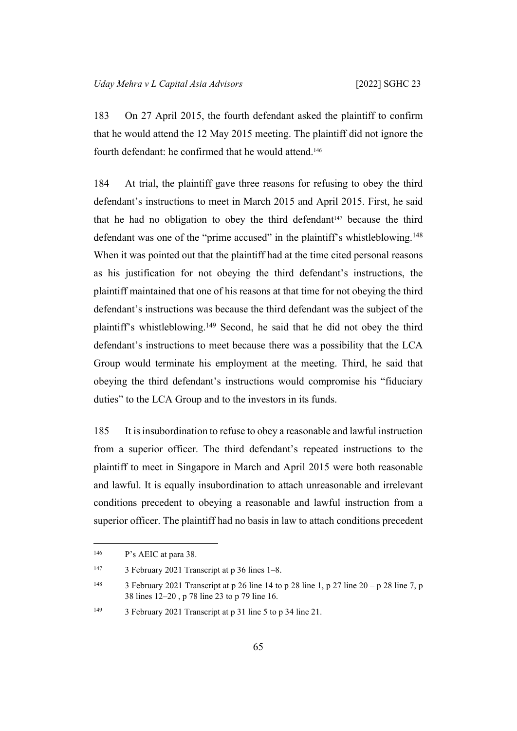183 On 27 April 2015, the fourth defendant asked the plaintiff to confirm that he would attend the 12 May 2015 meeting. The plaintiff did not ignore the fourth defendant: he confirmed that he would attend.<sup>146</sup>

184 At trial, the plaintiff gave three reasons for refusing to obey the third defendant's instructions to meet in March 2015 and April 2015. First, he said that he had no obligation to obey the third defendant  $47$  because the third defendant was one of the "prime accused" in the plaintiff's whistleblowing.<sup>148</sup> When it was pointed out that the plaintiff had at the time cited personal reasons as his justification for not obeying the third defendant's instructions, the plaintiff maintained that one of his reasons at that time for not obeying the third defendant's instructions was because the third defendant was the subject of the plaintiff's whistleblowing.<sup>149</sup> Second, he said that he did not obey the third defendant's instructions to meet because there was a possibility that the LCA Group would terminate his employment at the meeting. Third, he said that obeying the third defendant's instructions would compromise his "fiduciary duties" to the LCA Group and to the investors in its funds.

185 It is insubordination to refuse to obey a reasonable and lawful instruction from a superior officer. The third defendant's repeated instructions to the plaintiff to meet in Singapore in March and April 2015 were both reasonable and lawful. It is equally insubordination to attach unreasonable and irrelevant conditions precedent to obeying a reasonable and lawful instruction from a superior officer. The plaintiff had no basis in law to attach conditions precedent

<sup>146</sup> P's AEIC at para 38.

<sup>147</sup> 3 February 2021 Transcript at p 36 lines 1–8.

<sup>&</sup>lt;sup>148</sup> 3 February 2021 Transcript at p 26 line 14 to p 28 line 1, p 27 line 20 – p 28 line 7, p 38 lines 12–20 , p 78 line 23 to p 79 line 16.

<sup>149</sup> 3 February 2021 Transcript at p 31 line 5 to p 34 line 21.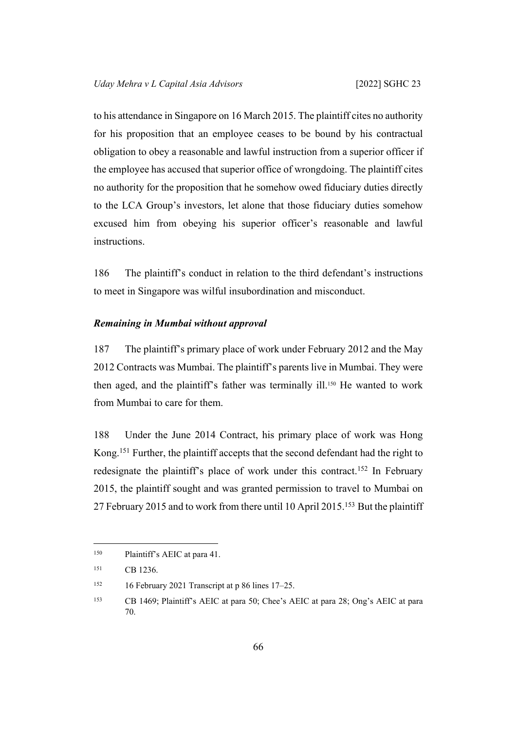to his attendance in Singapore on 16 March 2015. The plaintiff cites no authority for his proposition that an employee ceases to be bound by his contractual obligation to obey a reasonable and lawful instruction from a superior officer if the employee has accused that superior office of wrongdoing. The plaintiff cites no authority for the proposition that he somehow owed fiduciary duties directly to the LCA Group's investors, let alone that those fiduciary duties somehow excused him from obeying his superior officer's reasonable and lawful instructions.

186 The plaintiff's conduct in relation to the third defendant's instructions to meet in Singapore was wilful insubordination and misconduct.

## *Remaining in Mumbai without approval*

187 The plaintiff's primary place of work under February 2012 and the May 2012 Contracts was Mumbai. The plaintiff's parents live in Mumbai. They were then aged, and the plaintiff's father was terminally ill.150 He wanted to work from Mumbai to care for them.

188 Under the June 2014 Contract, his primary place of work was Hong Kong.<sup>151</sup> Further, the plaintiff accepts that the second defendant had the right to redesignate the plaintiff's place of work under this contract.<sup>152</sup> In February 2015, the plaintiff sought and was granted permission to travel to Mumbai on 27 February 2015 and to work from there until 10 April 2015.<sup>153</sup> But the plaintiff

<sup>150</sup> Plaintiff's AEIC at para 41.

<sup>151</sup> CB 1236.

<sup>&</sup>lt;sup>152</sup> 16 February 2021 Transcript at p 86 lines  $17-25$ .

<sup>153</sup> CB 1469; Plaintiff's AEIC at para 50; Chee's AEIC at para 28; Ong's AEIC at para 70.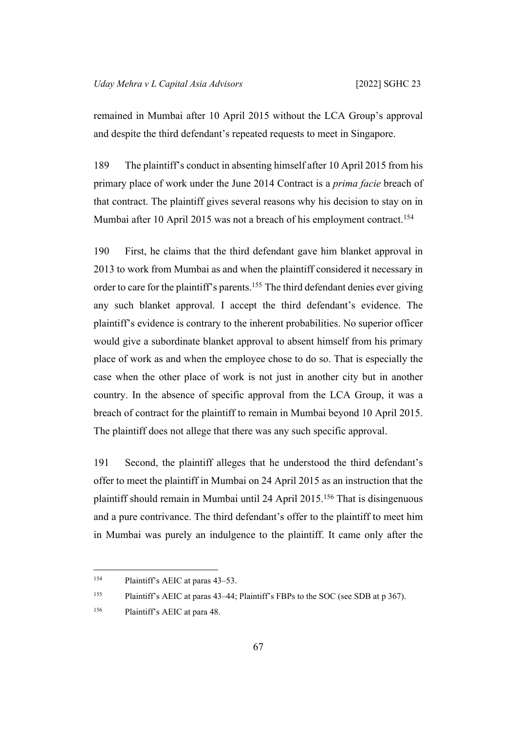remained in Mumbai after 10 April 2015 without the LCA Group's approval and despite the third defendant's repeated requests to meet in Singapore.

189 The plaintiff's conduct in absenting himself after 10 April 2015 from his primary place of work under the June 2014 Contract is a *prima facie* breach of that contract. The plaintiff gives several reasons why his decision to stay on in Mumbai after 10 April 2015 was not a breach of his employment contract.<sup>154</sup>

190 First, he claims that the third defendant gave him blanket approval in 2013 to work from Mumbai as and when the plaintiff considered it necessary in order to care for the plaintiff's parents.<sup>155</sup> The third defendant denies ever giving any such blanket approval. I accept the third defendant's evidence. The plaintiff's evidence is contrary to the inherent probabilities. No superior officer would give a subordinate blanket approval to absent himself from his primary place of work as and when the employee chose to do so. That is especially the case when the other place of work is not just in another city but in another country. In the absence of specific approval from the LCA Group, it was a breach of contract for the plaintiff to remain in Mumbai beyond 10 April 2015. The plaintiff does not allege that there was any such specific approval.

191 Second, the plaintiff alleges that he understood the third defendant's offer to meet the plaintiff in Mumbai on 24 April 2015 as an instruction that the plaintiff should remain in Mumbai until 24 April 2015.<sup>156</sup> That is disingenuous and a pure contrivance. The third defendant's offer to the plaintiff to meet him in Mumbai was purely an indulgence to the plaintiff. It came only after the

<sup>154</sup> Plaintiff's AEIC at paras 43–53.

<sup>155</sup> Plaintiff's AEIC at paras 43–44; Plaintiff's FBPs to the SOC (see SDB at p 367).

<sup>156</sup> Plaintiff's AEIC at para 48.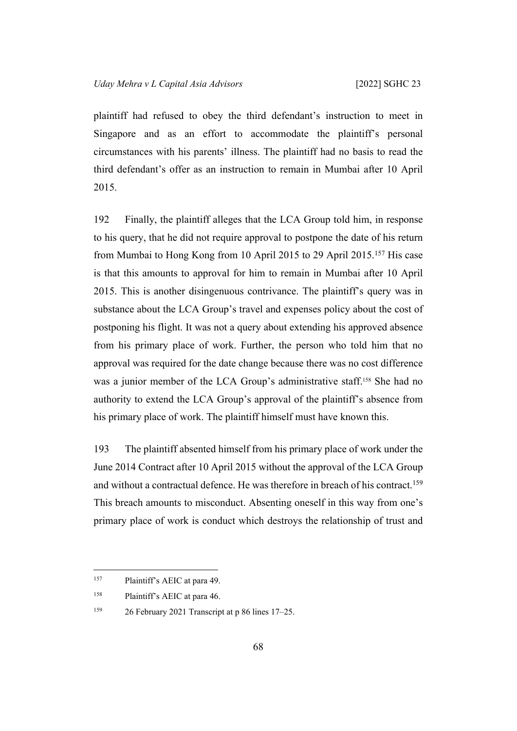plaintiff had refused to obey the third defendant's instruction to meet in Singapore and as an effort to accommodate the plaintiff's personal circumstances with his parents' illness. The plaintiff had no basis to read the third defendant's offer as an instruction to remain in Mumbai after 10 April 2015.

192 Finally, the plaintiff alleges that the LCA Group told him, in response to his query, that he did not require approval to postpone the date of his return from Mumbai to Hong Kong from 10 April 2015 to 29 April 2015.<sup>157</sup> His case is that this amounts to approval for him to remain in Mumbai after 10 April 2015. This is another disingenuous contrivance. The plaintiff's query was in substance about the LCA Group's travel and expenses policy about the cost of postponing his flight. It was not a query about extending his approved absence from his primary place of work. Further, the person who told him that no approval was required for the date change because there was no cost difference was a junior member of the LCA Group's administrative staff.158 She had no authority to extend the LCA Group's approval of the plaintiff's absence from his primary place of work. The plaintiff himself must have known this.

193 The plaintiff absented himself from his primary place of work under the June 2014 Contract after 10 April 2015 without the approval of the LCA Group and without a contractual defence. He was therefore in breach of his contract.<sup>159</sup> This breach amounts to misconduct. Absenting oneself in this way from one's primary place of work is conduct which destroys the relationship of trust and

<sup>157</sup> Plaintiff's AEIC at para 49.

<sup>158</sup> Plaintiff's AEIC at para 46.

<sup>159</sup> 26 February 2021 Transcript at p 86 lines 17–25.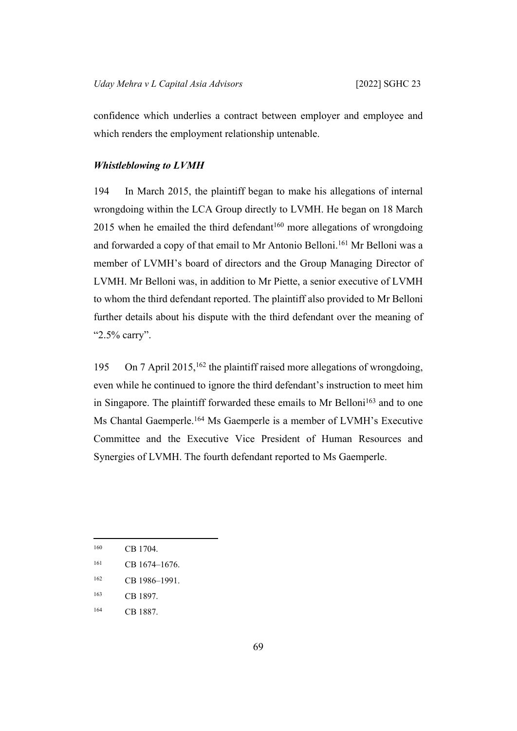confidence which underlies a contract between employer and employee and which renders the employment relationship untenable.

## *Whistleblowing to LVMH*

194 In March 2015, the plaintiff began to make his allegations of internal wrongdoing within the LCA Group directly to LVMH. He began on 18 March  $2015$  when he emailed the third defendant<sup>160</sup> more allegations of wrongdoing and forwarded a copy of that email to Mr Antonio Belloni.<sup>161</sup> Mr Belloni was a member of LVMH's board of directors and the Group Managing Director of LVMH. Mr Belloni was, in addition to Mr Piette, a senior executive of LVMH to whom the third defendant reported. The plaintiff also provided to Mr Belloni further details about his dispute with the third defendant over the meaning of "2.5% carry".

195 On 7 April 2015,<sup>162</sup> the plaintiff raised more allegations of wrongdoing, even while he continued to ignore the third defendant's instruction to meet him in Singapore. The plaintiff forwarded these emails to Mr Belloni<sup>163</sup> and to one Ms Chantal Gaemperle.<sup>164</sup> Ms Gaemperle is a member of LVMH's Executive Committee and the Executive Vice President of Human Resources and Synergies of LVMH. The fourth defendant reported to Ms Gaemperle.

<sup>160</sup> CB 1704.

<sup>161</sup> CB 1674-1676.

<sup>162</sup> CB 1986–1991.

<sup>163</sup> CB 1897.

<sup>164</sup> CB 1887.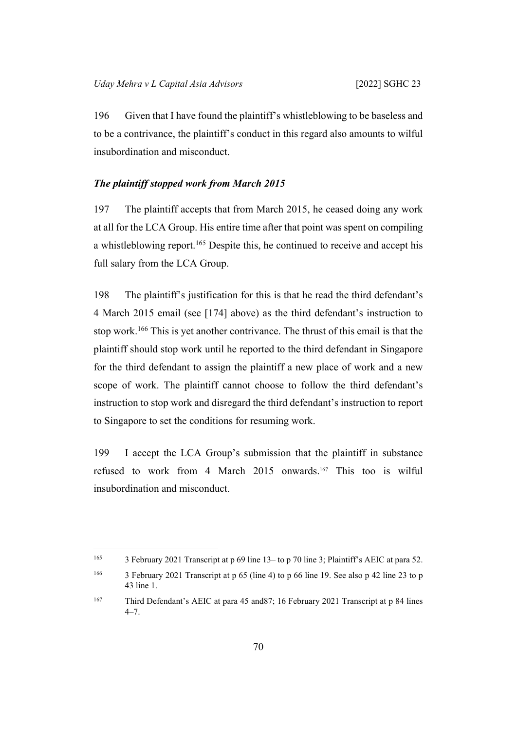196 Given that I have found the plaintiff's whistleblowing to be baseless and to be a contrivance, the plaintiff's conduct in this regard also amounts to wilful insubordination and misconduct.

## *The plaintiff stopped work from March 2015*

197 The plaintiff accepts that from March 2015, he ceased doing any work at all for the LCA Group. His entire time after that point was spent on compiling a whistleblowing report.<sup>165</sup> Despite this, he continued to receive and accept his full salary from the LCA Group.

198 The plaintiff's justification for this is that he read the third defendant's 4 March 2015 email (see [[174\]](#page-65-0) above) as the third defendant's instruction to stop work.<sup>166</sup> This is yet another contrivance. The thrust of this email is that the plaintiff should stop work until he reported to the third defendant in Singapore for the third defendant to assign the plaintiff a new place of work and a new scope of work. The plaintiff cannot choose to follow the third defendant's instruction to stop work and disregard the third defendant's instruction to report to Singapore to set the conditions for resuming work.

199 I accept the LCA Group's submission that the plaintiff in substance refused to work from 4 March 2015 onwards.167 This too is wilful insubordination and misconduct.

<sup>165</sup> 3 February 2021 Transcript at p 69 line 13– to p 70 line 3; Plaintiff's AEIC at para 52.

<sup>166</sup> 3 February 2021 Transcript at p 65 (line 4) to p 66 line 19. See also p 42 line 23 to p 43 line 1.

<sup>167</sup> Third Defendant's AEIC at para 45 and87; 16 February 2021 Transcript at p 84 lines 4–7.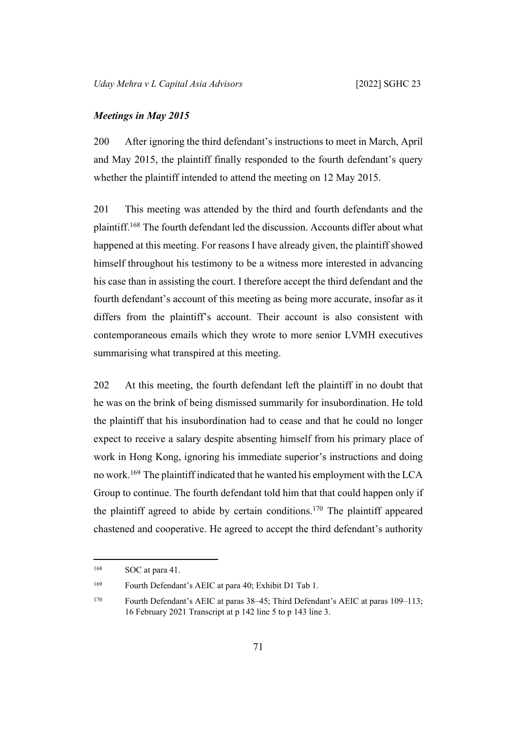### *Meetings in May 2015*

200 After ignoring the third defendant's instructions to meet in March, April and May 2015, the plaintiff finally responded to the fourth defendant's query whether the plaintiff intended to attend the meeting on 12 May 2015.

201 This meeting was attended by the third and fourth defendants and the plaintiff.<sup>168</sup> The fourth defendant led the discussion. Accounts differ about what happened at this meeting. For reasons I have already given, the plaintiff showed himself throughout his testimony to be a witness more interested in advancing his case than in assisting the court. I therefore accept the third defendant and the fourth defendant's account of this meeting as being more accurate, insofar as it differs from the plaintiff's account. Their account is also consistent with contemporaneous emails which they wrote to more senior LVMH executives summarising what transpired at this meeting.

202 At this meeting, the fourth defendant left the plaintiff in no doubt that he was on the brink of being dismissed summarily for insubordination. He told the plaintiff that his insubordination had to cease and that he could no longer expect to receive a salary despite absenting himself from his primary place of work in Hong Kong, ignoring his immediate superior's instructions and doing no work.<sup>169</sup> The plaintiff indicated that he wanted his employment with the LCA Group to continue. The fourth defendant told him that that could happen only if the plaintiff agreed to abide by certain conditions.<sup>170</sup> The plaintiff appeared chastened and cooperative. He agreed to accept the third defendant's authority

<sup>&</sup>lt;sup>168</sup> SOC at para 41.

<sup>169</sup> Fourth Defendant's AEIC at para 40; Exhibit D1 Tab 1.

<sup>170</sup> Fourth Defendant's AEIC at paras 38–45; Third Defendant's AEIC at paras 109–113; 16 February 2021 Transcript at p 142 line 5 to p 143 line 3.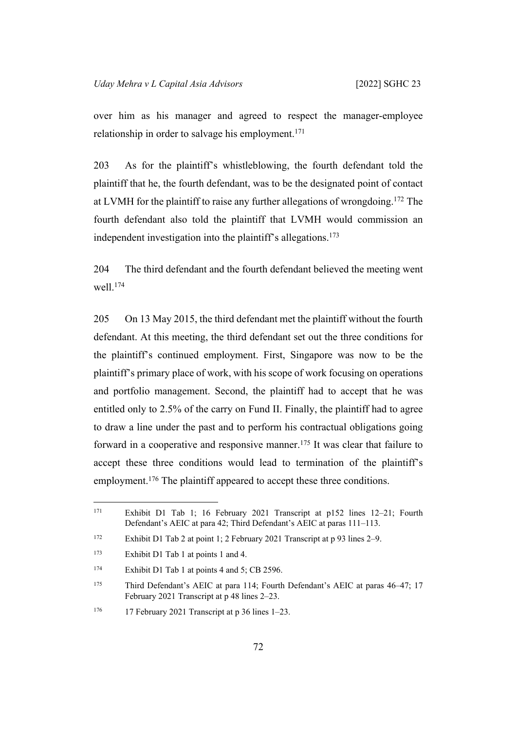over him as his manager and agreed to respect the manager-employee relationship in order to salvage his employment.<sup>171</sup>

203 As for the plaintiff's whistleblowing, the fourth defendant told the plaintiff that he, the fourth defendant, was to be the designated point of contact at LVMH for the plaintiff to raise any further allegations of wrongdoing.<sup>172</sup> The fourth defendant also told the plaintiff that LVMH would commission an independent investigation into the plaintiff's allegations.<sup>173</sup>

204 The third defendant and the fourth defendant believed the meeting went well.<sup>174</sup>

205 On 13 May 2015, the third defendant met the plaintiff without the fourth defendant. At this meeting, the third defendant set out the three conditions for the plaintiff's continued employment. First, Singapore was now to be the plaintiff's primary place of work, with his scope of work focusing on operations and portfolio management. Second, the plaintiff had to accept that he was entitled only to 2.5% of the carry on Fund II. Finally, the plaintiff had to agree to draw a line under the past and to perform his contractual obligations going forward in a cooperative and responsive manner.<sup>175</sup> It was clear that failure to accept these three conditions would lead to termination of the plaintiff's employment.<sup>176</sup> The plaintiff appeared to accept these three conditions.

<sup>171</sup> Exhibit D1 Tab 1; 16 February 2021 Transcript at p152 lines 12–21; Fourth Defendant's AEIC at para 42; Third Defendant's AEIC at paras 111–113.

<sup>172</sup> Exhibit D1 Tab 2 at point 1; 2 February 2021 Transcript at p 93 lines 2–9.

<sup>173</sup> Exhibit D1 Tab 1 at points 1 and 4.

<sup>&</sup>lt;sup>174</sup> Exhibit D1 Tab 1 at points 4 and 5; CB 2596.

<sup>175</sup> Third Defendant's AEIC at para 114; Fourth Defendant's AEIC at paras 46–47; 17 February 2021 Transcript at p 48 lines 2–23.

<sup>176</sup> 17 February 2021 Transcript at p 36 lines 1–23.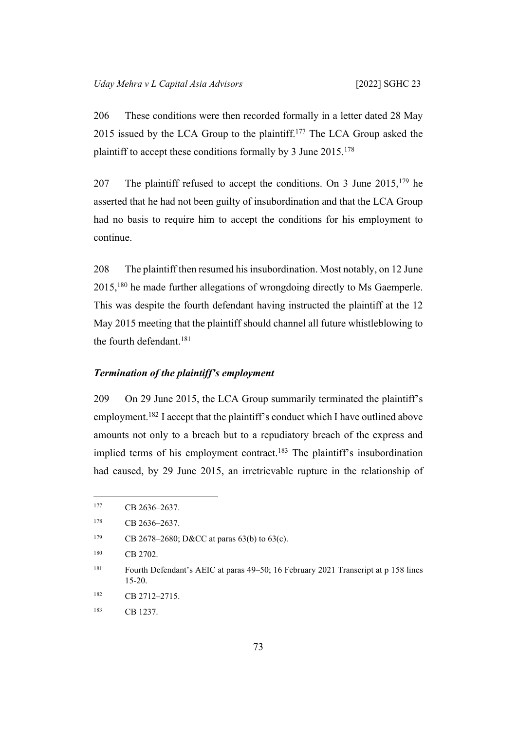<span id="page-76-0"></span>206 These conditions were then recorded formally in a letter dated 28 May 2015 issued by the LCA Group to the plaintiff.<sup>177</sup> The LCA Group asked the plaintiff to accept these conditions formally by 3 June 2015.<sup>178</sup>

207 The plaintiff refused to accept the conditions. On 3 June  $2015$ ,  $179$  he asserted that he had not been guilty of insubordination and that the LCA Group had no basis to require him to accept the conditions for his employment to continue.

208 The plaintiff then resumed his insubordination. Most notably, on 12 June 2015,<sup>180</sup> he made further allegations of wrongdoing directly to Ms Gaemperle. This was despite the fourth defendant having instructed the plaintiff at the 12 May 2015 meeting that the plaintiff should channel all future whistleblowing to the fourth defendant.<sup>181</sup>

### *Termination of the plaintiff's employment*

209 On 29 June 2015, the LCA Group summarily terminated the plaintiff's employment.<sup>182</sup> I accept that the plaintiff's conduct which I have outlined above amounts not only to a breach but to a repudiatory breach of the express and implied terms of his employment contract.<sup>183</sup> The plaintiff's insubordination had caused, by 29 June 2015, an irretrievable rupture in the relationship of

<sup>177</sup> CB 2636-2637.

<sup>178</sup> CB 2636-2637.

<sup>179</sup> CB 2678–2680; D&CC at paras 63(b) to 63(c).

<sup>180</sup> CB 2702.

<sup>181</sup> Fourth Defendant's AEIC at paras 49–50; 16 February 2021 Transcript at p 158 lines 15-20.

 $182$  CB 2712–2715.

<sup>183</sup> CB 1237.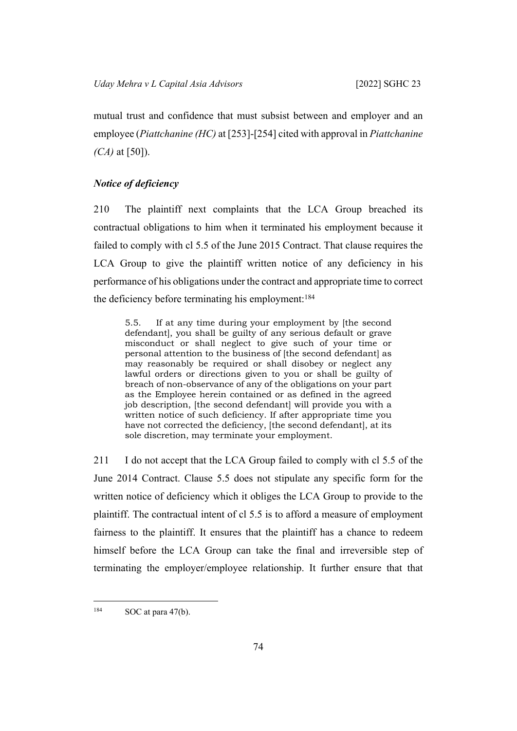mutual trust and confidence that must subsist between and employer and an employee (*Piattchanine (HC)* at [253]-[254] cited with approval in *Piattchanine (CA)* at [50]).

## *Notice of deficiency*

210 The plaintiff next complaints that the LCA Group breached its contractual obligations to him when it terminated his employment because it failed to comply with cl 5.5 of the June 2015 Contract. That clause requires the LCA Group to give the plaintiff written notice of any deficiency in his performance of his obligations under the contract and appropriate time to correct the deficiency before terminating his employment:<sup>184</sup>

5.5. If at any time during your employment by [the second defendant], you shall be guilty of any serious default or grave misconduct or shall neglect to give such of your time or personal attention to the business of [the second defendant] as may reasonably be required or shall disobey or neglect any lawful orders or directions given to you or shall be guilty of breach of non-observance of any of the obligations on your part as the Employee herein contained or as defined in the agreed job description, [the second defendant] will provide you with a written notice of such deficiency. If after appropriate time you have not corrected the deficiency, [the second defendant], at its sole discretion, may terminate your employment.

211 I do not accept that the LCA Group failed to comply with cl 5.5 of the June 2014 Contract. Clause 5.5 does not stipulate any specific form for the written notice of deficiency which it obliges the LCA Group to provide to the plaintiff. The contractual intent of cl 5.5 is to afford a measure of employment fairness to the plaintiff. It ensures that the plaintiff has a chance to redeem himself before the LCA Group can take the final and irreversible step of terminating the employer/employee relationship. It further ensure that that

 $184$  SOC at para 47(b).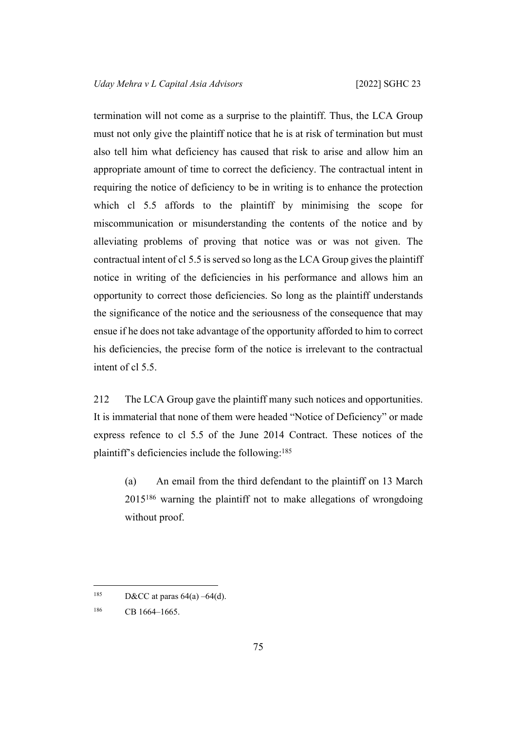termination will not come as a surprise to the plaintiff. Thus, the LCA Group must not only give the plaintiff notice that he is at risk of termination but must also tell him what deficiency has caused that risk to arise and allow him an appropriate amount of time to correct the deficiency. The contractual intent in requiring the notice of deficiency to be in writing is to enhance the protection which cl 5.5 affords to the plaintiff by minimising the scope for miscommunication or misunderstanding the contents of the notice and by alleviating problems of proving that notice was or was not given. The contractual intent of cl 5.5 is served so long as the LCA Group gives the plaintiff notice in writing of the deficiencies in his performance and allows him an opportunity to correct those deficiencies. So long as the plaintiff understands the significance of the notice and the seriousness of the consequence that may ensue if he does not take advantage of the opportunity afforded to him to correct his deficiencies, the precise form of the notice is irrelevant to the contractual intent of cl 5.5.

212 The LCA Group gave the plaintiff many such notices and opportunities. It is immaterial that none of them were headed "Notice of Deficiency" or made express refence to cl 5.5 of the June 2014 Contract. These notices of the plaintiff's deficiencies include the following:<sup>185</sup>

(a) An email from the third defendant to the plaintiff on 13 March 2015<sup>186</sup> warning the plaintiff not to make allegations of wrongdoing without proof.

<sup>185</sup> D&CC at paras  $64(a) -64(d)$ .

<sup>186</sup> CB 1664-1665.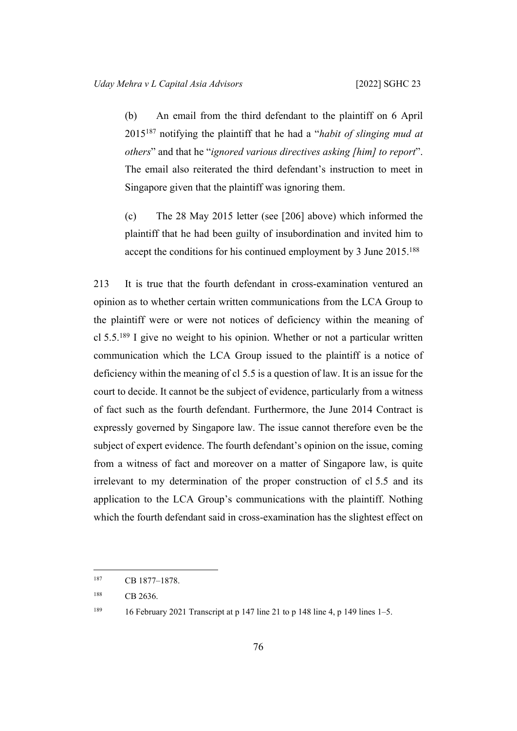(b) An email from the third defendant to the plaintiff on 6 April 2015<sup>187</sup> notifying the plaintiff that he had a "*habit of slinging mud at others*" and that he "*ignored various directives asking [him] to report*". The email also reiterated the third defendant's instruction to meet in Singapore given that the plaintiff was ignoring them.

(c) The 28 May 2015 letter (see [[206\]](#page-76-0) above) which informed the plaintiff that he had been guilty of insubordination and invited him to accept the conditions for his continued employment by 3 June 2015.<sup>188</sup>

213 It is true that the fourth defendant in cross-examination ventured an opinion as to whether certain written communications from the LCA Group to the plaintiff were or were not notices of deficiency within the meaning of cl  $5.5^{189}$  I give no weight to his opinion. Whether or not a particular written communication which the LCA Group issued to the plaintiff is a notice of deficiency within the meaning of cl 5.5 is a question of law. It is an issue for the court to decide. It cannot be the subject of evidence, particularly from a witness of fact such as the fourth defendant. Furthermore, the June 2014 Contract is expressly governed by Singapore law. The issue cannot therefore even be the subject of expert evidence. The fourth defendant's opinion on the issue, coming from a witness of fact and moreover on a matter of Singapore law, is quite irrelevant to my determination of the proper construction of cl 5.5 and its application to the LCA Group's communications with the plaintiff. Nothing which the fourth defendant said in cross-examination has the slightest effect on

<sup>187</sup> CB 1877–1878.

<sup>188</sup> CB 2636.

<sup>189</sup> 16 February 2021 Transcript at p 147 line 21 to p 148 line 4, p 149 lines 1–5.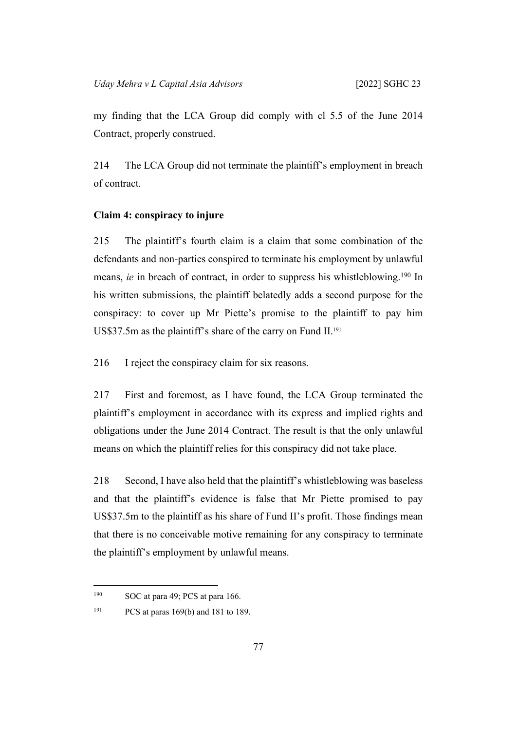my finding that the LCA Group did comply with cl 5.5 of the June 2014 Contract, properly construed.

214 The LCA Group did not terminate the plaintiff's employment in breach of contract.

## **Claim 4: conspiracy to injure**

215 The plaintiff's fourth claim is a claim that some combination of the defendants and non-parties conspired to terminate his employment by unlawful means, *ie* in breach of contract, in order to suppress his whistleblowing.<sup>190</sup> In his written submissions, the plaintiff belatedly adds a second purpose for the conspiracy: to cover up Mr Piette's promise to the plaintiff to pay him US\$37.5m as the plaintiff's share of the carry on Fund II.<sup>191</sup>

216 I reject the conspiracy claim for six reasons.

217 First and foremost, as I have found, the LCA Group terminated the plaintiff's employment in accordance with its express and implied rights and obligations under the June 2014 Contract. The result is that the only unlawful means on which the plaintiff relies for this conspiracy did not take place.

218 Second, I have also held that the plaintiff's whistleblowing was baseless and that the plaintiff's evidence is false that Mr Piette promised to pay US\$37.5m to the plaintiff as his share of Fund II's profit. Those findings mean that there is no conceivable motive remaining for any conspiracy to terminate the plaintiff's employment by unlawful means.

<sup>190</sup> SOC at para 49; PCS at para 166.

<sup>191</sup> PCS at paras 169(b) and 181 to 189.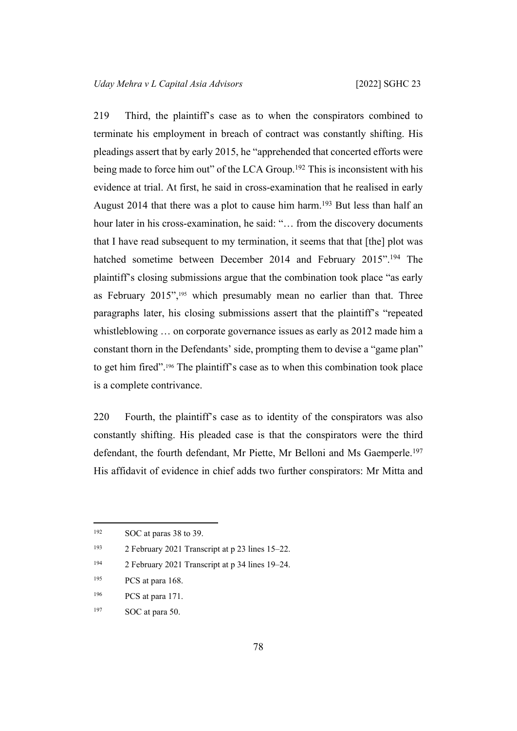219 Third, the plaintiff's case as to when the conspirators combined to terminate his employment in breach of contract was constantly shifting. His pleadings assert that by early 2015, he "apprehended that concerted efforts were being made to force him out" of the LCA Group.<sup>192</sup> This is inconsistent with his evidence at trial. At first, he said in cross-examination that he realised in early August 2014 that there was a plot to cause him harm.<sup>193</sup> But less than half an hour later in his cross-examination, he said: "... from the discovery documents that I have read subsequent to my termination, it seems that that [the] plot was hatched sometime between December 2014 and February 2015".<sup>194</sup> The plaintiff's closing submissions argue that the combination took place "as early as February 2015",<sup>195</sup> which presumably mean no earlier than that. Three paragraphs later, his closing submissions assert that the plaintiff's "repeated whistleblowing … on corporate governance issues as early as 2012 made him a constant thorn in the Defendants' side, prompting them to devise a "game plan" to get him fired".196 The plaintiff's case as to when this combination took place is a complete contrivance.

220 Fourth, the plaintiff's case as to identity of the conspirators was also constantly shifting. His pleaded case is that the conspirators were the third defendant, the fourth defendant, Mr Piette, Mr Belloni and Ms Gaemperle.<sup>197</sup> His affidavit of evidence in chief adds two further conspirators: Mr Mitta and

<sup>192</sup> SOC at paras 38 to 39.

<sup>193</sup> 2 February 2021 Transcript at p 23 lines 15–22.

<sup>194</sup> 2 February 2021 Transcript at p 34 lines 19–24.

<sup>&</sup>lt;sup>195</sup> PCS at para 168.

<sup>196</sup> PCS at para 171.

<sup>197</sup> SOC at para 50.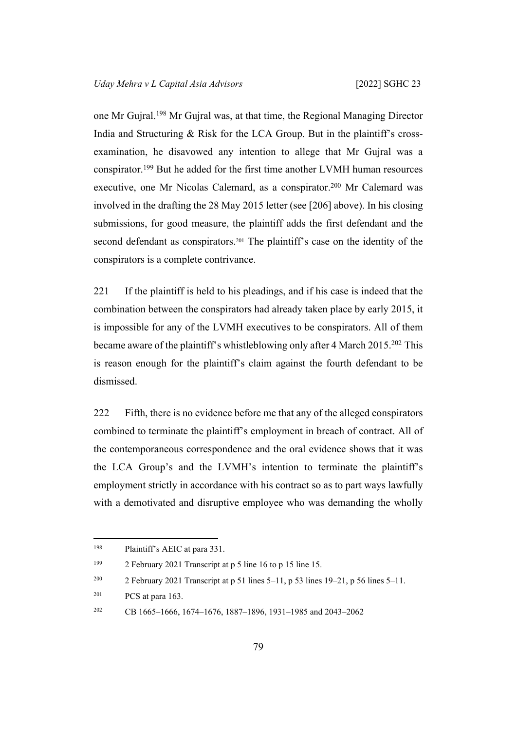one Mr Gujral.<sup>198</sup> Mr Gujral was, at that time, the Regional Managing Director India and Structuring & Risk for the LCA Group. But in the plaintiff's crossexamination, he disavowed any intention to allege that Mr Gujral was a conspirator.<sup>199</sup> But he added for the first time another LVMH human resources executive, one Mr Nicolas Calemard, as a conspirator.<sup>200</sup> Mr Calemard was involved in the drafting the 28 May 2015 letter (see [\[206](#page-76-0)] above). In his closing submissions, for good measure, the plaintiff adds the first defendant and the second defendant as conspirators.<sup>201</sup> The plaintiff's case on the identity of the conspirators is a complete contrivance.

221 If the plaintiff is held to his pleadings, and if his case is indeed that the combination between the conspirators had already taken place by early 2015, it is impossible for any of the LVMH executives to be conspirators. All of them became aware of the plaintiff's whistleblowing only after 4 March 2015.<sup>202</sup> This is reason enough for the plaintiff's claim against the fourth defendant to be dismissed.

222 Fifth, there is no evidence before me that any of the alleged conspirators combined to terminate the plaintiff's employment in breach of contract. All of the contemporaneous correspondence and the oral evidence shows that it was the LCA Group's and the LVMH's intention to terminate the plaintiff's employment strictly in accordance with his contract so as to part ways lawfully with a demotivated and disruptive employee who was demanding the wholly

<sup>198</sup> Plaintiff's AEIC at para 331.

<sup>199</sup> 2 February 2021 Transcript at p 5 line 16 to p 15 line 15.

<sup>&</sup>lt;sup>200</sup> 2 February 2021 Transcript at p 51 lines 5–11, p 53 lines 19–21, p 56 lines 5–11.

 $201$  PCS at para 163.

<sup>202</sup> CB 1665–1666, 1674–1676, 1887–1896, 1931–1985 and 2043–2062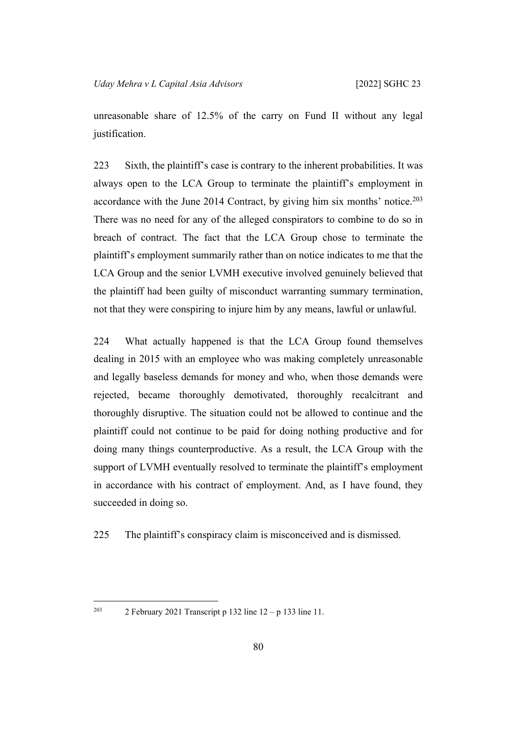unreasonable share of 12.5% of the carry on Fund II without any legal justification.

223 Sixth, the plaintiff's case is contrary to the inherent probabilities. It was always open to the LCA Group to terminate the plaintiff's employment in accordance with the June 2014 Contract, by giving him six months' notice.<sup>203</sup> There was no need for any of the alleged conspirators to combine to do so in breach of contract. The fact that the LCA Group chose to terminate the plaintiff's employment summarily rather than on notice indicates to me that the LCA Group and the senior LVMH executive involved genuinely believed that the plaintiff had been guilty of misconduct warranting summary termination, not that they were conspiring to injure him by any means, lawful or unlawful.

224 What actually happened is that the LCA Group found themselves dealing in 2015 with an employee who was making completely unreasonable and legally baseless demands for money and who, when those demands were rejected, became thoroughly demotivated, thoroughly recalcitrant and thoroughly disruptive. The situation could not be allowed to continue and the plaintiff could not continue to be paid for doing nothing productive and for doing many things counterproductive. As a result, the LCA Group with the support of LVMH eventually resolved to terminate the plaintiff's employment in accordance with his contract of employment. And, as I have found, they succeeded in doing so.

225 The plaintiff's conspiracy claim is misconceived and is dismissed.

<sup>203</sup> 2 February 2021 Transcript p 132 line  $12 - p$  133 line 11.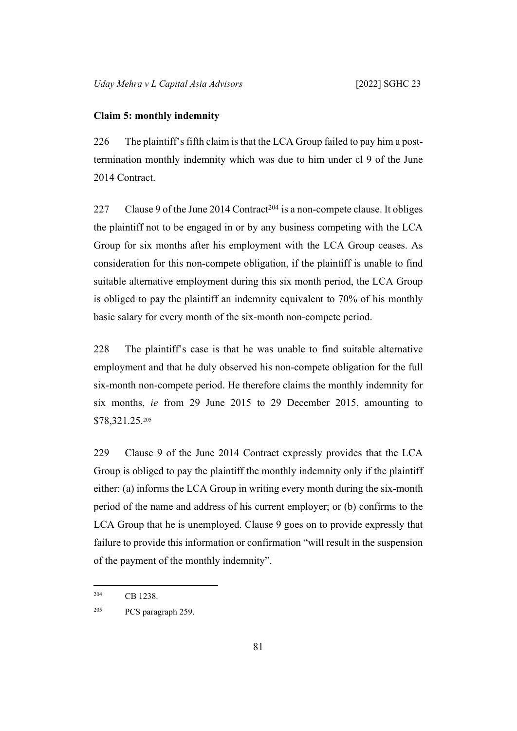#### **Claim 5: monthly indemnity**

226 The plaintiff's fifth claim is that the LCA Group failed to pay him a posttermination monthly indemnity which was due to him under cl 9 of the June 2014 Contract.

227 Clause 9 of the June 2014 Contract<sup>204</sup> is a non-compete clause. It obliges the plaintiff not to be engaged in or by any business competing with the LCA Group for six months after his employment with the LCA Group ceases. As consideration for this non-compete obligation, if the plaintiff is unable to find suitable alternative employment during this six month period, the LCA Group is obliged to pay the plaintiff an indemnity equivalent to 70% of his monthly basic salary for every month of the six-month non-compete period.

228 The plaintiff's case is that he was unable to find suitable alternative employment and that he duly observed his non-compete obligation for the full six-month non-compete period. He therefore claims the monthly indemnity for six months, *ie* from 29 June 2015 to 29 December 2015, amounting to \$78,321.25.<sup>205</sup>

229 Clause 9 of the June 2014 Contract expressly provides that the LCA Group is obliged to pay the plaintiff the monthly indemnity only if the plaintiff either: (a) informs the LCA Group in writing every month during the six-month period of the name and address of his current employer; or (b) confirms to the LCA Group that he is unemployed. Clause 9 goes on to provide expressly that failure to provide this information or confirmation "will result in the suspension of the payment of the monthly indemnity".

<sup>204</sup> CB 1238.

<sup>205</sup> PCS paragraph 259.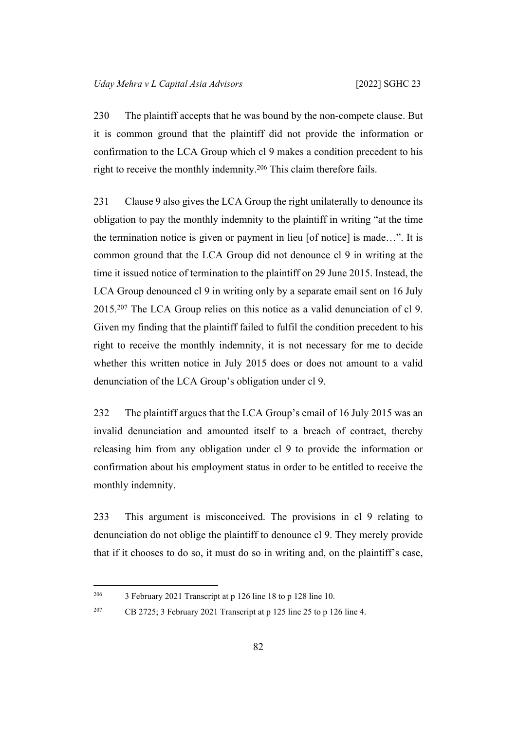230 The plaintiff accepts that he was bound by the non-compete clause. But it is common ground that the plaintiff did not provide the information or confirmation to the LCA Group which cl 9 makes a condition precedent to his right to receive the monthly indemnity.<sup>206</sup> This claim therefore fails.

231 Clause 9 also gives the LCA Group the right unilaterally to denounce its obligation to pay the monthly indemnity to the plaintiff in writing "at the time the termination notice is given or payment in lieu [of notice] is made…". It is common ground that the LCA Group did not denounce cl 9 in writing at the time it issued notice of termination to the plaintiff on 29 June 2015. Instead, the LCA Group denounced cl 9 in writing only by a separate email sent on 16 July 2015.<sup>207</sup> The LCA Group relies on this notice as a valid denunciation of cl 9. Given my finding that the plaintiff failed to fulfil the condition precedent to his right to receive the monthly indemnity, it is not necessary for me to decide whether this written notice in July 2015 does or does not amount to a valid denunciation of the LCA Group's obligation under cl 9.

232 The plaintiff argues that the LCA Group's email of 16 July 2015 was an invalid denunciation and amounted itself to a breach of contract, thereby releasing him from any obligation under cl 9 to provide the information or confirmation about his employment status in order to be entitled to receive the monthly indemnity.

233 This argument is misconceived. The provisions in cl 9 relating to denunciation do not oblige the plaintiff to denounce cl 9. They merely provide that if it chooses to do so, it must do so in writing and, on the plaintiff's case,

<sup>&</sup>lt;sup>206</sup> 3 February 2021 Transcript at p 126 line 18 to p 128 line 10.

<sup>&</sup>lt;sup>207</sup> CB 2725; 3 February 2021 Transcript at p 125 line 25 to p 126 line 4.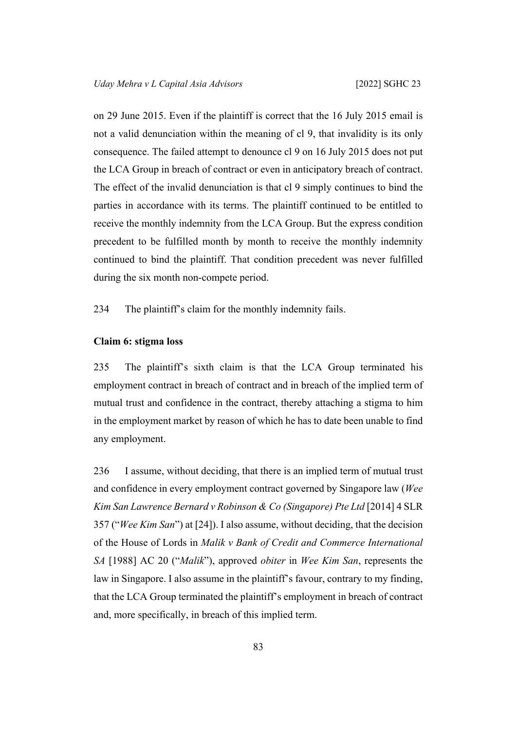on 29 June 2015. Even if the plaintiff is correct that the 16 July 2015 email is not a valid denunciation within the meaning of cl 9, that invalidity is its only consequence. The failed attempt to denounce cl 9 on 16 July 2015 does not put the LCA Group in breach of contract or even in anticipatory breach of contract. The effect of the invalid denunciation is that cl 9 simply continues to bind the parties in accordance with its terms. The plaintiff continued to be entitled to receive the monthly indemnity from the LCA Group. But the express condition precedent to be fulfilled month by month to receive the monthly indemnity continued to bind the plaintiff. That condition precedent was never fulfilled during the six month non-compete period.

234 The plaintiff's claim for the monthly indemnity fails.

## **Claim 6: stigma loss**

235 The plaintiff's sixth claim is that the LCA Group terminated his employment contract in breach of contract and in breach of the implied term of mutual trust and confidence in the contract, thereby attaching a stigma to him in the employment market by reason of which he has to date been unable to find any employment.

236 I assume, without deciding, that there is an implied term of mutual trust and confidence in every employment contract governed by Singapore law (*Wee Kim San Lawrence Bernard v Robinson & Co (Singapore) Pte Ltd* [2014] 4 SLR 357 ("*Wee Kim San*") at [24]). I also assume, without deciding, that the decision of the House of Lords in *Malik v Bank of Credit and Commerce International SA* [1988] AC 20 ("*Malik*"), approved *obiter* in *Wee Kim San*, represents the law in Singapore. I also assume in the plaintiff's favour, contrary to my finding, that the LCA Group terminated the plaintiff's employment in breach of contract and, more specifically, in breach of this implied term.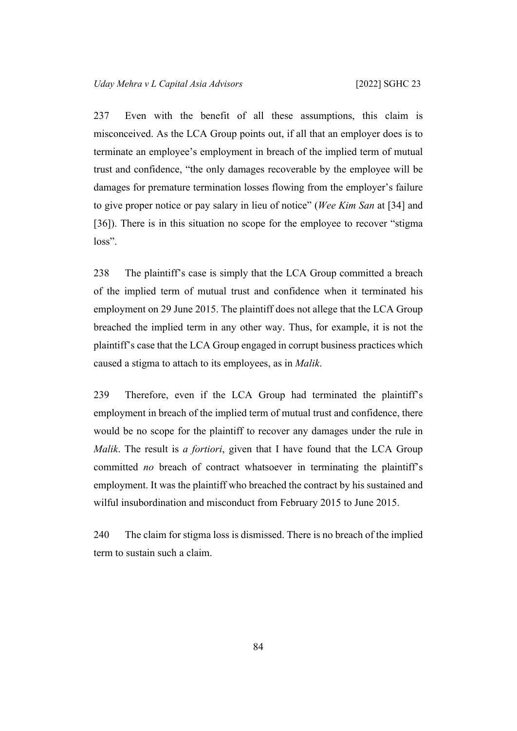237 Even with the benefit of all these assumptions, this claim is misconceived. As the LCA Group points out, if all that an employer does is to terminate an employee's employment in breach of the implied term of mutual trust and confidence, "the only damages recoverable by the employee will be damages for premature termination losses flowing from the employer's failure to give proper notice or pay salary in lieu of notice" (*Wee Kim San* at [34] and [36]). There is in this situation no scope for the employee to recover "stigma loss".

238 The plaintiff's case is simply that the LCA Group committed a breach of the implied term of mutual trust and confidence when it terminated his employment on 29 June 2015. The plaintiff does not allege that the LCA Group breached the implied term in any other way. Thus, for example, it is not the plaintiff's case that the LCA Group engaged in corrupt business practices which caused a stigma to attach to its employees, as in *Malik*.

239 Therefore, even if the LCA Group had terminated the plaintiff's employment in breach of the implied term of mutual trust and confidence, there would be no scope for the plaintiff to recover any damages under the rule in *Malik*. The result is *a fortiori*, given that I have found that the LCA Group committed *no* breach of contract whatsoever in terminating the plaintiff's employment. It was the plaintiff who breached the contract by his sustained and wilful insubordination and misconduct from February 2015 to June 2015.

240 The claim for stigma loss is dismissed. There is no breach of the implied term to sustain such a claim.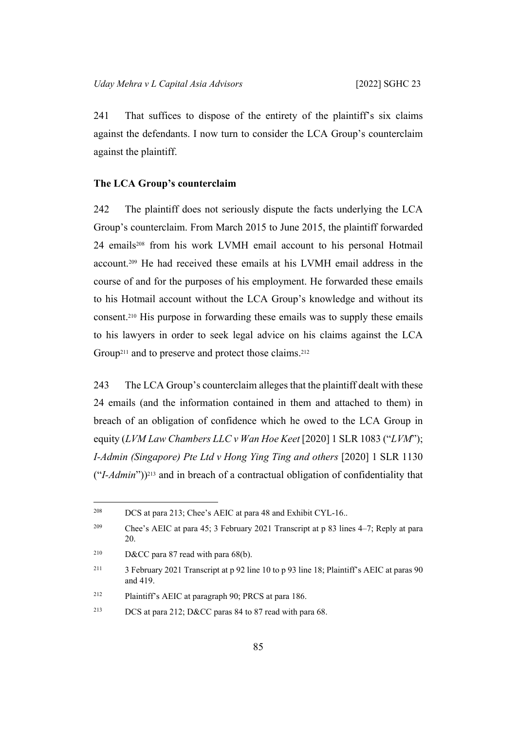241 That suffices to dispose of the entirety of the plaintiff's six claims against the defendants. I now turn to consider the LCA Group's counterclaim against the plaintiff.

#### **The LCA Group's counterclaim**

242 The plaintiff does not seriously dispute the facts underlying the LCA Group's counterclaim. From March 2015 to June 2015, the plaintiff forwarded 24 emails208 from his work LVMH email account to his personal Hotmail account.209 He had received these emails at his LVMH email address in the course of and for the purposes of his employment. He forwarded these emails to his Hotmail account without the LCA Group's knowledge and without its consent.210 His purpose in forwarding these emails was to supply these emails to his lawyers in order to seek legal advice on his claims against the LCA Group<sup>211</sup> and to preserve and protect those claims.<sup>212</sup>

243 The LCA Group's counterclaim alleges that the plaintiff dealt with these 24 emails (and the information contained in them and attached to them) in breach of an obligation of confidence which he owed to the LCA Group in equity (*LVM Law Chambers LLC v Wan Hoe Keet* [2020] 1 SLR 1083 ("*LVM*"); *I-Admin (Singapore) Pte Ltd v Hong Ying Ting and others* [2020] 1 SLR 1130 ("*I-Admin*"))213 and in breach of a contractual obligation of confidentiality that

<sup>208</sup> DCS at para 213; Chee's AEIC at para 48 and Exhibit CYL-16..

<sup>209</sup> Chee's AEIC at para 45; 3 February 2021 Transcript at p 83 lines 4–7; Reply at para 20.

<sup>&</sup>lt;sup>210</sup> D&CC para 87 read with para  $68(b)$ .

<sup>&</sup>lt;sup>211</sup> 3 February 2021 Transcript at p 92 line 10 to p 93 line 18; Plaintiff's AEIC at paras 90 and 419.

<sup>212</sup> Plaintiff's AEIC at paragraph 90; PRCS at para 186.

<sup>213</sup> DCS at para 212; D&CC paras 84 to 87 read with para 68.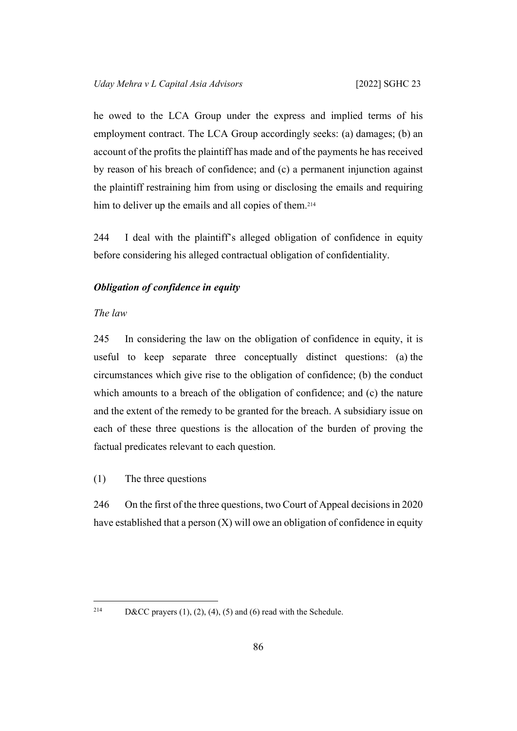he owed to the LCA Group under the express and implied terms of his employment contract. The LCA Group accordingly seeks: (a) damages; (b) an account of the profits the plaintiff has made and of the payments he has received by reason of his breach of confidence; and (c) a permanent injunction against the plaintiff restraining him from using or disclosing the emails and requiring him to deliver up the emails and all copies of them.<sup>214</sup>

244 I deal with the plaintiff's alleged obligation of confidence in equity before considering his alleged contractual obligation of confidentiality.

# *Obligation of confidence in equity*

# *The law*

245 In considering the law on the obligation of confidence in equity, it is useful to keep separate three conceptually distinct questions: (a) the circumstances which give rise to the obligation of confidence; (b) the conduct which amounts to a breach of the obligation of confidence; and (c) the nature and the extent of the remedy to be granted for the breach. A subsidiary issue on each of these three questions is the allocation of the burden of proving the factual predicates relevant to each question.

(1) The three questions

246 On the first of the three questions, two Court of Appeal decisions in 2020 have established that a person  $(X)$  will owe an obligation of confidence in equity

<sup>&</sup>lt;sup>214</sup> D&CC prayers (1), (2), (4), (5) and (6) read with the Schedule.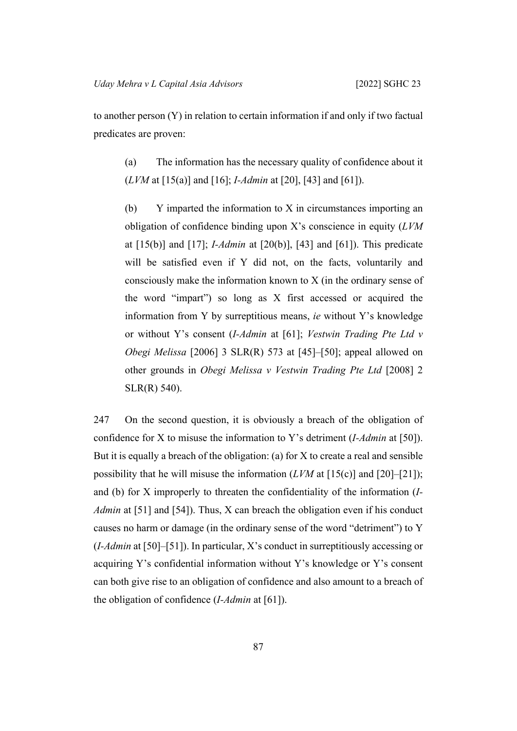to another person (Y) in relation to certain information if and only if two factual predicates are proven:

<span id="page-90-0"></span>(a) The information has the necessary quality of confidence about it (*LVM* at [15(a)] and [16]; *I-Admin* at [20], [43] and [61]).

<span id="page-90-1"></span>(b) Y imparted the information to X in circumstances importing an obligation of confidence binding upon X's conscience in equity (*LVM* at [15(b)] and [17]; *I-Admin* at [20(b)], [43] and [61]). This predicate will be satisfied even if Y did not, on the facts, voluntarily and consciously make the information known to X (in the ordinary sense of the word "impart") so long as X first accessed or acquired the information from Y by surreptitious means, *ie* without Y's knowledge or without Y's consent (*I-Admin* at [61]; *Vestwin Trading Pte Ltd v Obegi Melissa* [2006] 3 SLR(R) 573 at [45]–[50]; appeal allowed on other grounds in *Obegi Melissa v Vestwin Trading Pte Ltd* [2008] 2 SLR(R) 540).

<span id="page-90-2"></span>247 On the second question, it is obviously a breach of the obligation of confidence for X to misuse the information to Y's detriment (*I-Admin* at [50]). But it is equally a breach of the obligation: (a) for  $X$  to create a real and sensible possibility that he will misuse the information (*LVM* at [15(c)] and [20]–[21]); and (b) for X improperly to threaten the confidentiality of the information (*I-Admin* at [51] and [54]). Thus, X can breach the obligation even if his conduct causes no harm or damage (in the ordinary sense of the word "detriment") to Y (*I-Admin* at [50]–[51]). In particular, X's conduct in surreptitiously accessing or acquiring Y's confidential information without Y's knowledge or Y's consent can both give rise to an obligation of confidence and also amount to a breach of the obligation of confidence (*I-Admin* at [61]).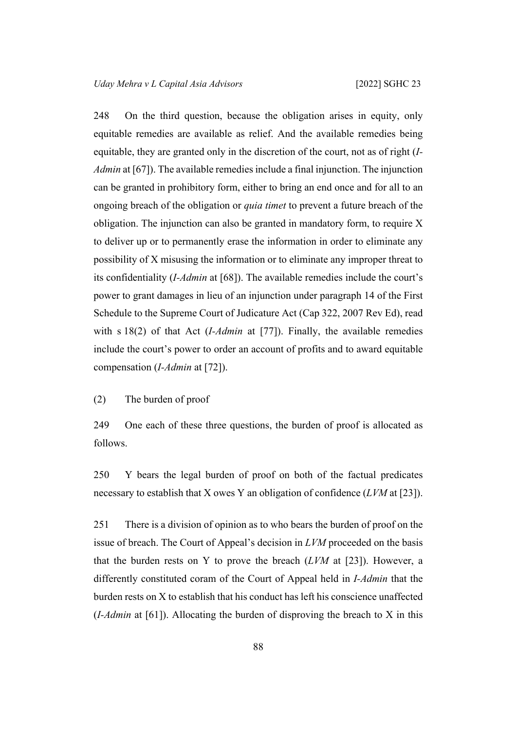248 On the third question, because the obligation arises in equity, only equitable remedies are available as relief. And the available remedies being equitable, they are granted only in the discretion of the court, not as of right (*I-Admin* at [67]). The available remedies include a final injunction. The injunction can be granted in prohibitory form, either to bring an end once and for all to an ongoing breach of the obligation or *quia timet* to prevent a future breach of the obligation. The injunction can also be granted in mandatory form, to require X to deliver up or to permanently erase the information in order to eliminate any possibility of X misusing the information or to eliminate any improper threat to its confidentiality (*I-Admin* at [68]). The available remedies include the court's power to grant damages in lieu of an injunction under paragraph 14 of the First Schedule to the Supreme Court of Judicature Act (Cap 322, 2007 Rev Ed), read with s 18(2) of that Act (*I-Admin* at [77]). Finally, the available remedies include the court's power to order an account of profits and to award equitable compensation (*I-Admin* at [72]).

# (2) The burden of proof

249 One each of these three questions, the burden of proof is allocated as follows.

250 Y bears the legal burden of proof on both of the factual predicates necessary to establish that X owes Y an obligation of confidence (*LVM* at [23]).

251 There is a division of opinion as to who bears the burden of proof on the issue of breach. The Court of Appeal's decision in *LVM* proceeded on the basis that the burden rests on Y to prove the breach (*LVM* at [23]). However, a differently constituted coram of the Court of Appeal held in *I-Admin* that the burden rests on X to establish that his conduct has left his conscience unaffected (*I-Admin* at [61]). Allocating the burden of disproving the breach to X in this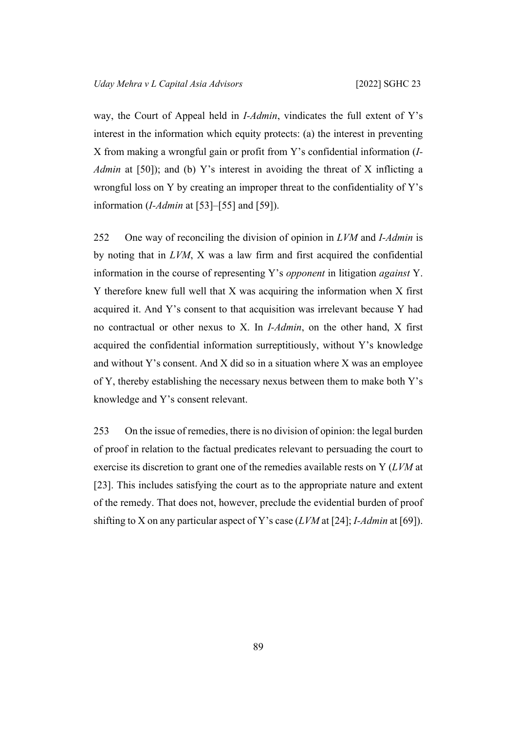way, the Court of Appeal held in *I-Admin*, vindicates the full extent of Y's interest in the information which equity protects: (a) the interest in preventing X from making a wrongful gain or profit from Y's confidential information (*I-Admin* at [50]); and (b) Y's interest in avoiding the threat of X inflicting a wrongful loss on Y by creating an improper threat to the confidentiality of Y's information (*I-Admin* at [53]–[55] and [59]).

252 One way of reconciling the division of opinion in *LVM* and *I-Admin* is by noting that in *LVM*, X was a law firm and first acquired the confidential information in the course of representing Y's *opponent* in litigation *against* Y. Y therefore knew full well that X was acquiring the information when X first acquired it. And Y's consent to that acquisition was irrelevant because Y had no contractual or other nexus to X. In *I-Admin*, on the other hand, X first acquired the confidential information surreptitiously, without Y's knowledge and without Y's consent. And X did so in a situation where X was an employee of Y, thereby establishing the necessary nexus between them to make both Y's knowledge and Y's consent relevant.

253 On the issue of remedies, there is no division of opinion: the legal burden of proof in relation to the factual predicates relevant to persuading the court to exercise its discretion to grant one of the remedies available rests on Y (*LVM* at [23]. This includes satisfying the court as to the appropriate nature and extent of the remedy. That does not, however, preclude the evidential burden of proof shifting to X on any particular aspect of Y's case (*LVM* at [24]; *I-Admin* at [69]).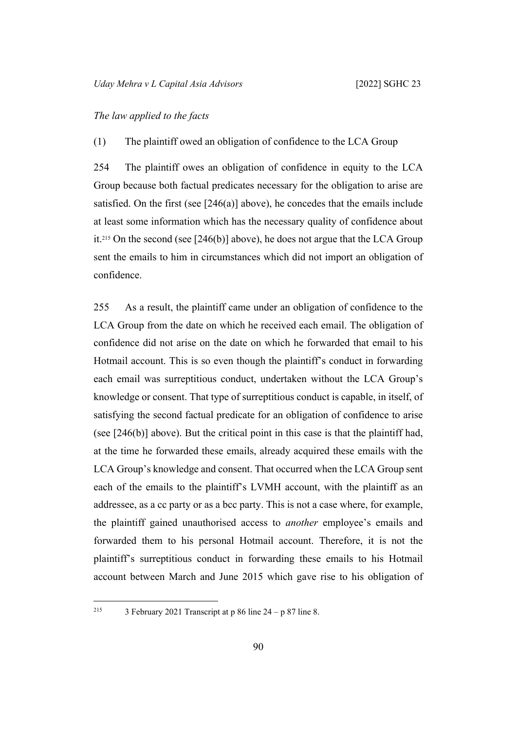### *The law applied to the facts*

(1) The plaintiff owed an obligation of confidence to the LCA Group

254 The plaintiff owes an obligation of confidence in equity to the LCA Group because both factual predicates necessary for the obligation to arise are satisfied. On the first (see [\[246\(a\)](#page-90-0)] above), he concedes that the emails include at least some information which has the necessary quality of confidence about it.215 On the second (see [[246\(b\)\]](#page-90-1) above), he does not argue that the LCA Group sent the emails to him in circumstances which did not import an obligation of confidence.

255 As a result, the plaintiff came under an obligation of confidence to the LCA Group from the date on which he received each email. The obligation of confidence did not arise on the date on which he forwarded that email to his Hotmail account. This is so even though the plaintiff's conduct in forwarding each email was surreptitious conduct, undertaken without the LCA Group's knowledge or consent. That type of surreptitious conduct is capable, in itself, of satisfying the second factual predicate for an obligation of confidence to arise (see [[246\(b\)\]](#page-90-1) above). But the critical point in this case is that the plaintiff had, at the time he forwarded these emails, already acquired these emails with the LCA Group's knowledge and consent. That occurred when the LCA Group sent each of the emails to the plaintiff's LVMH account, with the plaintiff as an addressee, as a cc party or as a bcc party. This is not a case where, for example, the plaintiff gained unauthorised access to *another* employee's emails and forwarded them to his personal Hotmail account. Therefore, it is not the plaintiff's surreptitious conduct in forwarding these emails to his Hotmail account between March and June 2015 which gave rise to his obligation of

<sup>&</sup>lt;sup>215</sup> 3 February 2021 Transcript at p 86 line  $24 - p 87$  line 8.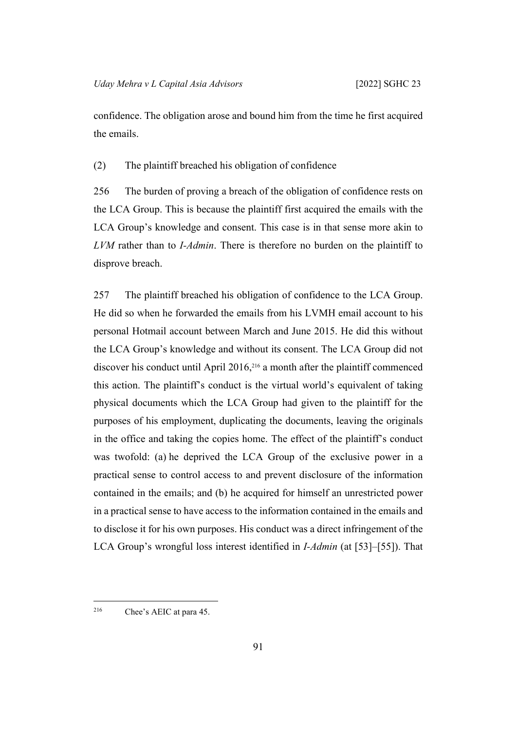confidence. The obligation arose and bound him from the time he first acquired the emails.

(2) The plaintiff breached his obligation of confidence

256 The burden of proving a breach of the obligation of confidence rests on the LCA Group. This is because the plaintiff first acquired the emails with the LCA Group's knowledge and consent. This case is in that sense more akin to *LVM* rather than to *I-Admin*. There is therefore no burden on the plaintiff to disprove breach.

257 The plaintiff breached his obligation of confidence to the LCA Group. He did so when he forwarded the emails from his LVMH email account to his personal Hotmail account between March and June 2015. He did this without the LCA Group's knowledge and without its consent. The LCA Group did not discover his conduct until April 2016,216 a month after the plaintiff commenced this action. The plaintiff's conduct is the virtual world's equivalent of taking physical documents which the LCA Group had given to the plaintiff for the purposes of his employment, duplicating the documents, leaving the originals in the office and taking the copies home. The effect of the plaintiff's conduct was twofold: (a) he deprived the LCA Group of the exclusive power in a practical sense to control access to and prevent disclosure of the information contained in the emails; and (b) he acquired for himself an unrestricted power in a practical sense to have access to the information contained in the emails and to disclose it for his own purposes. His conduct was a direct infringement of the LCA Group's wrongful loss interest identified in *I-Admin* (at [53]–[55]). That

216 Chee's AEIC at para 45.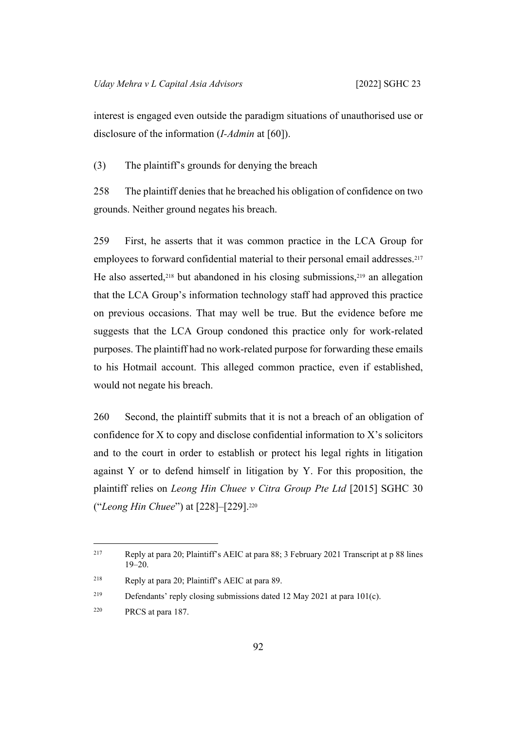interest is engaged even outside the paradigm situations of unauthorised use or disclosure of the information (*I-Admin* at [60]).

<span id="page-95-1"></span>(3) The plaintiff's grounds for denying the breach

258 The plaintiff denies that he breached his obligation of confidence on two grounds. Neither ground negates his breach.

259 First, he asserts that it was common practice in the LCA Group for employees to forward confidential material to their personal email addresses.<sup>217</sup> He also asserted,<sup>218</sup> but abandoned in his closing submissions,<sup>219</sup> an allegation that the LCA Group's information technology staff had approved this practice on previous occasions. That may well be true. But the evidence before me suggests that the LCA Group condoned this practice only for work-related purposes. The plaintiff had no work-related purpose for forwarding these emails to his Hotmail account. This alleged common practice, even if established, would not negate his breach.

<span id="page-95-0"></span>260 Second, the plaintiff submits that it is not a breach of an obligation of confidence for X to copy and disclose confidential information to X's solicitors and to the court in order to establish or protect his legal rights in litigation against Y or to defend himself in litigation by Y. For this proposition, the plaintiff relies on *Leong Hin Chuee v Citra Group Pte Ltd* [2015] SGHC 30 ("*Leong Hin Chuee*") at [228]–[229].<sup>220</sup>

<sup>217</sup> Reply at para 20; Plaintiff's AEIC at para 88; 3 February 2021 Transcript at p 88 lines 19–20.

<sup>218</sup> Reply at para 20; Plaintiff's AEIC at para 89.

<sup>219</sup> Defendants' reply closing submissions dated 12 May 2021 at para 101(c).

<sup>220</sup> PRCS at para 187.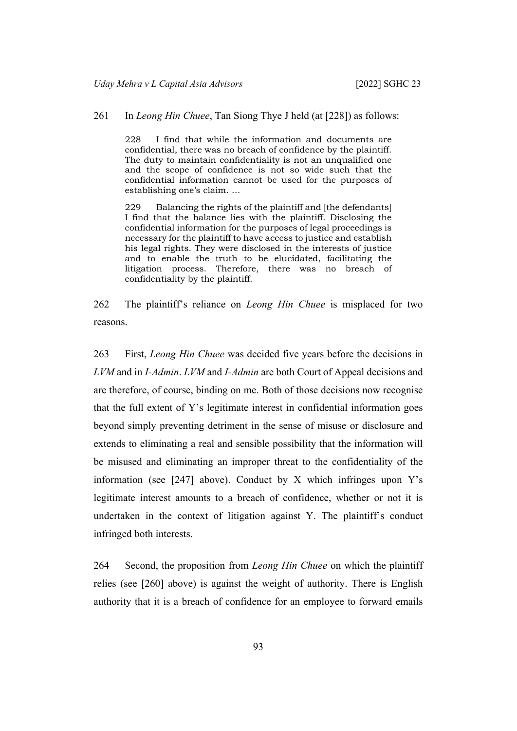### 261 In *Leong Hin Chuee*, Tan Siong Thye J held (at [228]) as follows:

228 I find that while the information and documents are confidential, there was no breach of confidence by the plaintiff. The duty to maintain confidentiality is not an unqualified one and the scope of confidence is not so wide such that the confidential information cannot be used for the purposes of establishing one's claim. …

229 Balancing the rights of the plaintiff and [the defendants] I find that the balance lies with the plaintiff. Disclosing the confidential information for the purposes of legal proceedings is necessary for the plaintiff to have access to justice and establish his legal rights. They were disclosed in the interests of justice and to enable the truth to be elucidated, facilitating the litigation process. Therefore, there was no breach of confidentiality by the plaintiff.

262 The plaintiff's reliance on *Leong Hin Chuee* is misplaced for two reasons.

263 First, *Leong Hin Chuee* was decided five years before the decisions in *LVM* and in *I-Admin*. *LVM* and *I-Admin* are both Court of Appeal decisions and are therefore, of course, binding on me. Both of those decisions now recognise that the full extent of Y's legitimate interest in confidential information goes beyond simply preventing detriment in the sense of misuse or disclosure and extends to eliminating a real and sensible possibility that the information will be misused and eliminating an improper threat to the confidentiality of the information (see  $[247]$  $[247]$  above). Conduct by X which infringes upon Y's legitimate interest amounts to a breach of confidence, whether or not it is undertaken in the context of litigation against Y. The plaintiff's conduct infringed both interests.

264 Second, the proposition from *Leong Hin Chuee* on which the plaintiff relies (see [[260\]](#page-95-0) above) is against the weight of authority. There is English authority that it is a breach of confidence for an employee to forward emails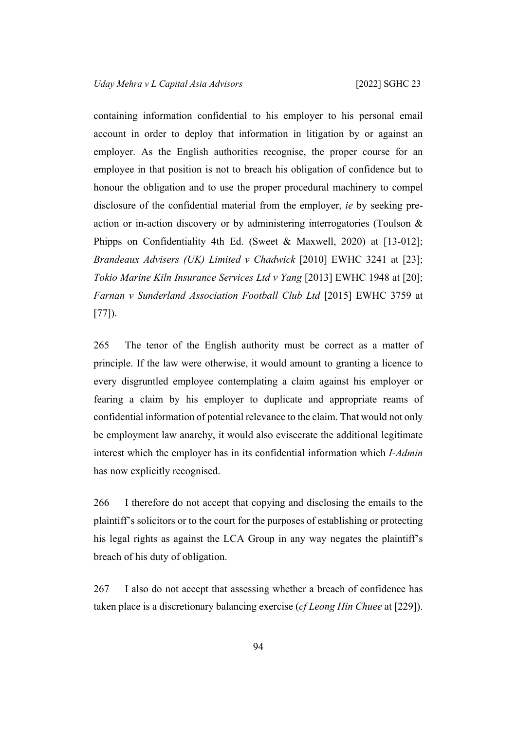containing information confidential to his employer to his personal email account in order to deploy that information in litigation by or against an employer. As the English authorities recognise, the proper course for an employee in that position is not to breach his obligation of confidence but to honour the obligation and to use the proper procedural machinery to compel disclosure of the confidential material from the employer, *ie* by seeking preaction or in-action discovery or by administering interrogatories (Toulson & Phipps on Confidentiality 4th Ed. (Sweet & Maxwell, 2020) at [13-012]; *Brandeaux Advisers (UK) Limited v Chadwick* [2010] EWHC 3241 at [23]; *Tokio Marine Kiln Insurance Services Ltd v Yang* [2013] EWHC 1948 at [20]; *Farnan v Sunderland Association Football Club Ltd* [2015] EWHC 3759 at [77]).

265 The tenor of the English authority must be correct as a matter of principle. If the law were otherwise, it would amount to granting a licence to every disgruntled employee contemplating a claim against his employer or fearing a claim by his employer to duplicate and appropriate reams of confidential information of potential relevance to the claim. That would not only be employment law anarchy, it would also eviscerate the additional legitimate interest which the employer has in its confidential information which *I-Admin* has now explicitly recognised.

<span id="page-97-0"></span>266 I therefore do not accept that copying and disclosing the emails to the plaintiff's solicitors or to the court for the purposes of establishing or protecting his legal rights as against the LCA Group in any way negates the plaintiff's breach of his duty of obligation.

267 I also do not accept that assessing whether a breach of confidence has taken place is a discretionary balancing exercise (*cf Leong Hin Chuee* at [229]).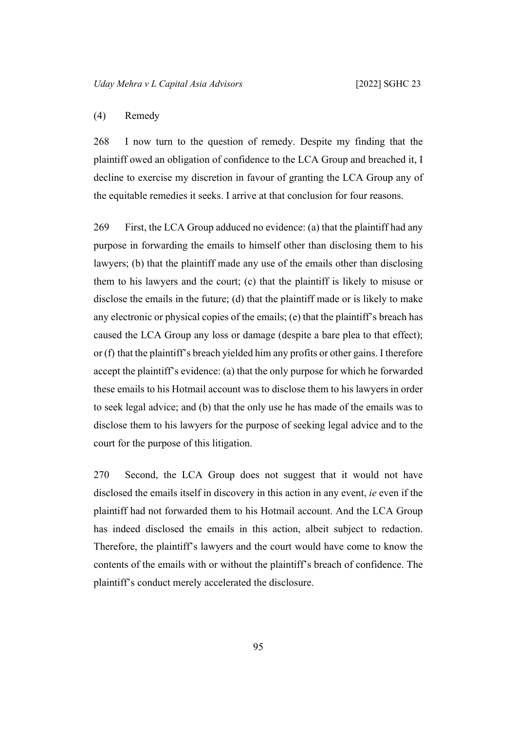## <span id="page-98-0"></span>(4) Remedy

268 I now turn to the question of remedy. Despite my finding that the plaintiff owed an obligation of confidence to the LCA Group and breached it, I decline to exercise my discretion in favour of granting the LCA Group any of the equitable remedies it seeks. I arrive at that conclusion for four reasons.

269 First, the LCA Group adduced no evidence: (a) that the plaintiff had any purpose in forwarding the emails to himself other than disclosing them to his lawyers; (b) that the plaintiff made any use of the emails other than disclosing them to his lawyers and the court; (c) that the plaintiff is likely to misuse or disclose the emails in the future; (d) that the plaintiff made or is likely to make any electronic or physical copies of the emails; (e) that the plaintiff's breach has caused the LCA Group any loss or damage (despite a bare plea to that effect); or (f) that the plaintiff's breach yielded him any profits or other gains. I therefore accept the plaintiff's evidence: (a) that the only purpose for which he forwarded these emails to his Hotmail account was to disclose them to his lawyers in order to seek legal advice; and (b) that the only use he has made of the emails was to disclose them to his lawyers for the purpose of seeking legal advice and to the court for the purpose of this litigation.

270 Second, the LCA Group does not suggest that it would not have disclosed the emails itself in discovery in this action in any event, *ie* even if the plaintiff had not forwarded them to his Hotmail account. And the LCA Group has indeed disclosed the emails in this action, albeit subject to redaction. Therefore, the plaintiff's lawyers and the court would have come to know the contents of the emails with or without the plaintiff's breach of confidence. The plaintiff's conduct merely accelerated the disclosure.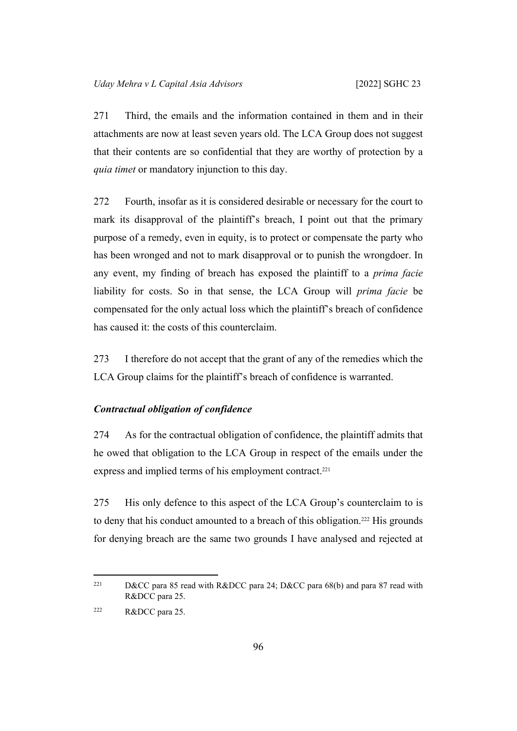271 Third, the emails and the information contained in them and in their attachments are now at least seven years old. The LCA Group does not suggest that their contents are so confidential that they are worthy of protection by a *quia timet* or mandatory injunction to this day.

272 Fourth, insofar as it is considered desirable or necessary for the court to mark its disapproval of the plaintiff's breach, I point out that the primary purpose of a remedy, even in equity, is to protect or compensate the party who has been wronged and not to mark disapproval or to punish the wrongdoer. In any event, my finding of breach has exposed the plaintiff to a *prima facie* liability for costs. So in that sense, the LCA Group will *prima facie* be compensated for the only actual loss which the plaintiff's breach of confidence has caused it: the costs of this counterclaim.

<span id="page-99-0"></span>273 I therefore do not accept that the grant of any of the remedies which the LCA Group claims for the plaintiff's breach of confidence is warranted.

### *Contractual obligation of confidence*

274 As for the contractual obligation of confidence, the plaintiff admits that he owed that obligation to the LCA Group in respect of the emails under the express and implied terms of his employment contract.<sup>221</sup>

275 His only defence to this aspect of the LCA Group's counterclaim to is to deny that his conduct amounted to a breach of this obligation.222 His grounds for denying breach are the same two grounds I have analysed and rejected at

<sup>&</sup>lt;sup>221</sup> D&CC para 85 read with R&DCC para 24; D&CC para 68(b) and para 87 read with R&DCC para 25.

<sup>222</sup> R&DCC para 25.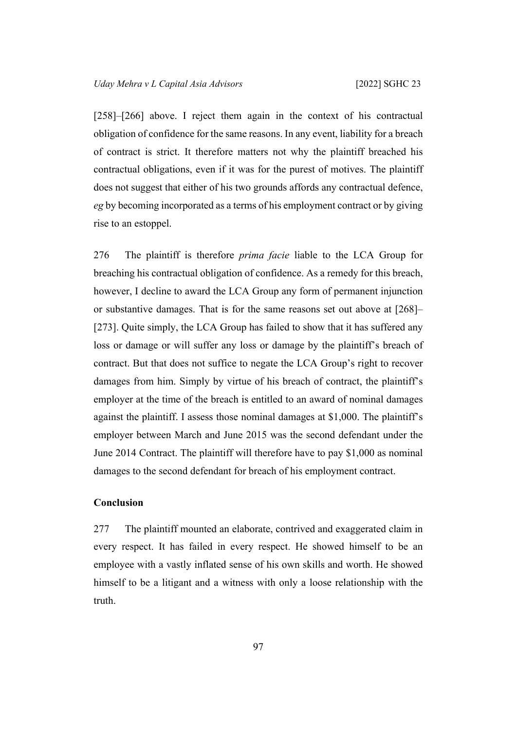[[258\]](#page-95-1)–[[266\]](#page-97-0) above. I reject them again in the context of his contractual obligation of confidence for the same reasons. In any event, liability for a breach of contract is strict. It therefore matters not why the plaintiff breached his contractual obligations, even if it was for the purest of motives. The plaintiff does not suggest that either of his two grounds affords any contractual defence, *eg* by becoming incorporated as a terms of his employment contract or by giving rise to an estoppel.

276 The plaintiff is therefore *prima facie* liable to the LCA Group for breaching his contractual obligation of confidence. As a remedy for this breach, however, I decline to award the LCA Group any form of permanent injunction or substantive damages. That is for the same reasons set out above at [\[268](#page-98-0)]– [[273\]](#page-99-0). Quite simply, the LCA Group has failed to show that it has suffered any loss or damage or will suffer any loss or damage by the plaintiff's breach of contract. But that does not suffice to negate the LCA Group's right to recover damages from him. Simply by virtue of his breach of contract, the plaintiff's employer at the time of the breach is entitled to an award of nominal damages against the plaintiff. I assess those nominal damages at \$1,000. The plaintiff's employer between March and June 2015 was the second defendant under the June 2014 Contract. The plaintiff will therefore have to pay \$1,000 as nominal damages to the second defendant for breach of his employment contract.

## **Conclusion**

277 The plaintiff mounted an elaborate, contrived and exaggerated claim in every respect. It has failed in every respect. He showed himself to be an employee with a vastly inflated sense of his own skills and worth. He showed himself to be a litigant and a witness with only a loose relationship with the truth.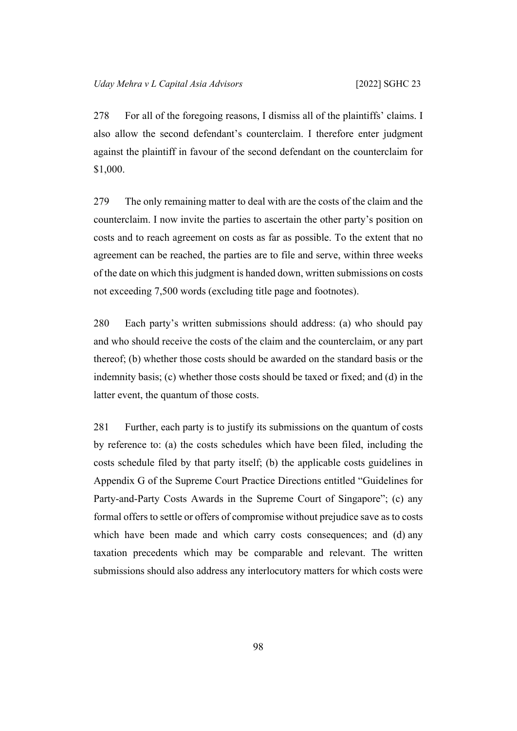278 For all of the foregoing reasons, I dismiss all of the plaintiffs' claims. I also allow the second defendant's counterclaim. I therefore enter judgment against the plaintiff in favour of the second defendant on the counterclaim for \$1,000.

279 The only remaining matter to deal with are the costs of the claim and the counterclaim. I now invite the parties to ascertain the other party's position on costs and to reach agreement on costs as far as possible. To the extent that no agreement can be reached, the parties are to file and serve, within three weeks of the date on which this judgment is handed down, written submissions on costs not exceeding 7,500 words (excluding title page and footnotes).

280 Each party's written submissions should address: (a) who should pay and who should receive the costs of the claim and the counterclaim, or any part thereof; (b) whether those costs should be awarded on the standard basis or the indemnity basis; (c) whether those costs should be taxed or fixed; and (d) in the latter event, the quantum of those costs.

281 Further, each party is to justify its submissions on the quantum of costs by reference to: (a) the costs schedules which have been filed, including the costs schedule filed by that party itself; (b) the applicable costs guidelines in Appendix G of the Supreme Court Practice Directions entitled "Guidelines for Party-and-Party Costs Awards in the Supreme Court of Singapore"; (c) any formal offers to settle or offers of compromise without prejudice save as to costs which have been made and which carry costs consequences; and (d) any taxation precedents which may be comparable and relevant. The written submissions should also address any interlocutory matters for which costs were